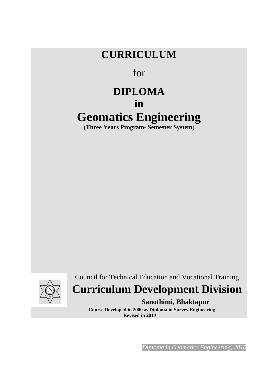# **CURRICULUM**

# for

# **DIPLOMA in Geomatics Engineering**

(**Three Years Program- Semester System**)



Council for Technical Education and Vocational Training

# **Curriculum Development Division**

## **Sanothimi, Bhaktapur**

 **Course Developed in 2000 as Diploma in Survey Engineering Revised in 2010**

*Diploma in Geomatics Engineering, 2010*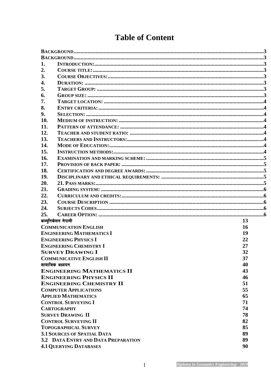| 1.             |                                     |    |  |  |  |  |  |  |  |  |
|----------------|-------------------------------------|----|--|--|--|--|--|--|--|--|
| 2.             |                                     |    |  |  |  |  |  |  |  |  |
| 3.             |                                     |    |  |  |  |  |  |  |  |  |
| 4.             |                                     |    |  |  |  |  |  |  |  |  |
| 5.             |                                     |    |  |  |  |  |  |  |  |  |
| 6.             |                                     |    |  |  |  |  |  |  |  |  |
| 7.             |                                     |    |  |  |  |  |  |  |  |  |
| 8.             |                                     |    |  |  |  |  |  |  |  |  |
| 9.             |                                     |    |  |  |  |  |  |  |  |  |
| 10.            |                                     |    |  |  |  |  |  |  |  |  |
| 11.            |                                     |    |  |  |  |  |  |  |  |  |
| 12.            |                                     |    |  |  |  |  |  |  |  |  |
| 13.            |                                     |    |  |  |  |  |  |  |  |  |
|                |                                     |    |  |  |  |  |  |  |  |  |
| 14.            |                                     |    |  |  |  |  |  |  |  |  |
| 15.            |                                     |    |  |  |  |  |  |  |  |  |
| 16.            |                                     |    |  |  |  |  |  |  |  |  |
| 17.            |                                     |    |  |  |  |  |  |  |  |  |
| 18.            |                                     |    |  |  |  |  |  |  |  |  |
| 19.            |                                     |    |  |  |  |  |  |  |  |  |
| 20.            |                                     |    |  |  |  |  |  |  |  |  |
| 21.            |                                     |    |  |  |  |  |  |  |  |  |
| 22.            |                                     |    |  |  |  |  |  |  |  |  |
| 23.            |                                     |    |  |  |  |  |  |  |  |  |
| 24.            |                                     |    |  |  |  |  |  |  |  |  |
| 25.            |                                     |    |  |  |  |  |  |  |  |  |
|                | कम्युनिकेसन नेपाली                  | 13 |  |  |  |  |  |  |  |  |
|                | <b>COMMUNICATION ENGLISH</b>        | 16 |  |  |  |  |  |  |  |  |
|                | <b>ENGINEERING MATHEMATICS I</b>    | 19 |  |  |  |  |  |  |  |  |
|                | <b>ENGINEERING PHYSICS I</b>        | 22 |  |  |  |  |  |  |  |  |
|                | <b>ENGINEERING CHEMISTRY I</b>      | 27 |  |  |  |  |  |  |  |  |
|                | <b>SURVEY DRAWING I</b>             | 32 |  |  |  |  |  |  |  |  |
|                | <b>COMMUNICATIVE ENGLISH II</b>     | 37 |  |  |  |  |  |  |  |  |
| सामाजिक अध्ययन |                                     | 40 |  |  |  |  |  |  |  |  |
|                | <b>ENGINEERING MATHEMATICS II</b>   | 43 |  |  |  |  |  |  |  |  |
|                | <b>ENGINEERING PHYSICS II</b>       | 46 |  |  |  |  |  |  |  |  |
|                | <b>ENGINEERING CHEMISTRY II</b>     | 51 |  |  |  |  |  |  |  |  |
|                |                                     |    |  |  |  |  |  |  |  |  |
|                |                                     |    |  |  |  |  |  |  |  |  |
|                | <b>COMPUTER APPLICATIONS</b>        | 55 |  |  |  |  |  |  |  |  |
|                | <b>APPLIED MATHEMATICS</b>          | 65 |  |  |  |  |  |  |  |  |
|                | <b>CONTROL SURVEYING I</b>          | 71 |  |  |  |  |  |  |  |  |
|                | <b>CARTOGRAPHY</b>                  | 74 |  |  |  |  |  |  |  |  |
|                | <b>SURVEY DRAWING II</b>            | 78 |  |  |  |  |  |  |  |  |
|                | <b>CONTROL SURVEYING II</b>         | 82 |  |  |  |  |  |  |  |  |
|                | <b>TOPOGRAPHICAL SURVEY</b>         | 85 |  |  |  |  |  |  |  |  |
|                | <b>3.1 SOURCES OF SPATIAL DATA</b>  | 89 |  |  |  |  |  |  |  |  |
|                | 3.2 DATA ENTRY AND DATA PREPARATION | 89 |  |  |  |  |  |  |  |  |
|                | <b>4.1 QUERYING DATABASES</b>       | 90 |  |  |  |  |  |  |  |  |

# **Table of Content**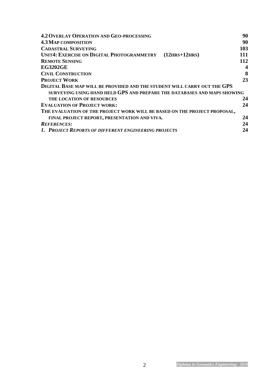| <b>4.2 OVERLAY OPERATION AND GEO-PROCESSING</b>                           | 90               |
|---------------------------------------------------------------------------|------------------|
| <b>4.3 MAP COMPOSITION</b>                                                | 90               |
| <b>CADASTRAL SURVEYING</b>                                                | 103              |
| <b>UNIT4: EXERCISE ON DIGITAL PHOTOGRAMMETRY</b><br>$(12HRS+12HRS)$       | 111              |
| <b>REMOTE SENSING</b>                                                     | 112              |
| <b>EG3202GE</b>                                                           | $\boldsymbol{4}$ |
| <b>CIVIL CONSTRUCTION</b>                                                 | 8                |
| <b>PROJECT WORK</b>                                                       | 23               |
| DIGITAL BASE MAP WILL BE PROVIDED AND THE STUDENT WILL CARRY OUT THE GPS  |                  |
| SURVEYING USING HAND HELD GPS AND PREPARE THE DATABASES AND MAPS SHOWING  |                  |
| THE LOCATION OF RESOURCES                                                 | 24               |
| <b>EVALUATION OF PROJECT WORK:</b>                                        | 24               |
| THE EVALUATION OF THE PROJECT WORK WILL BE BASED ON THE PROJECT PROPOSAL, |                  |
| FINAL PROJECT REPORT, PRESENTATION AND VIVA.                              | 24               |
| <b>REFERENCES:</b>                                                        | 24               |
| 1. PROJECT REPORTS OF DIFFERENT ENGINEERING PROJECTS                      | 24               |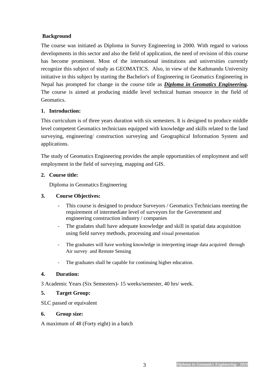#### **Background**

The course was initiated as Diploma in Survey Engineering in 2000. With regard to various developments in this sector and also the field of application, the need of revision of this course has become prominent. Most of the international institutions and universities currently recognize this subject of study as GEOMATICS. Also, in view of the Kathmandu University initiative in this subject by starting the Bachelor's of Engineering in Geomatics Engineering in Nepal has prompted for change in the course title as *Diploma in Geomatics Engineering.*  The course is aimed at producing middle level technical human resource in the field of Geomatics.

#### **1. Introduction:**

This curriculum is of three years duration with six semesters. It is designed to produce middle level competent Geomatics technicians equipped with knowledge and skills related to the land surveying, engineering/ construction surveying and Geographical Information System and applications.

The study of Geomatics Engineering provides the ample opportunities of employment and self employment in the field of surveying, mapping and GIS.

#### **2. Course title:**

Diploma in Geomatics Engineering

#### **3. Course Objectives:**

- This course is designed to produce Surveyors / Geomatics Technicians meeting the requirement of intermediate level of surveyors for the Government and engineering construction industry / companies
- The gradates shall have adequate knowledge and skill in spatial data acquisition using field survey methods, processing and visual presentation
- The graduates will have working knowledge in interpreting image data acquired through Air survey and Remote Sensing
- The graduates shall be capable for continuing higher education.

#### **4. Duration:**

3 Academic Years (Six Semesters)- 15 weeks/semester, 40 hrs/ week.

#### **5. Target Group:**

SLC passed or equivalent

#### **6. Group size:**

A maximum of 48 (Forty eight) in a batch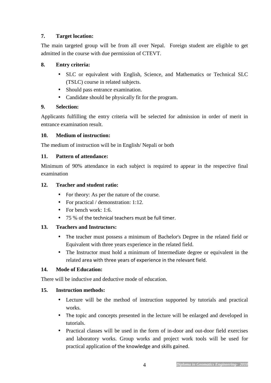#### **7. Target location:**

The main targeted group will be from all over Nepal. Foreign student are eligible to get admitted in the course with due permission of CTEVT.

#### **8. Entry criteria:**

- SLC or equivalent with English, Science, and Mathematics or Technical SLC (TSLC) course in related subjects.
- Should pass entrance examination.
- Candidate should be physically fit for the program.

#### **9. Selection:**

Applicants fulfilling the entry criteria will be selected for admission in order of merit in entrance examination result.

#### **10. Medium of instruction:**

The medium of instruction will be in English/ Nepali or both

### **11. Pattern of attendance:**

Minimum of 90% attendance in each subject is required to appear in the respective final examination

### **12. Teacher and student ratio:**

- For theory: As per the nature of the course.
- For practical / demonstration: 1:12.
- For bench work: 1:6.
- 75 % of the technical teachers must be full timer.

### **13. Teachers and Instructors:**

- The teacher must possess a minimum of Bachelor's Degree in the related field or Equivalent with three years experience in the related field.
- The Instructor must hold a minimum of Intermediate degree or equivalent in the related area with three years of experience in the relevant field.

#### **14. Mode of Education:**

There will be inductive and deductive mode of education.

#### **15. Instruction methods:**

- Lecture will be the method of instruction supported by tutorials and practical works.
- The topic and concepts presented in the lecture will be enlarged and developed in tutorials.
- Practical classes will be used in the form of in-door and out-door field exercises and laboratory works. Group works and project work tools will be used for practical application of the knowledge and skills gained.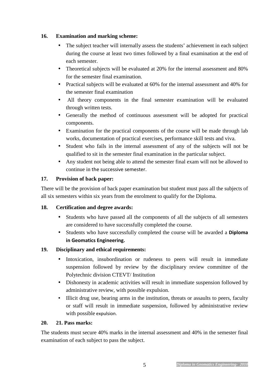#### **16. Examination and marking scheme:**

- The subject teacher will internally assess the students' achievement in each subject during the course at least two times followed by a final examination at the end of each semester.
- Theoretical subjects will be evaluated at 20% for the internal assessment and 80% for the semester final examination.
- Practical subjects will be evaluated at 60% for the internal assessment and 40% for the semester final examination
- All theory components in the final semester examination will be evaluated through written tests.
- Generally the method of continuous assessment will be adopted for practical components.
- Examination for the practical components of the course will be made through lab works, documentation of practical exercises, performance skill tests and viva.
- Student who fails in the internal assessment of any of the subjects will not be qualified to sit in the semester final examination in the particular subject.
- Any student not being able to attend the semester final exam will not be allowed to continue in the successive semester.

#### **17. Provision of back paper:**

There will be the provision of back paper examination but student must pass all the subjects of all six semesters within six years from the enrolment to qualify for the Diploma.

#### **18. Certification and degree awards:**

- Students who have passed all the components of all the subjects of all semesters are considered to have successfully completed the course.
- Students who have successfully completed the course will be awarded a **Diploma in Geomatics Engineering.**

#### **19. Disciplinary and ethical requirements:**

- Intoxication, insubordination or rudeness to peers will result in immediate suspension followed by review by the disciplinary review committee of the Polytechnic division CTEVT/ Institution
- Dishonesty in academic activities will result in immediate suspension followed by administrative review, with possible expulsion.
- Illicit drug use, bearing arms in the institution, threats or assaults to peers, faculty or staff will result in immediate suspension, followed by administrative review with possible expulsion.

#### **20. 21. Pass marks:**

The students must secure 40% marks in the internal assessment and 40% in the semester final examination of each subject to pass the subject.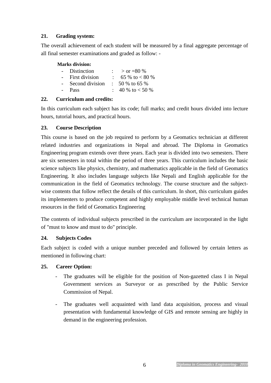#### **21. Grading system:**

The overall achievement of each student will be measured by a final aggregate percentage of all final semester examinations and graded as follow: -

#### **Marks division:**

|        | - Distinction   | $>$ or =80 %              |
|--------|-----------------|---------------------------|
| $\sim$ | First division  | 65 % to $< 80$ %          |
|        | Second division | $\therefore$ 50 % to 65 % |
|        | <b>Pass</b>     | : 40 % to $< 50$ %        |

#### **22. Curriculum and credits:**

In this curriculum each subject has its code; full marks; and credit hours divided into lecture hours, tutorial hours, and practical hours.

### **23. Course Description**

This course is based on the job required to perform by a Geomatics technician at different related industries and organizations in Nepal and abroad. The Diploma in Geomatics Engineering program extends over three years. Each year is divided into two semesters. There are six semesters in total within the period of three years. This curriculum includes the basic science subjects like physics, chemistry, and mathematics applicable in the field of Geomatics Engineering. It also includes language subjects like Nepali and English applicable for the communication in the field of Geomatics technology. The course structure and the subjectwise contents that follow reflect the details of this curriculum. In short, this curriculum guides its implementers to produce competent and highly employable middle level technical human resources in the field of Geomatics Engineering

The contents of individual subjects prescribed in the curriculum are incorporated in the light of "must to know and must to do" principle.

#### **24. Subjects Codes**

Each subject is coded with a unique number preceded and followed by certain letters as mentioned in following chart:

#### **25. Career Option:**

- The graduates will be eligible for the position of Non-gazetted class I in Nepal Government services as Surveyor or as prescribed by the Public Service Commission of Nepal.
- The graduates well acquainted with land data acquisition, process and visual presentation with fundamental knowledge of GIS and remote sensing are highly in demand in the engineering profession.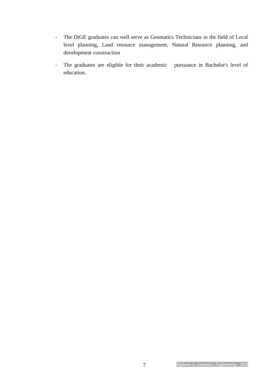- The DiGE graduates can well serve as Geomatics Technicians in the field of Local level planning, Land resource management, Natural Resource planning, and development construction
- The graduates are eligible for their academic pursuance in Bachelor's level of education.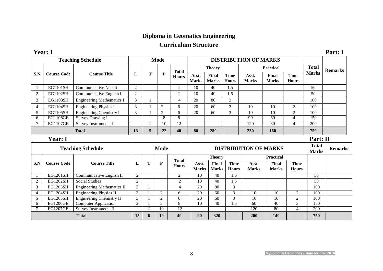## **Diploma in Geomatics Engineering**

## **Curriculum Structure**

| <b>Year: 1</b> |                    |                                  |    |   |      |              |                       |                              |                             |                       |                       |                             |                | Part: I |
|----------------|--------------------|----------------------------------|----|---|------|--------------|-----------------------|------------------------------|-----------------------------|-----------------------|-----------------------|-----------------------------|----------------|---------|
|                |                    | <b>Teaching Schedule</b>         |    |   | Mode |              |                       | <b>DISTRIBUTION OF MARKS</b> |                             |                       |                       |                             |                |         |
|                |                    |                                  |    |   |      | <b>Total</b> |                       | <b>Theory</b>                |                             |                       | <b>Practical</b>      | <b>Total</b>                | <b>Remarks</b> |         |
| S.N            | <b>Course Code</b> | <b>Course Title</b>              | L  | Т | P    | <b>Hours</b> | Asst.<br><b>Marks</b> | Final<br><b>Marks</b>        | <b>Time</b><br><b>Hours</b> | Asst.<br><b>Marks</b> | Final<br><b>Marks</b> | <b>Time</b><br><b>Hours</b> | <b>Marks</b>   |         |
|                | <b>EG1101SH</b>    | Communicative Nepali             | 2  |   |      | 2            | 10                    | 40                           | 1.5                         |                       |                       |                             | 50             |         |
| 2              | <b>EG1102SH</b>    | Communicative English I          | 2  |   |      | 2            | 10                    | 40                           | 1.5                         |                       |                       |                             | 50             |         |
| 3              | <b>EG1103SH</b>    | <b>Engineering Mathematics I</b> | 3  |   |      | 4            | 20                    | 80                           | 3                           |                       |                       |                             | 100            |         |
| 4              | EG1104SH           | Engineering Physics I            | 3  |   | 2    | <sub>b</sub> | 20                    | 60                           | 3                           | 10                    | 10                    | 2                           | 100            |         |
|                | <b>EG1105SH</b>    | Engineering Chemistry I          | 3  |   | 2    | 6            | 20                    | 60                           | 3                           | 10                    | 10                    | $\overline{c}$              | 100            |         |
| 6              | <b>EG1106GE</b>    | Survey Drawing I                 |    |   | 8    | 8            |                       |                              |                             | 90                    | 60                    | 4                           | 150            |         |
|                | <b>EG1107GE</b>    | Survey Instruments I             |    | 2 | 10   | 12           |                       |                              |                             | 120                   | 80                    | 4                           | 200            |         |
|                |                    | <b>Total</b>                     | 13 | 5 | 22   | 40           | 80                    | 280                          |                             | 230                   | <b>160</b>            |                             | 750            |         |

#### **Year: I Part: II**

|              |                    | <b>Teaching Schedule</b>          |                |   | <b>Mode</b> |                              |                       | <b>DISTRIBUTION OF MARKS</b> |                             | <b>Total</b><br><b>Marks</b> | <b>Remarks</b>        |                             |     |  |
|--------------|--------------------|-----------------------------------|----------------|---|-------------|------------------------------|-----------------------|------------------------------|-----------------------------|------------------------------|-----------------------|-----------------------------|-----|--|
|              |                    |                                   |                |   |             |                              |                       | <b>Theory</b>                |                             |                              | <b>Practical</b>      |                             |     |  |
| S.N          | <b>Course Code</b> | <b>Course Title</b>               | L              | m | P           | <b>Total</b><br><b>Hours</b> | Asst.<br><b>Marks</b> | Final<br><b>Marks</b>        | <b>Time</b><br><b>Hours</b> | Asst.<br><b>Marks</b>        | Final<br><b>Marks</b> | <b>Time</b><br><b>Hours</b> |     |  |
|              | EG1201SH           | Communicative English II          | 2              |   |             | 2                            | 10                    | 40                           | 1.5                         |                              |                       |                             | 50  |  |
|              | <b>EG1202SH</b>    | <b>Social Studies</b>             | $\overline{2}$ |   |             | $\mathfrak{D}$               | 10                    | 40                           | 1.5                         |                              |                       |                             | 50  |  |
| 3            | EG1203SH           | <b>Engineering Mathematics II</b> | 3              |   |             | 4                            | 20                    | 80                           | 3                           |                              |                       |                             | 100 |  |
| 4            | EG1204SH           | Engineering Physics II            | 3              |   |             | 6                            | 20                    | 60                           | $\sim$                      | 10                           | 10                    | $\mathcal{D}_{\mathcal{L}}$ | 100 |  |
|              | EG1205SH           | Engineering Chemistry II          | 3              |   |             | 6                            | 20                    | 60                           | $\mathcal{R}$               | 10                           | 10                    | 2                           | 100 |  |
| <sub>0</sub> | <b>EG1206GE</b>    | <b>Computer Application</b>       | $\overline{2}$ |   |             | 8                            | 10                    | 40                           | 1.5                         | 60                           | 40                    | $\mathbf{r}$                | 150 |  |
|              | <b>EG1207GE</b>    | Survey Instruments II             |                |   | 10          | 12                           |                       |                              |                             | 120                          | 80                    | 4                           | 200 |  |
|              | <b>Total</b>       |                                   |                | 6 | 19          | 40                           | 90                    | 320                          |                             | 200                          | <b>140</b>            |                             | 750 |  |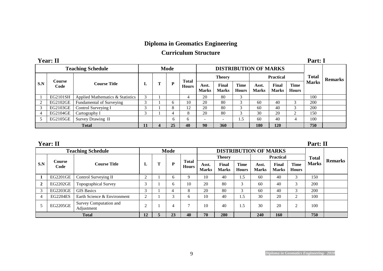### **Diploma in Geomatics Engineering**

## **Curriculum Structure**

|     | <b>Year: II</b> |                                  |                   |      |              |                              |                       |                      |                       |                       |                             | Part: 1        |  |
|-----|-----------------|----------------------------------|-------------------|------|--------------|------------------------------|-----------------------|----------------------|-----------------------|-----------------------|-----------------------------|----------------|--|
|     |                 | <b>Teaching Schedule</b>         |                   | Mode |              | <b>DISTRIBUTION OF MARKS</b> |                       |                      |                       |                       |                             |                |  |
|     | Course          |                                  |                   |      | <b>Total</b> |                              | <b>Theory</b>         |                      |                       | <b>Practical</b>      | <b>Total</b>                | <b>Remarks</b> |  |
| S.N | Code            | <b>Course Title</b>              | ⊥                 | D    | <b>Hours</b> | Asst.<br><b>Marks</b>        | Final<br><b>Marks</b> | Time<br><b>Hours</b> | Asst.<br><b>Marks</b> | Final<br><b>Marks</b> | <b>Time</b><br><b>Hours</b> | <b>Marks</b>   |  |
|     | EG2101SH        | Applied Mathematics & Statistics | 3                 |      |              | 20                           | 80                    |                      |                       |                       |                             | 100            |  |
|     | EG2102GE        | Fundamental of Surveying         | $\sim$            | 6    | 10           | 20                           | 80                    | ⌒                    | 60                    | 40                    | 3                           | 200            |  |
|     | EG2103GE        | Control Surveying I              | $\mathbf{\Omega}$ | 8    | 12           | 20                           | 80                    | ⌒                    | 60                    | 40                    | 3                           | 200            |  |
| 4   | EG2104GE        | Cartography I                    | 3                 |      | 8            | 20                           | 80                    | ⌒                    | 30                    | 20                    | 2                           | 150            |  |
|     | EG2105GE        | Survey Drawing II                |                   | 6    | $\sigma$     |                              |                       | . .5                 | 60                    | 40                    | 4                           | 100            |  |
|     |                 | <b>Total</b>                     | 11                | 25   | 40           | 90                           | 360                   |                      | <b>180</b>            | 120                   |                             | 750            |  |

**Year: II Part: II** 

|     |                       | <b>Teaching Schedule</b>             |                | <b>Mode</b> |                              | <b>DISTRIBUTION OF MARKS</b> |                       |                             |                       |                       |                             |              |                |
|-----|-----------------------|--------------------------------------|----------------|-------------|------------------------------|------------------------------|-----------------------|-----------------------------|-----------------------|-----------------------|-----------------------------|--------------|----------------|
|     |                       |                                      |                |             |                              |                              | <b>Theory</b>         |                             |                       | <b>Practical</b>      |                             |              |                |
| S.N | <b>Course</b><br>Code | <b>Course Title</b>                  | L              | D           | <b>Total</b><br><b>Hours</b> | Asst.<br><b>Marks</b>        | Final<br><b>Marks</b> | <b>Time</b><br><b>Hours</b> | Asst.<br><b>Marks</b> | Final<br><b>Marks</b> | <b>Time</b><br><b>Hours</b> | <b>Marks</b> | <b>Remarks</b> |
|     | EG2201GE              | Control Surveying II                 | ◠<br>∠         |             | 9                            | 10                           | 40                    | 1.5                         | 60                    | 40                    | 3                           | 150          |                |
|     | <b>EG2202GE</b>       | Topographical Survey                 | 3              |             | 10                           | 20                           | 80                    | 3                           | 60                    | 40                    | 3                           | 200          |                |
|     | <b>EG2203GE</b>       | <b>GIS Basics</b>                    | 3              | 4           | 8                            | 20                           | 80                    | $\sqrt{2}$                  | 60                    | 40                    | 3                           | 200          |                |
| 4   | <b>EG2204ES</b>       | Earth Science & Environment          | $\overline{2}$ |             | <sub>6</sub>                 | 10                           | 40                    | 1.5                         | 30                    | 20                    | 2                           | 100          |                |
|     | EG2205GE              | Survey Computation and<br>Adjustment | ◠              |             | $\mathbf{r}$                 | 10                           | 40                    | 1.5                         | 30                    | 20                    | 2                           | 100          |                |
|     | <b>Total</b>          |                                      |                | 23          | 40                           | 70                           | 280                   |                             | 240                   | 160                   |                             | 750          |                |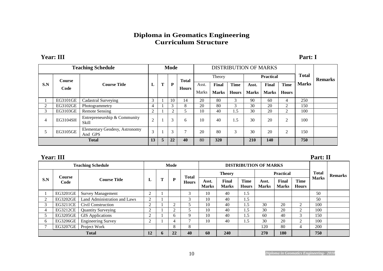#### **Diploma in Geomatics Engineering Curriculum Structure**

#### **Year: III Part: I**

|     | <b>Teaching Schedule</b> |                                          | Mode           |                |    |              | <b>DISTRIBUTION OF MARKS</b> |              |              |              |                  |                     |                |  |
|-----|--------------------------|------------------------------------------|----------------|----------------|----|--------------|------------------------------|--------------|--------------|--------------|------------------|---------------------|----------------|--|
|     | <b>Course</b>            |                                          |                |                |    | <b>Total</b> |                              | Theory       |              |              | <b>Practical</b> | <b>Total</b>        | <b>Remarks</b> |  |
| S.N | Code                     | <b>Course Title</b>                      | L              | m              | P  | <b>Hours</b> | Asst.                        | <b>Final</b> | <b>Time</b>  | Asst.        | Final            | <b>Time</b>         | <b>Marks</b>   |  |
|     |                          |                                          |                |                |    |              | <b>Marks</b>                 | <b>Marks</b> | <b>Hours</b> | <b>Marks</b> | <b>Marks</b>     | <b>Hours</b>        |                |  |
|     | EG3101GE                 | <b>Cadastral Surveying</b>               | 3              |                | 10 | 14           | 20                           | 80           | 3            | 90           | 60               | 4                   | 250            |  |
| 2   | EG3102GE                 | Photogrammetry                           | $\overline{4}$ |                | 3  | 8            | 20                           | 80           | 3            | 30           | 20               | 2                   | 150            |  |
| 3   | EG3103GE                 | <b>Remote Sensing</b>                    | $\overline{c}$ |                | 2  |              | 10                           | 40           | 1.5          | 30           | 20               | ◠<br>$\overline{ }$ | 100            |  |
| 4   | EG3104SH                 | Entrepreneurship & Community<br>Skill    | $\overline{2}$ |                | 3  | 6            | 10                           | 40           | 1.5          | 30           | 20               | 2                   | 100            |  |
| 5   | EG3105GE                 | Elementary Geodesy, Astronomy<br>And GPS | 3              |                | 3  | $\mathbf{r}$ | 20                           | 80           | 3            | 30           | 20               | ◠                   | 150            |  |
|     | <b>Total</b>             |                                          |                | $\overline{5}$ | 22 | 40           | 80                           | 320          |              | <b>210</b>   | <b>140</b>       |                     | 750            |  |

|     | <b>Year: III</b> |                              |                |             |                |              |                              |                              |                             |                       |                       |                             | Part: II       |  |
|-----|------------------|------------------------------|----------------|-------------|----------------|--------------|------------------------------|------------------------------|-----------------------------|-----------------------|-----------------------|-----------------------------|----------------|--|
|     |                  | <b>Teaching Schedule</b>     |                |             | Mode           |              | <b>DISTRIBUTION OF MARKS</b> |                              |                             |                       |                       |                             |                |  |
|     | <b>Course</b>    |                              |                |             |                | <b>Total</b> |                              | <b>Theory</b>                |                             |                       | <b>Practical</b>      | <b>Total</b>                | <b>Remarks</b> |  |
| S.N | Code             | <b>Course Title</b>          | ப              | Т           | P              | <b>Hours</b> | Asst.<br><b>Marks</b>        | <b>Final</b><br><b>Marks</b> | <b>Time</b><br><b>Hours</b> | Asst.<br><b>Marks</b> | Final<br><b>Marks</b> | <b>Time</b><br><b>Hours</b> | <b>Marks</b>   |  |
|     | EG3201GE         | <b>Survey Management</b>     | $\sim$         |             |                | 3            | 10                           | 40                           | 1.5                         |                       |                       |                             | 50             |  |
|     | EG3202GE         | Land Administration and Laws | $\bigcap$      |             |                |              | 10                           | 40                           | 1.5                         |                       |                       |                             | 50             |  |
|     | EG3211CE         | Civil Construction           | 2              |             | $\overline{2}$ |              | 10                           | 40                           | 1.5                         | 30                    | 20                    | 2                           | 100            |  |
| 4   | EG3212CE         | <b>Quantity Surveying</b>    |                |             | $\overline{c}$ |              | 10                           | 40                           | 1.5                         | 30                    | 20                    | $\mathcal{D}$               | 100            |  |
|     | EG3205GE         | <b>GIS</b> Applications      | 2              |             | <sub>0</sub>   | 9            | 10                           | 40                           | 1.5                         | 60                    | 40                    | 3                           | 150            |  |
| 6   | EG3206GE         | <b>Engineering Survey</b>    | $\overline{c}$ |             | 4              | Ξ            | 10                           | 40                           | 1.5                         | 30                    | 20                    | 2                           | 100            |  |
|     | <b>EG3207GE</b>  | Project Work                 |                |             | 8              | 8            |                              |                              |                             | 120                   | 80                    | 4                           | 200            |  |
|     | <b>Total</b>     |                              |                | $\mathbf b$ | 22             | 40           | 60                           | 240                          |                             | 270                   | 180                   |                             | 750            |  |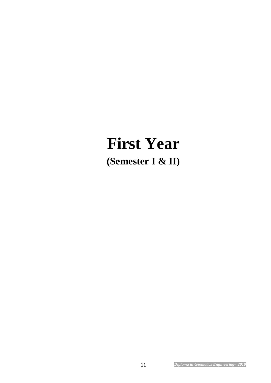# **First Year (Semester I & II)**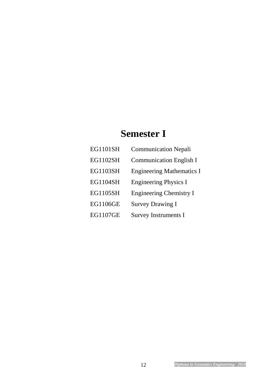# **Semester I**

| <b>EG1101SH</b> | <b>Communication Nepali</b>      |
|-----------------|----------------------------------|
| <b>EG1102SH</b> | <b>Communication English I</b>   |
| <b>EG1103SH</b> | <b>Engineering Mathematics I</b> |
| <b>EG1104SH</b> | <b>Engineering Physics I</b>     |
| <b>EG1105SH</b> | <b>Engineering Chemistry I</b>   |
| <b>EG1106GE</b> | <b>Survey Drawing I</b>          |
| <b>EG1107GE</b> | <b>Survey Instruments I</b>      |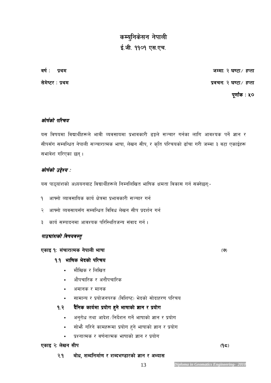# *कम्यु*निकेसन नेपाली ई.जी. ११०१ एस.एच.

*jif{ M k|yd hDdfM @ 306f÷ xKtf @ 306f÷ xKtf@ 306f÷ xKtf* 

.<br>सेमेष्टर : प्रथम

 *k"0ff{+s M %) M %)0ff{+s %)* 

#### *कोर्षको परिचय*

यस विषयमा विद्यार्थीहरूले भावी व्यवसायमा प्रभावकारी ढङ्गले सञ्चार गर्नका लागि आवश्यक पर्ने ज्ञान र सीपसँग सम्बन्धित नेपाली सञ्चारात्मक भाषा, लेखन सीप, र कृति परिचयको ढाँचा गरी जम्मा ३ वटा एकाईहरू *सभावेश गरिएका छन्।* 

#### *कोर्षको उद्देश्य :*

यस पाठ्यांशको अध्ययनबाट विद्यार्थीहरूले निम्नलिखित भाषिक क्षमता विकास गर्न सक्नेछन्:-

- <u>9 आफ्नो व्यावसायिक कार्य क्षेत्रमा प्रभावकारी सञ्चार गर्न</u>
- २ आफ्नो व्यवसायसँग सम्बन्धित विविध लेखन सीप प्रदर्शन गर्न
- <mark>३ कार्य सम्पादनमा आवश्यक परिस्थितिजन्य संवाद गर्न ।</mark>

#### *पाठचांशको विषयवस्तु*

#### *PsfO !M !M ;+rf/fTds g]kfnL efiff g]kfnL efiffefiff -&\_*

#### *!=! eflifs e]bsf] kl/ro eflifs e]bsf] kl/ro kl/ro*

- *df}lvs / lnlvt*
- *cf}krfl/s / cgf}krfl/s*
- *cdfgs / dfgs*
- सामान्य र प्रयोजनपरक (विशिष्ट) भेदको सोदाहरण परिचय

#### *!=@ b}lgs sfo{df k|of]u x'g] efiffsf] 1fg / k|of]u b}lgs sfo{df k|of]u efiffsf] 1fg / k|of]u*

- *cg'/f]w tyf cfb]z÷lgb]{zg ug]{ efiffsf] 1fg / k|of]u*
- *;f]em} ul/g] sfdx¿df k|of]u x'g] efiffsf] 1fg / k|of]u*
- *k|ZgfTds / j0f{gfTds efiffsf] 1fg / k|of]u*

#### *Parage 3: लेखन सीप* 2008 / 2009 / 2009 / 2009 / 2009 / 2010 / 2010 / 2010 / 2010 / 2010 / 2010 / 2010 / 2010 / 2010 / 2010 / 2010 / 2010 / 2010 / 2010 / 2010 / 2010 / 2010 / 2010 / 2010 / 2010 / 2010 / 2010 / 2010 / 2010

 *@=! af]w, zAblgdf{0f / zAbe08f/sf] 1fg / cEof; af]w, zAblgdf{0f / / cEof; cEof;*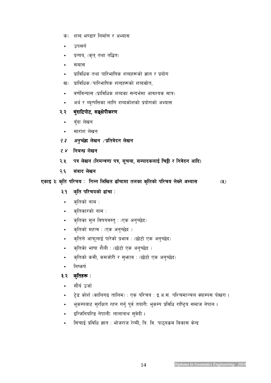- 
- सिंचाई प्रविधि ज्ञान : भोजराज रेग्मी, त्रि. वि. पाठ्यकम विकास केन्द्र
- *OlGhlgol/ª g]kfnLM nfnfgfy ;'j]bL .*
- टेड कोर्श (कालिगढ तालिम) : एक परिचय : इ.अ.सं. पश्चिमाञ्चल *क्याम्पस पो*खरा ।
- भूकम्पबाट सुरक्षित रहन गर्नु पूर्व तयारी: भूकम्प प्रविधि राष्ट्रिय समाज नेपाल **।**
- 
- सौर्य उर्जा
- ३.२ कृतिहरू :
- *lgisif{*
- *s[ltsf] sdL, sdhf]/L / ;'emfj M -5f]6f] Ps cg'R5]b\_*
- 
- 
- 
- 
- 
- कृतिको भाषा शैली : (छोटो एक अनुच्छेद )
- *s[ltn] cfkm"nfO{ kf/]sf] k|efj M -5f]6f] Ps cg'R5]b\_*
- *s[ltsf] dxTj M -Ps cg'R5]b \_*
- *क्*तिका मूल विषयवस्तु : (एक अनुच्छेद)
- *क्*तिको नाम : • *क्*तिकारको नाम :
- 
- 
- *#=! s[lt kl/rosf] 9f+rf M s[lt kl/rosf] 9f+rf Ms[lt kl/rosf] M*
- *PsfO #M s[lt kl/ro M lgDg lnlvt 9fFrfdf tnsf s[ltsf] k #M s[lt kl/ro lgDg kl/ro n]Vg] cEof; l/ro n]Vg] cEof; -%\_*
- *@=^ ;+jfb n]vg ;+jfb n]vgn]vg*
- *@=% kq n]vg kq -lgdGq0ff kq, ;"rgf, ;DkfbsnfO{ lr¶L / lgj]bg cflb\_ lgdGq0ff kq, ;"rgf, / lgj]bg cflb\_*
- *@=\$ lgaGw n]vg lgaGw n]vg*
- *२.३ अनुच्छे*द्र लेखन ∕प्रतिवेदन लेखन
- सारांश लेखन
- 
- बँदा लेखन
- *@=@ a'+bfl6kf]6, ;ª a'+bfl6kf]6, ;ª\If]kLs/0f If]kLs/0f If]kLs/0f*
- 
- 
- 
- अर्थ र व्युत्पत्तिका लागि शब्दकोशको प्रयोगको अभ्यास
- 
- *j0f{ljGof; -k|fljlws zAbsf ;Gbe{df cfjZos dfq\_*
- 
- *ख*) प्राविधिक ⁄ पारिभाषिक शब्दहरूको शब्दस्रोत,
- 
- 
- *k|fljlws tyf kfl/eflifs zAbx¿sf] 1fg / k|of]u*
- *;df;*
- 
- *k|Too, -s[t\ tyf tl4t\_*
- उपसर्ग
- *क*) शब्द भण्डार निर्माण र अभ्यास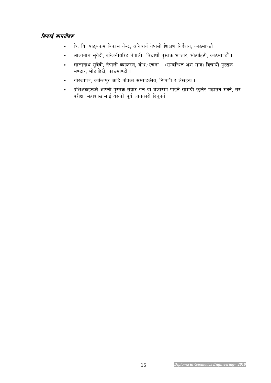#### *सिकाई सामग्रीहरू*

- त्रि. वि. पाठ्यकम विकास केन्द्र, अनिवार्य नेपाली शिक्षण निर्देशन, काठमाण्डौं
- *nfnfgfy ;'j]bL, OlGhgLol/ª g]kfnL ljBfyL{ k':ts e08f/, ef]6flx6L, sf7df08f}+ .*
- *nfnfgfy ;'j]bL, g]kfnL Jofs/0f, af]w÷/rgf -;DalGwt c+z dfq\_ ljBfyL{ k':ts e08f/, ef]6flx6L, sf7df08f}+ .*
- गोरखापत्र, कान्तिपुर आदि पत्रिका सम्पादकीय, टिप्पणी र लेखहरू ।
- प्रशिक्षकहरूले आफ्नो पुस्तक तयार गर्न वा बजारमा पाइने सामग्री छानेर पढाउन सक्ने, तर परीक्षा महाशाखालाई यसको पूर्व जानकारी दिनुपर्ने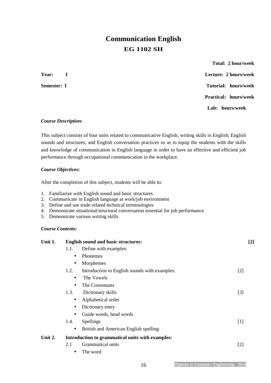# **Communication English EG 1102 SH**

 **Total: 2 hour/week Year: I Lecture: 2 hours/week Semester: I** Tutorial: hours/week  **Practical: hours/week Lab: hours/week** 

#### *Course Description:*

This subject consists of four units related to communicative English; writing skills in English; English sounds and structures; and English conversation practices so as to equip the students with the skills and knowledge of communication in English language in order to have an effective and efficient job performance through occupational communication in the workplace.

#### *Course Objectives:*

After the completion of this subject, students will be able to:

- 1. Familiarize with English sound and basic structures.
- 2. Communicate in English language at work/job environment
- 3. Define and use trade related technical terminologies
- 4. Demonstrate situational/structural conversation essential for job performance
- 5. Demonstrate various writing skills

#### *Course Contents:*

| Unit 1. | <b>English sound and basic structures:</b>            | $[2]$ |
|---------|-------------------------------------------------------|-------|
|         | Define with examples:<br>1.1.                         |       |
|         | Phonemes<br>$\bullet$                                 |       |
|         | Morphemes<br>$\bullet$                                |       |
|         | Introduction to English sounds with examples:<br>1.2. | $[2]$ |
|         | The Vowels<br>$\bullet$                               |       |
|         | The Consonants<br>$\bullet$                           |       |
|         | Dictionary skills<br>1.3.                             | $[3]$ |
|         | Alphabetical order                                    |       |
|         | Dictionary entry<br>$\bullet$                         |       |
|         | Guide words, head words<br>$\bullet$                  |       |
|         | <b>Spellings</b><br>1.4.                              | $[1]$ |
|         | British and American English spelling<br>٠            |       |
| Unit 2. | Introduction to grammatical units with examples:      |       |
|         | Grammatical units<br>2.1                              | $[2]$ |
|         | The word                                              |       |
|         |                                                       |       |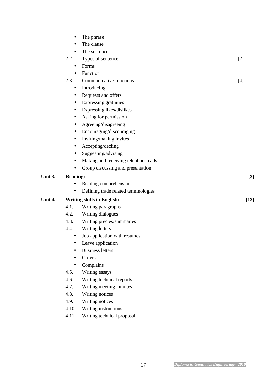| $\bullet$ | The phrase                           |       |
|-----------|--------------------------------------|-------|
| $\bullet$ | The clause                           |       |
| $\bullet$ | The sentence                         |       |
| 2.2       | Types of sentence                    | $[2]$ |
| $\bullet$ | Forms                                |       |
| $\bullet$ | Function                             |       |
| 2.3       | Communicative functions              | $[4]$ |
| $\bullet$ | Introducing                          |       |
| $\bullet$ | Requests and offers                  |       |
| $\bullet$ | Expressing gratuities                |       |
| $\bullet$ | Expressing likes/dislikes            |       |
| $\bullet$ | Asking for permission                |       |
|           | Agreeing/disagreeing                 |       |
| $\bullet$ | Encouraging/discouraging             |       |
| $\bullet$ | Inviting/making invites              |       |
| $\bullet$ | Accepting/decling                    |       |
| $\bullet$ | Suggesting/advising                  |       |
| $\bullet$ | Making and receiving telephone calls |       |
|           | Group discussing and presentation    |       |
|           |                                      |       |

#### **Unit 3. Reading: [2]**

- Reading comprehension
- Defining trade related terminologies

#### **Unit 4. Writing skills in English: [12]**

- 4.1. Writing paragraphs
- 4.2. Writing dialogues
- 4.3. Writing precies/summaries
- 4.4. Writing letters
	- Job application with resumes
	- Leave application
	- Business letters
	- Orders
	- Complains
- 4.5. Writing essays
- 4.6. Writing technical reports
- 4.7. Writing meeting minutes
- 4.8. Writing notices
- 4.9. Writing notices
- 4.10. Writing instructions
- 4.11. Writing technical proposal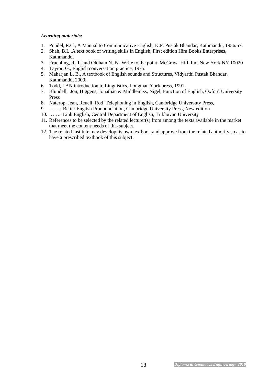#### *Learning materials:*

- 1. Poudel, R.C., A Manual to Communicative English, K.P. Pustak Bhandar, Kathmandu, 1956/57.
- 2. Shah, B.L.,A text book of writing skills in English, First edition Hira Books Enterprises, Kathmandu,
- 3. Fruehling, R. T. and Oldham N. B., Write to the point, McGraw- Hill, Inc. New York NY 10020
- 4. Tayior, G., English conversation practice, 1975.
- 5. Maharjan L. B., A textbook of English sounds and Structures, Vidyarthi Pustak Bhandar, Kathmandu, 2000.
- 6. Todd, LAN introduction to Linguistics, Longman York press, 1991.
- 7. Blundell, Jon, Higgens, Jonathan & Middlemiss, Nigel, Function of English, Oxford University Press
- 8. Naterop, Jean, Reuell, Rod, Telephoning in English, Cambridge Universuty Press,
- 9. ……., Better English Pronounciation, Cambridge University Press, New edition
- 10. …….. Link English, Central Department of English, Tribhuvan University
- 11. References to be selected by the related lecturer(s) from among the texts available in the market that meet the content needs of this subject.
- 12. The related institute may develop its own textbook and approve from the related authority so as to have a prescribed textbook of this subject.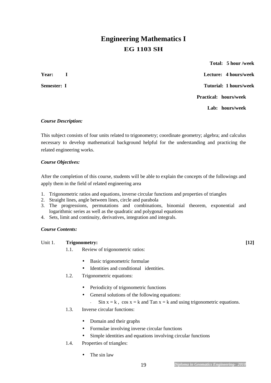# **Engineering Mathematics I EG 1103 SH**

 **Total: 5 hour /week Year: I Lecture: 4 hours/week Semester: I** Tutorial: 1 hours/week **Practical: hours/week Lab: hours/week** 

#### *Course Description:*

This subject consists of four units related to trigonometry; coordinate geometry; algebra; and calculus necessary to develop mathematical background helpful for the understanding and practicing the related engineering works.

#### *Course Objectives:*

After the completion of this course, students will be able to explain the concepts of the followings and apply them in the field of related engineering area

- 1. Trigonometric ratios and equations, inverse circular functions and properties of triangles
- 2. Straight lines, angle between lines, circle and parabola
- 3. The progressions, permutations and combinations, binomial theorem, exponential and logarithmic series as well as the quadratic and polygonal equations
- 4. Sets, limit and continuity, derivatives, integration and integrals.

#### *Course Contents:*

#### Unit 1. **Trigonometry:** [12]

- 1.1. Review of trigonometric ratios:
	- Basic trigonometric formulae
	- Identities and conditional identities.
- 1.2. Trigonometric equations:
	- Periodicity of trigonometric functions
	- General solutions of the following equations:
		- $\sin x = k$ ,  $\cos x = k$  and  $\tan x = k$  and using trigonometric equations.
- 1.3. Inverse circular functions:
	- Domain and their graphs
	- Formulae involving inverse circular functions
	- Simple identities and equations involving circular functions
- 1.4. Properties of triangles:
	- The sin law

#### 19 *Diploma in Geomatics Engineering- 2010*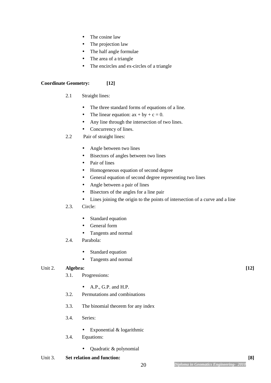- The cosine law
- The projection law
- The half angle formulae
- The area of a triangle
- The encircles and ex-circles of a triangle

#### **Coordinate Geometry: [12]**

- 2.1 Straight lines:
	- The three standard forms of equations of a line.
	- The linear equation:  $ax + by + c = 0$ .
	- Any line through the intersection of two lines.
	- Concurrency of lines.
- 2.2 Pair of straight lines:
	- Angle between two lines
	- Bisectors of angles between two lines
	- Pair of lines
	- Homogeneous equation of second degree
	- General equation of second degree representing two lines
	- Angle between a pair of lines
	- Bisectors of the angles for a line pair
	- Lines joining the origin to the points of intersection of a curve and a line

#### 2.3. Circle:

- Standard equation
- General form
- Tangents and normal
- 2.4. Parabola:
	- Standard equation
	- Tangents and normal

#### Unit 2. **Algebra:** [12]

- 3.1. Progressions:
	- A.P., G.P. and H.P.
- 3.2. Permutations and combinations
- 3.3. The binomial theorem for any index
- 3.4. Series:
	- Exponential & logarithmic
- 3.4. Equations:
	- Quadratic & polynomial

#### Unit 3. **Set relation and function:** [8]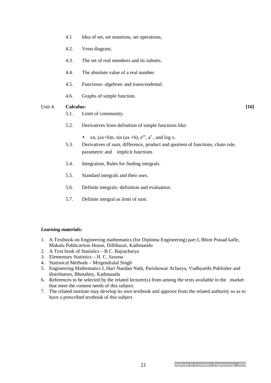- 4.1 Idea of set, set notations, set operations,
- 4.2. Venn diagram,
- 4.3. The set of real members and its subsets.
- 4.4. The absolute value of a real number.
- 4.5. Functions- algebraic and transcendental.
- 4.6. Graphs of simple function.

#### Unit 4. **Calculus:** [16]

- 5.1. Limit of community.
- 5.2. Derivatives from definition of simple functions like:
	- xn,  $(ax+b)n$ , sin  $(ax+b)$ ,  $e^{ax}$ ,  $a^x$ , and  $\log x$ .
- 5.3. Derivatives of sum, difference, product and quotient of functions, chain rule, parametric and implicit functions
- 5.4. Integration, Rules for finding integrals.
- 5.5. Standard integrals and their uses.
- 5.6. Definite integrals- definition and evaluation.
- 5.7. Definite integral as limit of sum.

#### *Learning materials:*

- 1. A Textbook on Engineering mathematics (for Diploma Engineering) part I, Bhim Prasad kafle, Makalu Publicartion House, Dillibazar, Kathmandu
- 2. A Text book of Statistics B.C. Bajracharya
- 3. Elementary Statistics H. C. Saxena
- 4. Statistical Methods Mrigendralal Singh
- 5. Engineering Mathematics I, Hari Nandan Nath, Parishowar Acharya, Vudhyarthi Publisher and distributors, Bhotahity, Kathmandu
- 6. References to be selected by the related lecturer(s) from among the texts available in the market that meet the content needs of this subject.
- 7. The related institute may develop its own textbook and approve from the related authority so as to have a prescribed textbook of this subject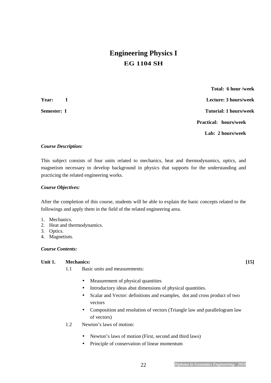# **Engineering Physics I EG 1104 SH**

 **Total: 6 hour /week Year: I Lecture: 3 hours/week Semester: I** Tutorial: 1 hours/week **Practical: hours/week Lab: 2 hours/week** 

#### *Course Description:*

This subject consists of four units related to mechanics, heat and thermodynamics, optics, and magnetism necessary to develop background in physics that supports for the understanding and practicing the related engineering works.

#### *Course Objectives:*

After the completion of this course, students will be able to explain the basic concepts related to the followings and apply them in the field of the related engineering area.

- 1. Mechanics.
- 2. Heat and thermodynamics.
- 3. Optics.
- 4. Magnetism.

#### *Course Contents:*

#### **Unit 1. Mechanics: [15]**

- 1.1 Basic units and measurements:
	- Measurement of physical quantities
	- Introductory ideas abut dimensions of physical quantities.
	- Scalar and Vector: definitions and examples, dot and cross product of two vectors
	- Composition and resolution of vectors (Triangle law and parallelogram law of vectors)
- 1.2 Newton's laws of motion:
	- Newton's laws of motion (First, second and third laws)
	- Principle of conservation of linear momentum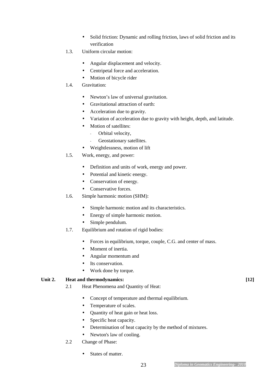- Solid friction: Dynamic and rolling friction, laws of solid friction and its verification
- 1.3. Uniform circular motion:
	- Angular displacement and velocity.
	- Centripetal force and acceleration.
	- Motion of bicycle rider
- 1.4. Gravitation:
	- Newton's law of universal gravitation.
	- Gravitational attraction of earth:
	- Acceleration due to gravity.
	- Variation of acceleration due to gravity with height, depth, and latitude.
	- Motion of satellites:
		- Orbital velocity,
		- Geostationary satellites.
	- Weightlessness, motion of lift
- 1.5. Work, energy, and power:
	- Definition and units of work, energy and power.
	- Potential and kinetic energy.
	- Conservation of energy.
	- Conservative forces.
- 1.6. Simple harmonic motion (SHM):
	- Simple harmonic motion and its characteristics.
	- Energy of simple harmonic motion.
	- Simple pendulum.
- 1.7. Equilibrium and rotation of rigid bodies:
	- Forces in equilibrium, torque, couple, C.G. and center of mass.
	- Moment of inertia.
	- Angular momentum and
	- Its conservation.
	- Work done by torque.

#### Unit 2. **Heat and thermodynamics:** [12] **[12]**

- 2.1 Heat Phenomena and Quantity of Heat:
	- Concept of temperature and thermal equilibrium.
	- Temperature of scales.
	- Quantity of heat gain or heat loss.
	- Specific heat capacity.
	- Determination of heat capacity by the method of mixtures.
	- Newton's law of cooling.
- 2.2 Change of Phase:
	- States of matter.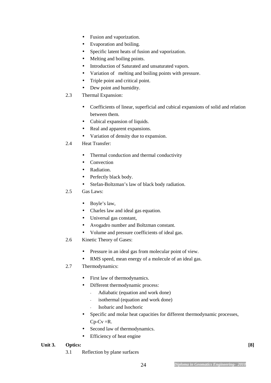- Fusion and vaporization.
- Evaporation and boiling.
- Specific latent heats of fusion and vaporization.
- Melting and boiling points.
- Introduction of Saturated and unsaturated vapors.
- Variation of melting and boiling points with pressure.
- Triple point and critical point.
- Dew point and humidity.

#### 2.3 Thermal Expansion:

- Coefficients of linear, superficial and cubical expansions of solid and relation between them.
- Cubical expansion of liquids.
- Real and apparent expansions.
- Variation of density due to expansion.

#### 2.4 Heat Transfer:

- Thermal conduction and thermal conductivity
- Convection
- Radiation.
- Perfectly black body.
- Stefan-Boltzman's law of black body radiation.

#### 2.5 Gas Laws:

- Boyle's law,
- Charles law and ideal gas equation.
- Universal gas constant,
- Avogadro number and Boltzman constant.
- Volume and pressure coefficients of ideal gas.
- 2.6 Kinetic Theory of Gases:
	- Pressure in an ideal gas from molecular point of view.
	- RMS speed, mean energy of a molecule of an ideal gas.

#### 2.7 Thermodynamics:

- First law of thermodynamics.
- Different thermodynamic process:
	- Adiabatic (equation and work done)
	- isothermal (equation and work done)
	- Isobaric and Isochoric
- Specific and molar heat capacities for different thermodynamic processes,  $Cp-Cv=R$ .
- Second law of thermodynamics.
- Efficiency of heat engine

#### **Unit 3. Optics: [8]**

3.1 Reflection by plane surfaces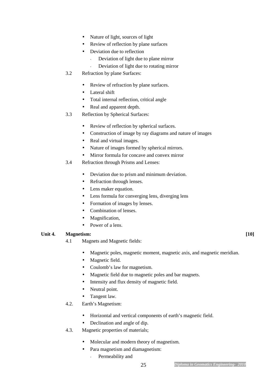- Nature of light, sources of light
- Review of reflection by plane surfaces
- Deviation due to reflection
	- Deviation of light due to plane mirror
	- Deviation of light due to rotating mirror
- 3.2 Refraction by plane Surfaces:
	- Review of refraction by plane surfaces.
	- Lateral shift
	- Total internal reflection, critical angle
	- Real and apparent depth.
- 3.3 Reflection by Spherical Surfaces:
	- Review of reflection by spherical surfaces.
	- Construction of image by ray diagrams and nature of images
	- Real and virtual images.
	- Nature of images formed by spherical mirrors.
	- Mirror formula for concave and convex mirror
- 3.4 Refraction through Prisms and Lenses:
	- Deviation due to prism and minimum deviation.
	- Refraction through lenses.
	- Lens maker equation.
	- Lens formula for converging lens, diverging lens
	- Formation of images by lenses.
	- Combination of lenses.
	- Magnification,
	- Power of a lens.

#### Unit 4. **Magnetism:** [10]

- 4.1 Magnets and Magnetic fields:
	- Magnetic poles, magnetic moment, magnetic axis, and magnetic meridian.
	- Magnetic field.
	- Coulomb's law for magnetism.
	- Magnetic field due to magnetic poles and bar magnets.
	- Intensity and flux density of magnetic field.
	- Neutral point.
	- Tangent law.
- 4.2. Earth's Magnetism:
	- Horizontal and vertical components of earth's magnetic field.
	- Declination and angle of dip.
- 4.3. Magnetic properties of materials;
	- Molecular and modern theory of magnetism.
	- Para magnetism and diamagnetism:
		- Permeability and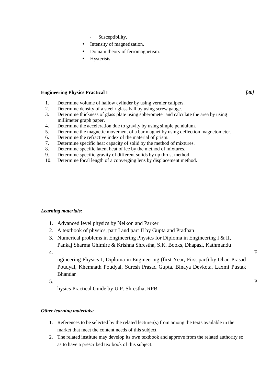- Susceptibility.
- Intensity of magnetization.
- Domain theory of ferromagnetism.
- Hysterisis

#### **Engineering Physics Practical I** *[30]*

- 1. Determine volume of hallow cylinder by using vernier calipers.
- 2. Determine density of a steel / glass ball by using screw gauge.
- 3. Determine thickness of glass plate using spherometer and calculate the area by using millimeter graph paper.
- 4. Determine the acceleration due to gravity by using simple pendulum.
- 5. Determine the magnetic movement of a bar magnet by using deflection magnetometer.
- 6. Determine the refractive index of the material of prism.
- 7. Determine specific heat capacity of solid by the method of mixtures.
- 8. Determine specific latent heat of ice by the method of mixtures.
- 9. Determine specific gravity of different solids by up thrust method.
- 10. Determine focal length of a converging lens by displacement method.

#### *Learning materials:*

- 1. Advanced level physics by Nelkon and Parker
- 2. A textbook of physics, part I and part II by Gupta and Pradhan
- 3. Numerical problems in Engineering Physics for Diploma in Engineering I & II, Pankaj Sharma Ghimire & Krishna Shrestha, S.K. Books, Dhapasi, Kathmandu
- 4.  $E$

ngineering Physics I, Diploma in Engineering (first Year, First part) by Dhan Prasad Poudyal, Khemnath Poudyal, Suresh Prasad Gupta, Binaya Devkota, Laxmi Pustak Bhandar

 $5.$  P

hysics Practical Guide by U.P. Shrestha, RPB

#### *Other learning materials:*

- 1. References to be selected by the related lecturer(s) from among the texts available in the market that meet the content needs of this subject
- 2. The related institute may develop its own textbook and approve from the related authority so as to have a prescribed textbook of this subject.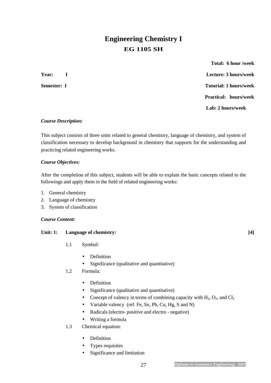# **Engineering Chemistry I EG 1105 SH**

 **Total: 6 hour /week Year: I Lecture: 3 hours/week Semester: I** Tutorial: 1 hours/week  **Practical: hours/week Lab: 2 hours/week** 

#### *Course Description:*

This subject consists of three units related to general chemistry, language of chemistry, and system of classification necessary to develop background in chemistry that supports for the understanding and practicing related engineering works.

#### *Course Objectives:*

After the completion of this subject, students will be able to explain the basic concepts related to the followings and apply them in the field of related engineering works:

- 1. General chemistry
- 2. Language of chemistry
- 3. System of classification

#### *Course Content:*

#### Unit: 1: Language of chemistry: [4]

- 1.1 Symbol:
	- Definition
	- Significance (qualitative and quantitative)
- 1.2 Formula:
	- Definition
	- Significance (qualitative and quantitative)
	- Concept of valency in terms of combining capacity with  $H_2$ ,  $O_2$ , and  $Cl_2$
	- Variable valency (ref. Fe, Sn, Pb, Cu, Hg, S and N)
	- Radicals (electro- positive and electro negative)
	- Writing a formula
- 1.3 Chemical equation:
	- Definition
	- Types requisites
	- Significance and limitation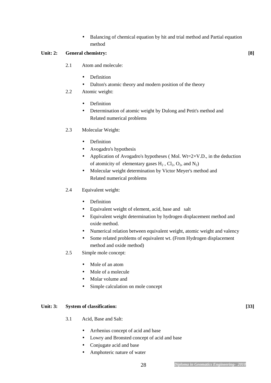• Balancing of chemical equation by hit and trial method and Partial equation method

#### Unit: 2: General chemistry: [8]

- 2.1 Atom and molecule:
	- Definition
	- Dalton's atomic theory and modern position of the theory
- 2.2 Atomic weight:
	- Definition
	- Determination of atomic weight by Dulong and Petit's method and Related numerical problems
- 2.3 Molecular Weight:
	- Definition
	- Avogadro's hypothesis
	- Application of Avogadro's hypotheses (Mol. Wt= $2 \times V.D.,$  in the deduction of atomicity of elementary gases  $H_2$ ,  $Cl_2$ ,  $O_2$ , and  $N_2$ )
	- Molecular weight determination by Victor Meyer's method and Related numerical problems

#### 2.4 Equivalent weight:

- Definition
- Equivalent weight of element, acid, base and salt
- Equivalent weight determination by hydrogen displacement method and oxide method.
- Numerical relation between equivalent weight, atomic weight and valency
- Some related problems of equivalent wt. (From Hydrogen displacement method and oxide method)
- 2.5 Simple mole concept:
	- Mole of an atom
	- Mole of a molecule
	- Molar volume and
	- Simple calculation on mole concept

#### Unit: 3: System of classification: [33]

- 3.1 Acid, Base and Salt:
	- Arrhenius concept of acid and base
	- Lowry and Bronsted concept of acid and base
	- Conjugate acid and base
	- Amphoteric nature of water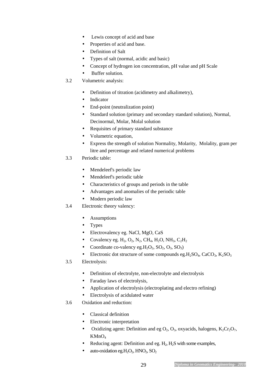- Lewis concept of acid and base
- Properties of acid and base.
- Definition of Salt
- Types of salt (normal, acidic and basic)
- Concept of hydrogen ion concentration, pH value and pH Scale
- Buffer solution.
- 3.2 Volumetric analysis:
	- Definition of titration (acidimetry and alkalimetry),
	- Indicator
	- End-point (neutralization point)
	- Standard solution (primary and secondary standard solution), Normal, Decinormal, Molar, Molal solution
	- Requisites of primary standard substance
	- Volumetric equation,
	- Express the strength of solution Normality, Molarity, Molality, gram per litre and percentage and related numerical problems
- 3.3 Periodic table:
	- Mendeleef's periodic law
	- Mendeleef's periodic table
	- Characteristics of groups and periods in the table
	- Advantages and anomalies of the periodic table
	- Modern periodic law
- 3.4 Electronic theory valency:
	- Assumptions
	- Types
	- Electrovalency eg. NaCl, MgO, CaS
	- Covalency eg.  $H_2$ ,  $O_2$ ,  $N_2$ ,  $CH_4$ ,  $H_2O$ ,  $NH_3$ ,  $C_2H_2$
	- Coordinate co-valency eg.H<sub>2</sub>O<sub>2</sub>, SO<sub>2</sub>, O<sub>3</sub>, SO<sub>3</sub>)
	- Electronic dot structure of some compounds eg.  $H_2SO_4$ , CaCO<sub>3</sub>, K<sub>2</sub>SO<sub>3</sub>
- 3.5 Electrolysis:
	- Definition of electrolyte, non-electrolyte and electrolysis
	- Faraday laws of electrolysis,
	- Application of electrolysis (electroplating and electro refining)
	- Electrolysis of acidulated water
- 3.6 Oxidation and reduction:
	- Classical definition
	- Electronic interpretation
	- Oxidizing agent: Definition and eg  $O_2$ ,  $O_3$ , oxyacids, halogens,  $K_2Cr_2O_7$ ,  $KMnO<sub>4</sub>$
	- Reducing agent: Definition and eg.  $H_2$ ,  $H_2S$  with some examples,
	- auto-oxidation eg. $H_2O_2$ ,  $HNO_2$ ,  $SO_2$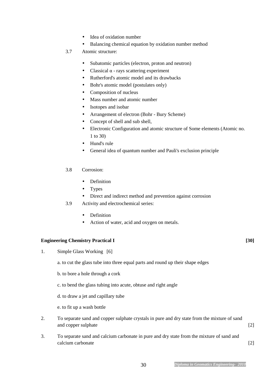- Idea of oxidation number
- Balancing chemical equation by oxidation number method
- 3.7 Atomic structure:
	- Subatomic particles (electron, proton and neutron)
	- Classical  $\alpha$  rays scattering experiment
	- Rutherford's atomic model and its drawbacks
	- Bohr's atomic model (postulates only)
	- Composition of nucleus
	- Mass number and atomic number
	- Isotopes and isobar
	- Arrangement of electron (Bohr Bury Scheme)
	- Concept of shell and sub shell,
	- Electronic Configuration and atomic structure of Some elements (Atomic no. 1 to 30)
	- Hund's rule
	- General idea of quantum number and Pauli's exclusion principle

#### 3.8 Corrosion:

- Definition
- Types
- Direct and indirect method and prevention against corrosion
- 3.9 Activity and electrochemical series:
	- Definition
	- Action of water, acid and oxygen on metals.

#### **Engineering Chemistry Practical I** [30]

- 1. Simple Glass Working [6]
	- a. to cut the glass tube into three equal parts and round up their shape edges
	- b. to bore a hole through a cork
	- c. to bend the glass tubing into acute, obtuse and right angle
	- d. to draw a jet and capillary tube
	- e. to fit up a wash bottle
- 2. To separate sand and copper sulphate crystals in pure and dry state from the mixture of sand and copper sulphate [2]
- 3. To separate sand and calcium carbonate in pure and dry state from the mixture of sand and calcium carbonate [2]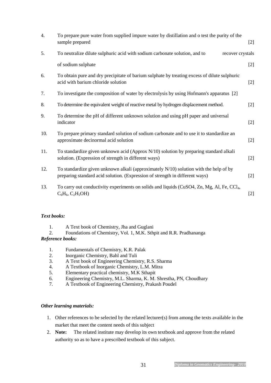| $\overline{4}$ . | To prepare pure water from supplied impure water by distillation and o test the purity of the<br>sample prepared                                                         | $[2]$ |
|------------------|--------------------------------------------------------------------------------------------------------------------------------------------------------------------------|-------|
| 5.               | To neutralize dilute sulphuric acid with sodium carbonate solution, and to<br>recover crystals                                                                           |       |
|                  | of sodium sulphate                                                                                                                                                       | $[2]$ |
| 6.               | To obtain pure and dry precipitate of barium sulphate by treating excess of dilute sulphuric<br>acid with barium chloride solution                                       | $[2]$ |
| 7.               | To investigate the composition of water by electrolysis by using Hofmann's apparatus [2]                                                                                 |       |
| 8.               | To determine the equivalent weight of reactive metal by hydrogen displacement method.                                                                                    | $[2]$ |
| 9.               | To determine the pH of different unknown solution and using pH paper and universal<br>indicator                                                                          | $[2]$ |
| 10.              | To prepare primary standard solution of sodium carbonate and to use it to standardize an<br>approximate decinormal acid solution                                         | $[2]$ |
| 11.              | To standardize given unknown acid (Approx $N/10$ ) solution by preparing standard alkali<br>solution. (Expression of strength in different ways)                         | $[2]$ |
| 12.              | To standardize given unknown alkali (approximately $N/10$ ) solution with the help of by<br>preparing standard acid solution. (Expression of strength in different ways) | $[2]$ |
| 13.              | To carry out conductivity experiments on solids and liquids (CuSO4, Zn, Mg, Al, Fe, CCl <sub>4</sub> ,<br>$C_6H_6, C_2H_5OH$                                             | $[2]$ |

#### *Text books:*

1. A Text book of Chemistry, Jha and Guglani

2. Foundations of Chemistry, Vol. 1, M.K. Sthpit and R.R. Pradhananga

#### *Reference books:*

- 1. Fundamentals of Chemistry, K.R. Palak
- 2. Inorganic Chemistry, Bahl and Tuli
- 3. A Text book of Engineering Chemistry, R.S. Sharma
- 4. A Textbook of Inorganic Chemistry, L.M. Mitra
- 5. Elementary practical chemistry, M.K Sthapit
- 6. Engineering Chemistry, M.L. Sharma, K. M. Shrestha, PN, Choudhary
- 7. A Textbook of Engineering Chemistry, Prakash Poudel

#### *Other learning materials:*

- 1. Other references to be selected by the related lecturer(s) from among the texts available in the market that meet the content needs of this subject
- 2. **Note:** The related institute may develop its own textbook and approve from the related authority so as to have a prescribed textbook of this subject.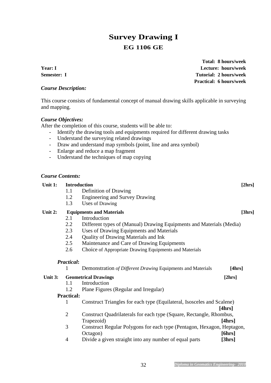# **Survey Drawing I EG 1106 GE**

**Total: 8 hours/week Year: I Lecture: hours/week Semester: I Tutorial: 2 hours/week Practical: 6 hours/week** 

#### *Course Description:*

This course consists of fundamental concept of manual drawing skills applicable in surveying and mapping.

#### *Course Objectives:*

After the completion of this course, students will be able to:

- Identify the drawing tools and equipments required for different drawing tasks
- Understand the surveying related drawings
- Draw and understand map symbols (point, line and area symbol)
- Enlarge and reduce a map fragment
- Understand the techniques of map copying

#### *Course Contents:*

| Unit 1: | <b>Introduction</b> |                                                                        | [2hrs]           |
|---------|---------------------|------------------------------------------------------------------------|------------------|
|         | 1.1                 | Definition of Drawing                                                  |                  |
|         | 1.2                 | <b>Engineering and Survey Drawing</b>                                  |                  |
|         | 1.3                 | Uses of Drawing                                                        |                  |
| Unit 2: |                     | <b>Equipments and Materials</b>                                        | [3hrs]           |
|         | 2.1                 | Introduction                                                           |                  |
|         | 2.2                 | Different types of (Manual) Drawing Equipments and Materials (Media)   |                  |
|         | 2.3                 | Uses of Drawing Equipments and Materials                               |                  |
|         | 2.4                 | <b>Quality of Drawing Materials and Ink</b>                            |                  |
|         | 2.5                 | Maintenance and Care of Drawing Equipments                             |                  |
|         | 2.6                 | Choice of Appropriate Drawing Equipments and Materials                 |                  |
|         | <b>Practical:</b>   |                                                                        |                  |
|         |                     |                                                                        |                  |
|         | 1                   | Demonstration of Different Drawing Equipments and Materials            | [4hrs]           |
| Unit 3: |                     | <b>Geometrical Drawings</b>                                            | [2hrs]           |
|         | 1.1                 | Introduction                                                           |                  |
|         | 1.2                 | Plane Figures (Regular and Irregular)                                  |                  |
|         | <b>Practical:</b>   |                                                                        |                  |
|         | 1                   | Construct Triangles for each type (Equilateral, Isosceles and Scalene) |                  |
|         |                     |                                                                        | [4hrs]           |
|         | $\overline{2}$      | Construct Quadrilaterals for each type (Square, Rectangle, Rhombus,    |                  |
|         |                     | Trapezoid)                                                             | [4hrs]           |
|         | 3                   | Construct Regular Polygons for each type (Pentagon, Hexagon, Heptagon, |                  |
|         |                     | Octagon)<br>Divide a given straight into any number of equal parts     | [6hrs]<br>[3hrs] |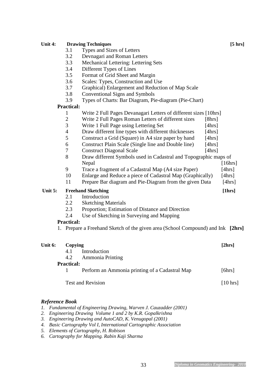## Unit 4: Drawing Techniques [5 hrs] 3.1 Types and Sizes of Letters 3.2 Devnagari and Roman Letters 3.3 Mechanical Lettering: Lettering Sets 3.4 Different Types of Lines 3.5 Format of Grid Sheet and Margin 3.6 Scales: Types, Construction and Use 3.7 Graphical) Enlargement and Reduction of Map Scale 3.8 Conventional Signs and Symbols 3.9 Types of Charts: Bar Diagram, Pie-diagram (Pie-Chart) **Practical:** 1 Write 2 Full Pages Devanagari Letters of different sizes [10hrs] 2 Write 2 Full Pages Roman Letters of different sizes [8hrs] 3 Write 1 Full Page using Lettering Set [4hrs] 4 Draw different line types with different thicknesses [4hrs] 5 Construct a Grid (Square) in A4 size paper by hand [4hrs] 6 Construct Plain Scale (Single line and Double line) [4hrs] 7 Construct Diagonal Scale [4hrs] 8 Draw different Symbols used in Cadastral and Topographic maps of Nepal [16hrs] 9 Trace a fragment of a Cadastral Map (A4 size Paper) [4hrs] 10 Enlarge and Reduce a piece of Cadastral Map (Graphically) [4hrs] 11 Prepare Bar diagram and Pie-Diagram from the given Data [4hrs] Unit 5: Freehand Sketching **[1hrs]** 2.1 Introduction 2.2 Sketching Materials 2.3 Proportion; Estimation of Distance and Direction 2.4 Use of Sketching in Surveying and Mapping **Practical:** 1. Prepare a Freehand Sketch of the given area (School Compound) and Ink **[2hrs]**  Unit 6: Copying **[2hrs]** 4.1 Introduction 4.2 Ammonia Printing **Practical:** 1 Perform an Ammonia printing of a Cadastral Map [6hrs] Test and Revision [10 hrs] [10 hrs] *Reference Book 1. Fundamental of Engineering Drawing, Warven J. Cauzadder (2001)*

- *2. Engineering Drawing Volume 1 and 2 by K.R. Gopalkrishna*
- *3. Engineering Drawing and AutoCAD, K. Venugopal (2001)*
- *4. Basic Cartography Vol I, International Cartographic Association*
- *5. Elements of Cartography, H. Robison*
- *6. Cartography for Mapping. Rabin Kaji Sharma*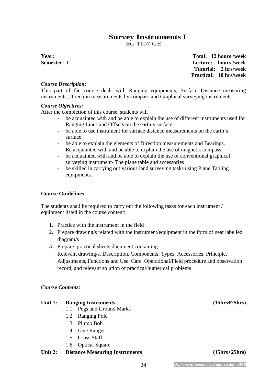### **Survey Instruments I**  EG 1107 GE

**Year: Total: 12 hours /week Semester: I Lecture: hours /week Tutorial: 2 hrs/week Practical: 10 hrs/week** 

#### *Course Description:*

This part of the course deals with Ranging equipments, Surface Distance measuring instruments, Direction measurements by compass and Graphical surveying instruments

#### *Course Objectives:*

After the completion of this course, students will

- be acquainted with and be able to explain the use of different instruments used for Ranging Lines and Offsets on the earth's surface.
- be able to use instrument for surface distance measurements on the earth's surface.
- be able to explain the elements of Direction measurements and Bearings.
- Be acquainted with and be able to explain the use of magnetic compass
- be acquainted with and be able to explain the use of conventional graphical surveying instrument- The plane table and accessories
- be skilled in carrying out various land surveying tasks using Plane Tabling equipments.

#### **Course Guidelines**

The students shall be required to carry out the following tasks for each instrument / equipment listed in the course content:

- 1. Practice with the instrument in the field
- 2. Prepare drawing/s related with the instrument/equipment in the form of neat labelled diagram/s
- 3. Prepare practical sheets document containing

Relevant drawing/s, Description, Components, Types, Accessories, Principle, Adjustments, Functions and Use, Care, Operational/Field procedure and observation record, and relevant solution of practical/numerical problems

#### *Course Contents:*

#### Unit 1: Ranging Instruments (15hrs+25hrs)

- 1.1 Pegs and Ground Marks
- 1.2 Ranging Pole
- 1.3 Plumb Bob
- 1.4 Line Ranger
- 1.5 Cross Staff
- 1.6 Optical Square

#### Unit 2: Distance Measuring Instruments (15hrs+25hrs)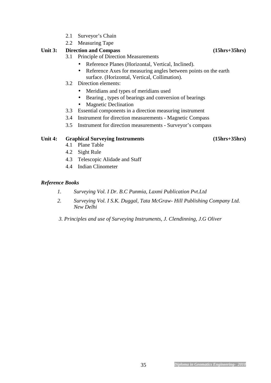- 2.1 Surveyor's Chain
- 2.2 Measuring Tape

#### **Unit 3: Direction and Compass (15hrs+35hrs)**

- 3.1 Principle of Direction Measurements
	- Reference Planes (Horizontal, Vertical, Inclined).
	- Reference Axes for measuring angles between points on the earth surface. (Horizontal, Vertical, Collimation).
- 3.2 Direction elements:
	- Meridians and types of meridians used
	- Bearing , types of bearings and conversion of bearings
	- Magnetic Declination
- 3.3 Essential components in a direction measuring instrument
- 3.4 Instrument for direction measurements Magnetic Compass
- 3.5 Instrument for direction measurements Surveyor's compass

#### **Unit 4: Graphical Surveying Instruments (15hrs+35hrs)**

- 4.1 Plane Table
- 4.2 Sight Rule
- 4.3 Telescopic Alidade and Staff
- 4.4 Indian Clinometer

#### *Reference Books*

- *1. Surveying Vol. I Dr. B.C Punmia, Laxmi Publication Pvt.Ltd*
- *2. Surveying Vol. I S.K. Duggal, Tata McGraw- Hill Publishing Company Ltd. New Delhi*
- *3. Principles and use of Surveying Instruments, J. Clendinning, J.G Oliver*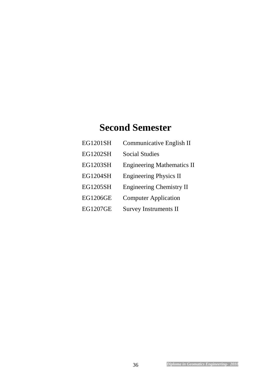# **Second Semester**

| EG1201SH        | Communicative English II          |
|-----------------|-----------------------------------|
| <b>EG1202SH</b> | <b>Social Studies</b>             |
| <b>EG1203SH</b> | <b>Engineering Mathematics II</b> |
| <b>EG1204SH</b> | <b>Engineering Physics II</b>     |
| <b>EG1205SH</b> | <b>Engineering Chemistry II</b>   |
| <b>EG1206GE</b> | <b>Computer Application</b>       |
| <b>EG1207GE</b> | <b>Survey Instruments II</b>      |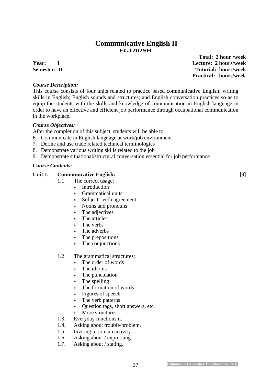## **Communicative English II EG1202SH**

#### *Course Description:*

This course consists of four units related to practice based communicative English; writing skills in English; English sounds and structures; and English conversation practices so as to equip the students with the skills and knowledge of communication in English language in order to have an effective and efficient job performance through occupational communication in the workplace.

#### *Course Objectives:*

After the completion of this subject, students will be able to:

- 6. Communicate in English language at work/job environment
- 7. Define and use trade related technical terminologies
- 8. Demonstrate various writing skills related to the job
- 9. Demonstrate situational/structural conversation essential for job performance

#### *Course Contents:*

#### **Unit 1. Communicative English: [3]**

- 1.1 The correct usage:
	- Introduction
	- Grammatical units:
	- Subject –verb agreement
	- Nouns and pronouns
	- The adjectives
	- The articles
	- The verbs
	- The adverbs
	- The prepositions
	- The conjunctions

#### 1.2 The grammatical structures:

- The order of words
- The idioms
- The punctuation
- The spelling
- The formation of words
- Figures of speech
- The verb patterns
- Ouestion tags, short answers, etc.
- More structures
- 1.3. Everyday functions ii.
- 1.4. Asking about trouble/problem.
- 1.5. Inviting to join an activity.
- 1.6. Asking about / expressing.
- 1.7. Asking about / stating.

 **Total: 2 hour /week Year: I Lecture: 2 hours/week Semester: II** Tutorial: hours/week  **Practical: hours/week**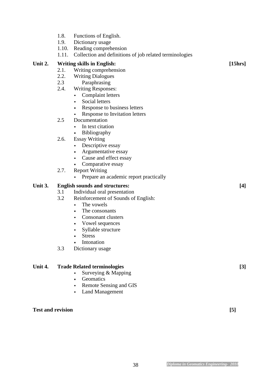- 1.8. Functions of English.
- 1.9. Dictionary usage
- 1.10. Reading comprehension
- 1.11. Collection and definitions of job related terminologies

#### Unit 2. Writing skills in English: [15hrs]

- 2.1. Writing comprehension
- 2.2. Writing Dialogues
- 2.3 Paraphrasing
- 2.4. Writing Responses:
	- Complaint letters
	- Social letters
	- Response to business letters
	- Response to Invitation letters
- 2.5 Documentation
	- In text citation
	- Bibliography
- 2.6. Essay Writing
	- Descriptive essay
	- Argumentative essay
	- Cause and effect essay
	- Comparative essay
- 2.7. Report Writing
	- Prepare an academic report practically

#### **Unit 3. English sounds and structures: [4]**

- 3.1 Individual oral presentation
- 3.2 Reinforcement of Sounds of English:
	- The vowels
	- The consonants
	- Consonant clusters
	- Vowel sequences
	- Syllable structure
	- Stress
	- Intonation
- 3.3 Dictionary usage

#### Unit 4. **Trade Related terminologies** [3]

- Surveying & Mapping
- Geomatics
- Remote Sensing and GIS
- Land Management

Test and revision [5]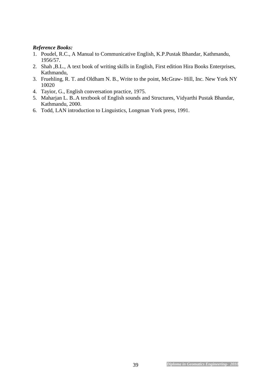#### *Reference Books:*

- 1. Poudel, R.C., A Manual to Communicative English, K.P.Pustak Bhandar, Kathmandu, 1956/57.
- 2. Shah ,B.L., A text book of writing skills in English, First edition Hira Books Enterprises, Kathmandu,
- 3. Fruehling, R. T. and Oldham N. B., Write to the point, McGraw- Hill, Inc. New York NY 10020
- 4. Tayior, G., English conversation practice, 1975.
- 5. Maharjan L. B..A textbook of English sounds and Structures, Vidyarthi Pustak Bhandar, Kathmandu, 2000.
- 6. Todd, LAN introduction to Linguistics, Longman York press, 1991.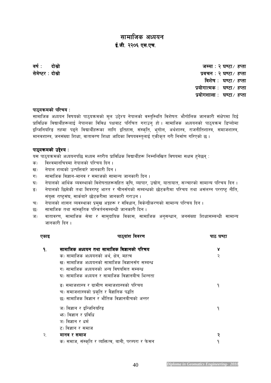# *सामाजिक अध्ययन* ई.जी. २२०६ एस.एच.

*jif{M bf];|f] bf];|f] hDdfM @ 306f÷ xKtf 306f÷ xKtf ;]d]i6/ ;]d]i6/Mbf];|f] bf];|f] bf];|f] k|jrgM @ 306f÷ xKtf M @ 306f÷ xKtfM @ 306f÷ xKtf विशेष* : घण्टा / हप्ता  *k|of]ufTds k|of]ufTdsM 306f÷ xKtf M 306f÷ xKtf k|of]uzfnf k|of]uzfnfM 306f÷ xKtf M 306f÷ xKtf* 

#### *kf7\oqmdsf] kl/ro oqmdsf] kl/ro kl/roM*

*;fdflhs cWoog ljifosf] kf7\oqmdsf] d"n p2]Zo g]kfnsf] j:t'l:ylt ljz]iftM ef}uf]lns hfgsf/L ;+If]kdf lbO{ k|fljlws ljBfyL{x¿nfO{ g]kfnsf ljljw kIfaf6 kl/lrt u/fpg' xf] . ;fdflhs cWoogsf] kf7\oqmd l8Knf]df*  इन्जिनियरिङ तहमा पढ्ने विद्यार्थीहरूका लागि इतिहास, संस्कृति, भूगोल, अर्थशास्त्र, राजनीतिशास्त्र, समाजशास्त्र, मानवशास्त्र, जनसंख्या शिक्षा, वातावरण शिक्षा आदिका विषयवस्तुलाई एकीकृत गरी निर्माण गरिएको छ ।

#### *kf7\oqmdsf] p2]Zo oqmdsf] p2]ZoM*

यस पाठ्यक्रमको अध्ययनपछि मध्यम स्तरीय प्राविधिक विद्यार्थीहरू निम्नलिखित विषयमा सक्षम हुनेछन् :

- $\overline{\boldsymbol{\phi}}$ ) विश्वमानचित्रमा नेपालको परिचय दिन ।
- *<i>v* and **propertion** in the set of the contribution  $\mathbf{r}_k$  is a set of the set of  $\mathbf{r}_k$
- *u\_ ;fdflhs lj1fg–dfgj / ;dfhsf] ;fdfGo hfgsf/L lbg .*
- घ) नेपालको आर्थिक व्यवस्थाको विशेषताहरूसहित कृषि, व्यापार, उद्योग, यातायात, सञ्चारको सामान्य परिचय दिन ।
- ङ) नेपालको छिमेकी तथा मित्रराष्ट् भारत र चीनसँगको सम्बन्धको छोटकरीमा परिचय तथा असंलग्न परराष्ट् नीति, *;+o'Qm /fi6«;+3, ;fs{af/] 5f]6s/Ldf hfgsf/L u/fpg .*
- च) नेपालको शासन व्यवस्थाका प्रमुख अङ्गहरू र संविधान, विकेन्द्रीकरणको सामान्य परिचय दिन ।
- *5\_ ;fdflhs tyf ;f+:s[lts kl/jt{g;DaGwL hfgsf/L lbg .*
- ज) वातावरण, सामाजिक सेवा र सामुदायिक विकास, सामाजिक अनुसन्धान, जनसंख्या शिक्षासम्बन्धी सामान्य *जानकारी दिन* ।

| एकाइ | पाठ्यांश विवरण                                       | पाठ घण्टा |
|------|------------------------------------------------------|-----------|
|      | सामाजिक अध्ययन तथा सामाजिक विज्ञानको परिचय           | γ         |
|      | क) सामाजिक अध्ययनको अर्थ, क्षेत्र, महत्व             | २         |
|      | ख) सामाजिक अध्ययनको सामाजिक विज्ञानसँग सम्बन्ध       |           |
|      | ग) सामाजिक अध्ययनको अन्य विषयसित सम्बन्ध             |           |
|      | घ) सामाजिक अध्ययन र सामाजिक विज्ञानबीच भिन्नता       |           |
|      | ङ) समाजशास्त्र र ग्रामीण समाजशास्त्रको परिचय         | ٩         |
|      | च) समाजशास्त्रको प्रकृति र वैज्ञानिक पद्धति          |           |
|      | छ) सामाजिक विज्ञान र भौतिक विज्ञानबीचको अन्तर        |           |
|      | ज) विज्ञान र इन्जिनियरिङ                             | ٩         |
|      | भ्रुः) विज्ञान र प्रविधि                             |           |
|      | ञ) विज्ञान र धर्म                                    |           |
|      | ट) विज्ञान र समाज                                    |           |
| २.   | मानव र समाज                                          |           |
|      | क) समाज, संस्कृति र व्यक्तित्व, बानी, परम्परा र फेसन | a         |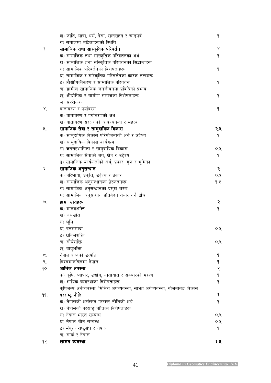|                 | ख) जाति, भाषा, धर्म, पेसा, रहनसहन र चाडपर्व                                       | ۹    |
|-----------------|-----------------------------------------------------------------------------------|------|
|                 | ग) समाजमा महिलाहरूको स्थिति                                                       |      |
| ३.              | सामाजिक तथा सांस्कृतिक परिवर्तन                                                   | γ    |
|                 | क) सामाजिक तथा सांस्कृतिक परिवर्तनका अर्थ                                         | ۹    |
|                 | ख) सामाजिक तथा सांस्कृतिक परिवर्तनका सिद्धान्तहरू                                 |      |
|                 | ग) सामाजिक परिवर्तनको विशेषताहरू                                                  | ۹    |
|                 | घ) सामाजिक र सांस्कृतिक परिवर्तनका कारक तत्वहरू                                   |      |
|                 | ङ) औद्योगिकीकरण र सामाजिक परिवर्तन                                                | ٩    |
|                 | च) ग्रामीण सामाजिक जनजीवनमा प्रविधिको प्रभाव                                      |      |
|                 | छ) औद्योगिक र ग्रामीण समाजका विशेषताहरू                                           | ۹    |
|                 | ज) सहरीकरण                                                                        |      |
| $\lambda$       | वातावरण र पर्यावरण                                                                | ۹    |
|                 | क) वातावरण र पर्यावरणको अर्थ                                                      |      |
|                 | ख) वातावरण संरक्षणको आवश्यकता र महत्व                                             |      |
| ५.              | सामाजिक सेवा र सामुदायिक विकास                                                    | २.५  |
|                 | क) सामुदायिक विकास परियोजनाको अर्थ र उद्देश्य                                     | ۹    |
|                 | ख) सामुदायिक विकास कार्यक्रम                                                      |      |
|                 | ग) जनसहभागिता र सामुदायिक विकास                                                   | Q, Q |
|                 | घ) सामाजिक सेवाको अर्थ, क्षेत्र र उद्देश्य                                        | ۹    |
|                 | ङ) सामाजिक कार्यकर्ताको अर्थ, प्रकार, गुण र भूमिका                                |      |
| ٤.              | सामाजिक अनुसन्धान                                                                 | २    |
|                 | क) परिभाषा, प्रकृति, उद्देश्य र प्रकार                                            | ०.५  |
|                 | ख) सामाजिक अनुसन्धानका प्रेरकताहरू                                                | १.१  |
|                 | ग) सामाजिक अनुसन्धानका प्रमुख चरण                                                 |      |
|                 | घ) सामाजिक अनुसन्धान प्रतिवेदन तयार गर्ने ढाँचा                                   |      |
| ৩               | हाम्रा स्रोतहरू                                                                   | २    |
|                 | क) मानवशक्ति                                                                      | ۹    |
|                 | ख) जलस्रोत                                                                        |      |
|                 | ग) भूमि                                                                           |      |
|                 | घ) वनसम्पदा                                                                       | ०.५  |
|                 | ङ) खनिजशक्ति                                                                      |      |
|                 | च) सौर्यशक्ति                                                                     | Q, Q |
|                 | छ) वायुशक्ति                                                                      |      |
| ζ.              | नेपाल शब्दको उत्पत्ति                                                             | ٩    |
| $\mathcal{S}$ . | विश्वमानचित्रमा नेपाल                                                             | ۹    |
| qo.             | आर्थिक अवस्था                                                                     | २    |
|                 | क) कृषि, व्यापार, उद्योग, यातायात र सञ्चारको महत्व                                | ۹    |
|                 | ख) आर्थिक व्यवस्थाका विशेषताहरू                                                   | ۹    |
|                 | कृषिजन्य अर्थव्यवस्था, मिश्रित अर्थव्यवस्था, साभ्रा अर्थव्यवस्था, योजनाबद्ध विकास |      |
| 99.             | परराष्ट्र नीति                                                                    | ३    |
|                 | क) नेपालको असंलग्न परराष्ट् नीतिको अर्थ                                           | ٩    |
|                 | ख) नेपालको परराष्ट्र नीतिका विशेषताहरू                                            |      |
|                 | ग) नेपाल भारत सम्बन्ध                                                             | Q, Q |
|                 | घ) नेपाल चीन सम्बन्ध                                                              | ०.५  |
|                 | ङ) संयुक्त राष्ट्रसंघ र नेपाल                                                     | ۹    |
|                 | च) सार्क र नेपाल                                                                  |      |
| $9$ २.          | शासन व्यवस्था                                                                     | ३.४  |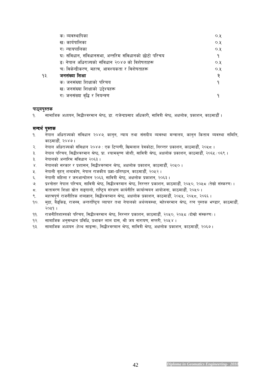|     | क) व्यवस्थापिका                                      | $O, \lambda$ |
|-----|------------------------------------------------------|--------------|
|     | ख) कार्यपालिका                                       | $O, \lambda$ |
|     | ग) न्यायपालिका                                       | $O, \lambda$ |
|     | घ) संविधान, संविधानसभा, अन्तरिम संविधानको छोटो परिचय | ٩            |
|     | ड़) नेपाल अधिराज्यको संविधान २०४७ को विशेषताहरू      | $O, \lambda$ |
|     | च) विकेन्द्रीकरण, महत्व, आवश्यकता र विशेषताहरू       | $O, \lambda$ |
| ۹३. | जनसंख्या शिक्षा                                      | २            |
|     | क) जनसंख्या शिक्षाको परिचय                           | ٩            |
|     | ख) जनसंख्या शिक्षाको उद्देश्यहरू                     |              |
|     | ग) जनसंख्या वृद्धि र नियन्त्रण                       |              |

#### पाठ्**यपुस्तक**

*!= ;fdflhs cWoog, l;4LZj/dfg >]i7, 8f= /fh]Gb|k|;fb clwsf/L, ;fljqL >]i7, cIfnf]s, k|sfzg, sf7df8f}F .* 

#### *;Gbe{ k':ts k':ts*

- *!= g]kfn clw/fHosf] ;+ljwfg @)\$&, sfg'g, Gofo tyf ;+;bLo Joj:yf dGqfno, sfg'g lstfa Joj:yf ;ldlt, sf7df8f}F, @)\$& .*
- *@= g]kfn clw/fHosf] ;+ljwfg @)\$& M Ps l6Kk0fL, lvdnfn b]jsf]6f, lg/Gt/ k|sfzg, sf7df8f}F, @)%\* .*
- $3.$  नेपाल परिचय, सिद्धीश्वरमान श्रेष्ठ, प्रा. श्यामकृष्ण जोशी, सावित्री श्रेष्ठ, अक्षलोक प्रकाशन, काठमाडौँ, २०६५ ⁄ ०६९ ।
- *#= g]kfnsf] cGtl/d ;+ljwfg @)^# .*
- *\$= g]kfnsf] ;/sf/ / k|zf;g, l;4LZj/dfg >]i7, cIfnf]s k|sfzg, sf7df8f}F, @)%) .*
- *%= g]kfnL a[xt\ zAbsf]if, g]kfn /fhsLo k|1f–k|lti7fg, sf7df8f}F, @)%@ .*
- *^= g]kfnL dlxnf / hgcfGbf]ng @)^#, ;fljqL >]i7, cIfnf]s k|sfzg, @)^# .*
- *&= k|Zgf]Q/ g]kfn kl/ro, ;fljqL >]i7, l;4LZj/dfg >]i7, lg/Gt/ k|sfzg, sf7df8f}F, @)%), @)%\* -t];|f] ;+:s/0f\_ .*
- *\*= jftfj/0f lzIff ;|f]t ;ª\ufnf], /fli6«o ;+/If0f sfo{gLlt sfof{Gjog cfof]hgf, sf7df8f}F, @)%) .*
- ९. महत्वपूर्ण राजनीतिक शब्दज्ञान, सिद्धीश्वरमान श्रेष्ठ, अक्षलोक प्रकाशन, काठमाडौँ, २०५५, २०५८, २०६६ ।
- *!)= d'b|f, a}ª\lsª, /fh:j, cGt/f{li6«o Jofkf/ tyf g]kfnsf] cy{Joj:yf, dx]Zj/dfg >]i7, /Tg k':ts e08f/, sf7df8f}F, @)%! .*
- *!!= /fhgLltzf:qsf] kl/ro, l;4LZj/dfg >]i7, lg/Gt/ k|sfzg, sf7df8f}F, @)%), @)%\* -bf];|f] ;+:s/0f\_ .*
- *!@= ;fdflhs cg';Gwfg k|ljlw, k|efs/ nfn bf;, >L ho gf/fo0f, ;Kt/L, @)%\$ .*
- १३. सामाजिक अध्ययन (हेल्थ साइन्स), सिद्धीश्वरमान श्रेष्ठ, सावित्री श्रेष्ठ, अक्षलोक प्रकाशन, काठमाडौँ, २०६७।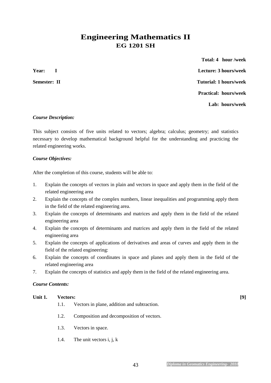# **Engineering Mathematics II EG 1201 SH**

 **Total: 4 hour /week Year: I Lecture: 3 hours/week Semester: II** Tutorial: 1 hours/week  **Practical: hours/week Lab: hours/week** 

#### *Course Description:*

This subject consists of five units related to vectors; algebra; calculus; geometry; and statistics necessary to develop mathematical background helpful for the understanding and practicing the related engineering works.

#### *Course Objectives:*

After the completion of this course, students will be able to:

- 1. Explain the concepts of vectors in plain and vectors in space and apply them in the field of the related engineering area
- 2. Explain the concepts of the complex numbers, linear inequalities and programming apply them in the field of the related engineering area.
- 3. Explain the concepts of determinants and matrices and apply them in the field of the related engineering area
- 4. Explain the concepts of determinants and matrices and apply them in the field of the related engineering area
- 5. Explain the concepts of applications of derivatives and areas of curves and apply them in the field of the related engineering:
- 6. Explain the concepts of coordinates in space and planes and apply them in the field of the related engineering area
- 7. Explain the concepts of statistics and apply them in the field of the related engineering area.

#### *Course Contents:*

#### **Unit 1. Vectors: [9]**

1.1. Vectors in plane, addition and subtraction.

- 1.2. Composition and decomposition of vectors.
- 1.3. Vectors in space.
- 1.4. The unit vectors i, j, k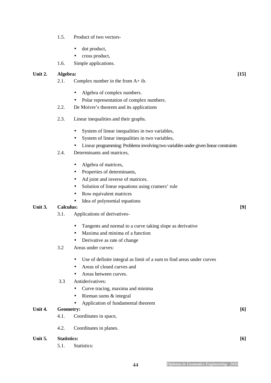- 1.5. Product of two vectors-
	- dot product,
	- cross product,
- 1.6. Simple applications.

#### **Unit 2. Algebra: [15]**

- 2.1. Complex number in the from A+ ib.
	- Algebra of complex numbers.
	- Polar representation of complex numbers.
- 2.2. De Moivre's theorem and its applications
- 2.3. Linear inequalities and their graphs.
	- System of linear inequalities in two variables,
	- System of linear inequalities in two variables,
	- Linear programming: Problems involving two variables under given linear constraints
- 2.4. Determinants and matrices,
	- Algebra of matrices,
	- Properties of determinants,
	- Ad joint and inverse of matrices.
	- Solution of linear equations using cramers' rule
	- Row equivalent matrices
	- Idea of polynomial equations

#### **Unit 3. Calculus: [9]**

- 3.1. Applications of derivatives-
	- Tangents and normal to a curve taking slope as derivative
	- Maxima and minima of a function
	- Derivative as rate of change

#### 3.2 Areas under curves:

- Use of definite integral as limit of a sum to find areas under curves
- Areas of closed curves and
- Areas between curves.
- 3.3 Antiderivatives:
	- Curve tracing, maxima and minima
	- Rieman sums & integral
	- Application of fundamental theorem

#### **Unit 4. Geometry: [6]**

- 4.1. Coordinates in space,
- 4.2. Coordinates in planes.

#### **Unit 5. Statistics: [6]**

5.1. Statistics: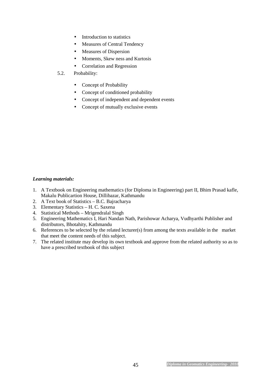- Introduction to statistics
- Measures of Central Tendency
- Measures of Dispersion
- Moments, Skew ness and Kurtosis
- Correlation and Regression
- 5.2. Probability:
	- Concept of Probability
	- Concept of conditioned probability
	- Concept of independent and dependent events
	- Concept of mutually exclusive events

#### *Learning materials:*

- 1. A Textbook on Engineering mathematics (for Diploma in Engineering) part II, Bhim Prasad kafle, Makalu Publicartion House, Dillibazar, Kathmandu
- 2. A Text book of Statistics B.C. Bajracharya
- 3. Elementary Statistics H. C. Saxena
- 4. Statistical Methods Mrigendralal Singh
- 5. Engineering Mathematics I, Hari Nandan Nath, Parishowar Acharya, Vudhyarthi Publisher and distributors, Bhotahity, Kathmandu
- 6. References to be selected by the related lecturer(s) from among the texts available in the market that meet the content needs of this subject.
- 7. The related institute may develop its own textbook and approve from the related authority so as to have a prescribed textbook of this subject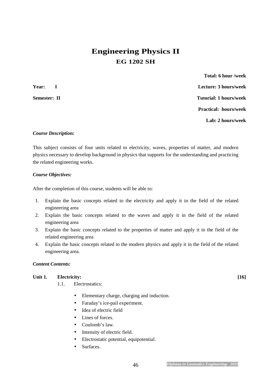# **Engineering Physics II EG 1202 SH**

 **Total: 6 hour /week Year: I Lecture: 3 hours/week Semester: II** Tutorial: 1 hours/week  **Practical: hours/week Lab: 2 hours/week** 

#### *Course Description:*

This subject consists of four units related to electricity, waves, properties of matter, and modern physics necessary to develop background in physics that supports for the understanding and practicing the related engineering works.

#### *Course Objectives:*

After the completion of this course, students will be able to:

- 1. Explain the basic concepts related to the electricity and apply it in the field of the related engineering area
- 2. Explain the basic concepts related to the waves and apply it in the field of the related engineering area
- 3. Explain the basic concepts related to the properties of matter and apply it in the field of the related engineering area
- 4. Explain the basic concepts related to the modern physics and apply it in the field of the related engineering area.

#### *Content Contents:*

#### **Unit 1. Electricity: [16]**

1.1. Electrostatics:

- Elementary charge, charging and induction.
- Faraday's ice-pail experiment.
- Idea of electric field
- Lines of forces.
- Coulomb's law.
- Intensity of electric field.
- Electrostatic potential, equipotential.
- Surfaces.

46 *Diploma in Geomatics Engineering- 2010*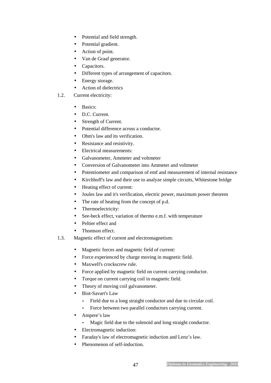- Potential and field strength.
- Potential gradient.
- Action of point.
- Van de Graaf generator.
- Capacitors.
- Different types of arrangement of capacitors.
- Energy storage.
- Action of dielectrics
- 1.2. Current electricity:
	- Basics:
	- D.C. Current.
	- Strength of Current.
	- Potential difference across a conductor.
	- Ohm's law and its verification.
	- Resistance and resistivity.
	- Electrical measurements:
	- Galvanometer, Ammeter and voltmeter
	- Conversion of Galvanometer into Ammeter and voltmeter
	- Potentiometer and comparison of emf and measurement of internal resistance
	- Kirchhoff's law and their use to analyze simple circuits, Whitestone bridge
	- Heating effect of current:
	- Joules law and it's verification, electric power, maximum power theorem
	- The rate of heating from the concept of p.d.
	- Thermoelectricity:
	- See-beck effect, variation of thermo e.m.f. with temperature
	- Peltier effect and
	- Thomson effect.
- 1.3. Magnetic effect of current and electromagnetism:
	- Magnetic forces and magnetic field of current:
	- Force experienced by charge moving in magnetic field.
	- Maxwell's crockscrew rule.
	- Force applied by magnetic field on current carrying conductor.
	- Torque on current carrying coil in magnetic field.
	- Theory of moving coil galvanometer.
	- Biot-Savart's Law
		- Field due to a long straight conductor and due to circular coil.
		- Force between two parallel conductors carrying current.
	- Ampere's law
		- Magic field due to the solenoid and long straight conductor.
	- Electromagnetic induction:
	- Faraday's law of electromagnetic induction and Lenz's law.
	- Phenomenon of self-induction.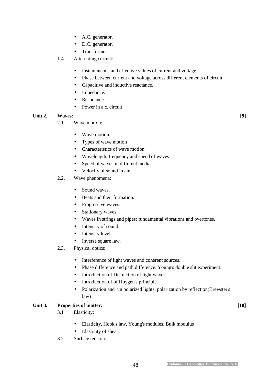- A.C. generator.
- D.C. generator.
- Transformer.
- 1.4 Alternating current:
	- Instantaneous and effective values of current and voltage.
	- Phase between current and voltage across different elements of circuit.
	- Capacitive and inductive reactance.
	- Impedance.
	- Resonance.
	- Power in a.c. circuit

#### **Unit 2. Waves: [9]**

2.1. Wave motion:

- Wave motion.
- Types of wave motion
- Characteristics of wave motion
- Wavelength, frequency and speed of waves
- Speed of waves in different media.
- Velocity of sound in air.
- 2.2. Wave phenomena:
	- Sound waves.
	- Beats and their formation.
	- Progressive waves.
	- Stationary waves.
	- Waves in strings and pipes: fundamental vibrations and overtones.
	- Intensity of sound.
	- Intensity level.
	- Inverse square law.
- 2.3. Physical optics:
	- Interference of light waves and coherent sources.
	- Phase difference and path difference. Young's double slit experiment.
	- Introduction of Diffraction of light waves.
	- Introduction of of Huygen's principle.
	- Polarization and un polarized lights, polarization by reflection(Brewster's law)

#### Unit 3. Properties of matter: [10]

- 3.1 Elasticity:
	- Elasticity, Hook's law, Young's modules, Bulk modulus
	- Elasticity of shear.
- 3.2 Surface tension: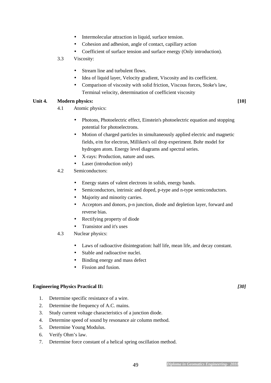- Intermolecular attraction in liquid, surface tension.
- Cohesion and adhesion, angle of contact, capillary action
- Coefficient of surface tension and surface energy (Only introduction).

#### 3.3 Viscosity:

- Stream line and turbulent flows.
- Idea of liquid layer, Velocity gradient, Viscosity and its coefficient.
- Comparison of viscosity with solid friction, Viscous forces, Stoke's law, Terminal velocity, determination of coefficient viscosity

#### Unit 4. Modern physics: *Modern physics: Modern physics: Modern physics:* **<b>***Modern physics: Modern physics: Modern physics: Modern physics:*

- 4.1 Atomic physics:
	- Photons, Photoelectric effect, Einstein's photoelectric equation and stopping potential for photoelectrons.
	- Motion of charged particles in simultaneously applied electric and magnetic fields, e/m for electron, Milliken's oil drop experiment. Bohr model for hydrogen atom. Energy level diagrams and spectral series.
	- X-rays: Production, nature and uses.
	- Laser (introduction only)
- 4.2 Semiconductors:
	- Energy states of valent electrons in solids, energy bands.
	- Semiconductors, intrinsic and doped, p-type and n-type semiconductors.
	- Majority and minority carries.
	- Acceptors and donors, p-n junction, diode and depletion layer, forward and reverse bias.
	- Rectifying property of diode
	- Transistor and it's uses
- 4.3 Nuclear physics:
	- Laws of radioactive disintegration: half life, mean life, and decay constant.
	- Stable and radioactive nuclei.
	- Binding energy and mass defect
	- Fission and fusion.

#### **Engineering Physics Practical II:** *[30]*

- 1. Determine specific resistance of a wire.
- 2. Determine the frequency of A.C. mains.
- 3. Study current voltage characteristics of a junction diode.
- 4. Determine speed of sound by resonance air column method.
- 5. Determine Young Modulus.
- 6. Verify Ohm's law.
- 7. Determine force constant of a helical spring oscillation method.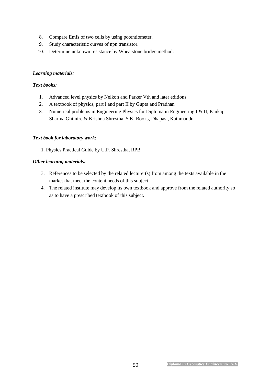- 8. Compare Emfs of two cells by using potentiometer.
- 9. Study characteristic curves of npn transistor.
- 10. Determine unknown resistance by Wheatstone bridge method.

#### *Learning materials:*

#### *Text books:*

- 1. Advanced level physics by Nelkon and Parker Vth and later editions
- 2. A textbook of physics, part I and part II by Gupta and Pradhan
- 3. Numerical problems in Engineering Physics for Diploma in Engineering I & II, Pankaj Sharma Ghimire & Krishna Shrestha, S.K. Books, Dhapasi, Kathmandu

#### *Text book for laboratory work:*

1. Physics Practical Guide by U.P. Shrestha, RPB

#### *Other learning materials:*

- 3. References to be selected by the related lecturer(s) from among the texts available in the market that meet the content needs of this subject
- 4. The related institute may develop its own textbook and approve from the related authority so as to have a prescribed textbook of this subject.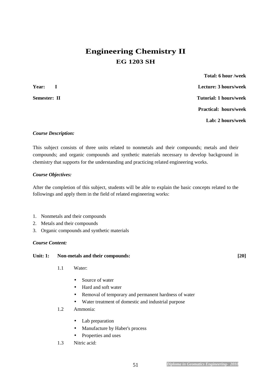# **Engineering Chemistry II EG 1203 SH**

 **Total: 6 hour /week Year: I Lecture: 3 hours/week Semester: II** Tutorial: 1 hours/week  **Practical: hours/week Lab: 2 hours/week** 

#### *Course Description:*

This subject consists of three units related to nonmetals and their compounds; metals and their compounds; and organic compounds and synthetic materials necessary to develop background in chemistry that supports for the understanding and practicing related engineering works.

#### *Course Objectives:*

After the completion of this subject, students will be able to explain the basic concepts related to the followings and apply them in the field of related engineering works:

- 1. Nonmetals and their compounds
- 2. Metals and their compounds
- 3. Organic compounds and synthetic materials

#### *Course Content:*

#### Unit: 1: Non-metals and their compounds: [20]

- 1.1 Water:
	- Source of water
	- Hard and soft water
	- Removal of temporary and permanent hardness of water
	- Water treatment of domestic and industrial purpose
- 1.2 Ammonia:
	- Lab preparation
	- Manufacture by Haber's process
	- Properties and uses
- 1.3 Nitric acid: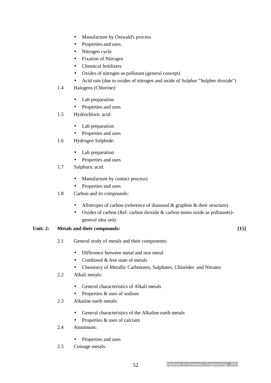- Manufacture by Ostwald's process
- Properties and uses.
- Nitrogen cycle
- Fixation of Nitrogen
- Chemical fertilizers
- Oxides of nitrogen as pollutant (general concept)
- Acid rain (due to oxides of nitrogen and oxide of Sulphur "Sulpher dioxide")
- 1.4 Halogens (Chlorine):
	- Lab preparation
	- Properties and uses
- 1.5 Hydrochloric acid:
	- Lab preparation
	- Properties and uses
- 1.6 Hydrogen Sulphide:
	- Lab preparation
	- Properties and uses
- 1.7 Sulphuric acid:
	- Manufacture by contact process)
	- Properties and uses
- 1.8 Carbon and its compounds:
	- Allotropes of carbon (reference of diamond & graphite & their structure).
	- Oxides of carbon (Ref. carbon dioxide & carbon mono oxide as pollutants) general idea only

#### Unit: 2: Metals and their compounds: [15]

2.1 General study of metals and their components:

- Difference between metal and non metal
- Combined & free state of metals
- Chemistry of Metallic Carbonates, Sulphates, Chlorides and Nitrates
- 2.2 Alkali metals:
	- General characteristics of Alkali metals
	- Properties & uses of sodium
- 2.3 Alkaline earth metals:
	- General characteristics of the Alkaline earth metals
	- Properties & uses of calcium
- 2.4 Aluminum:
	- Properties and uses
- 2.5 Coinage metals: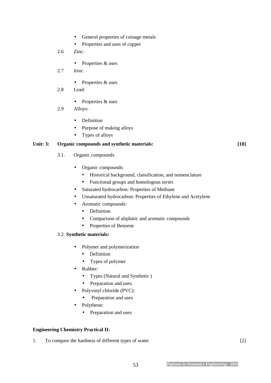- General properties of coinage metals
- Properties and uses of cupper
- 2.6 Zinc:
	- Properties & uses
- 2.7 Iron:
	- Properties & uses
- 2.8 Lead:
	- Properties & uses
- 2.9 Alloys:
	- Definition
	- Purpose of making alloys
	- Types of alloys

#### Unit: 3: Organic compounds and synthetic materials: [10]

- 3.1. Organic compounds
	- Organic compounds:
		- Historical background, classification, and nomenclature
		- Functional groups and homologous series
	- Saturated hydrocarbon: Properties of Methane
	- Unsaturated hydrocarbon: Properties of Ethylene and Acetylene
	- Aromatic compounds:
		- Definition
		- Comparison of aliphatic and aromatic compounds
		- Properties of Benzene

#### 3.2. **Synthetic materials:**

- Polymer and polymerization
	- Definition
	- Types of polymer
- Rubber:
	- Types (Natural and Synthetic )
	- Preparation and uses.
- Polyvinyl chloride (PVC):
	- Preparation and uses
- Polythene:
	- Preparation and uses

#### **Engineering Chemistry Practical II:**

1. To compare the hardness of different types of water [2]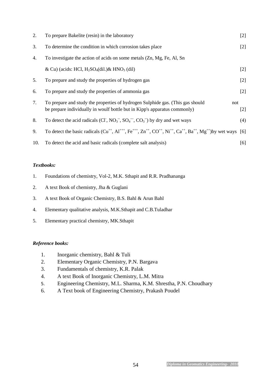| 2.  | To prepare Bakelite (resin) in the laboratory                                                                                                                      | $[2]$ |
|-----|--------------------------------------------------------------------------------------------------------------------------------------------------------------------|-------|
| 3.  | To determine the condition in which corrosion takes place                                                                                                          | $[2]$ |
| 4.  | To investigate the action of acids on some metals (Zn, Mg, Fe, Al, Sn                                                                                              |       |
|     | & Cu) (acids: HCl, $H_2SO_4$ (dil.) & HNO <sub>3</sub> (dil)                                                                                                       | $[2]$ |
| 5.  | To prepare and study the properties of hydrogen gas                                                                                                                | $[2]$ |
| 6.  | To prepare and study the properties of ammonia gas                                                                                                                 | $[2]$ |
| 7.  | To prepare and study the properties of hydrogen Sulphide gas. (This gas should<br>not<br>be prepare individually in woulf bottle but in Kipp's apparatus commonly) | $[2]$ |
| 8.  | To detect the acid radicals (CI, $NO_3^-$ , $SO_4^-$ , $CO_3^-$ ) by dry and wet ways                                                                              | (4)   |
| 9.  | To detect the basic radicals $(Cu^{++}, Al^{+++}, Fe^{+++}, Zn^{++}, CO^{++}, Ni^{++}, Ca^{++}, Ba^{++}, Mg^{++})$ by wet ways [6]                                 |       |
| 10. | To detect the acid and basic radicals (complete salt analysis)                                                                                                     | [6]   |

#### *Textbooks:*

- 1. Foundations of chemistry, Vol-2, M.K. Sthapit and R.R. Pradhananga
- 2. A text Book of chemistry, Jha & Guglani
- 3. A text Book of Organic Chemistry, B.S. Bahl & Arun Bahl
- 4. Elementary qualitative analysis, M.K.Sthapit and C.B.Tuladhar
- 5. Elementary practical chemistry, MK.Sthapit

#### *Reference books:*

- 1. Inorganic chemistry, Bahl & Tuli
- 2. Elementary Organic Chemistry, P.N. Bargava
- 3. Fundamentals of chemistry, K.R. Palak
- 4. A text Book of Inorganic Chemistry, L.M. Mitra
- 5. Engineering Chemistry, M.L. Sharma, K.M. Shrestha, P.N. Choudhary
- 6. A Text book of Engineering Chemistry, Prakash Poudel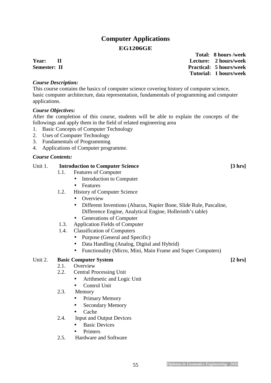# **Computer Applications EG1206GE**

#### *Course Description:*

This course contains the basics of computer science covering history of computer science, basic computer architecture, data representation, fundamentals of programming and computer applications.

#### *Course Objectives:*

After the completion of this course, students will be able to explain the concepts of the followings and apply them in the field of related engineering area

- 1. Basic Concepts of Computer Technology
- 2. Uses of Computer Technology
- 3. Fundamentals of Programming
- 4. Applications of Computer programme.

#### *Course Contents:*

#### Unit 1. **Introduction to Computer Science** [3 hrs]

- 1.1. Features of Computer
	- Introduction to Computer
	- Features
- 1.2. History of Computer Science
	- Overview
	- Different Inventions (Abacus, Napier Bone, Slide Rule, Pascaline, Difference Engine, Analytical Engine, Hollerinth's table)
	- Generations of Computer
- 1.3. Application Fields of Computer
- 1.4. Classification of Computers
	- Purpose (General and Specific)
	- Data Handling (Analog, Digital and Hybrid)
	- Functionality (Micro, Mini, Main Frame and Super Computers)

#### Unit 2. **Basic Computer System** [2 hrs]

- 2.1. Overview
- 2.2. Central Processing Unit
	- Arithmetic and Logic Unit
	- Control Unit
- 2.3. Memory
	- Primary Memory
	- Secondary Memory
	- Cache
- 2.4. Input and Output Devices
	- Basic Devices
	- Printers
- 2.5. Hardware and Software

 **Total: 8 hours /week Year: II Lecture: 2 hours/week Semester: II** Practical: 5 hours/week  **Tutorial: 1 hours/week**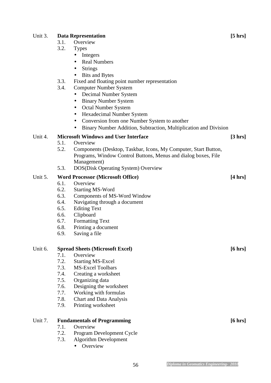#### Unit 3. **Data Representation** [5 hrs]

- 3.1. Overview
- 3.2. Types
	- Integers
		- Real Numbers
		- Strings
		- Bits and Bytes
- 3.3. Fixed and floating point number representation
- 3.4. Computer Number System
	- Decimal Number System
	- Binary Number System
	- Octal Number System
	- Hexadecimal Number System
	- Conversion from one Number System to another
	- Binary Number Addition, Subtraction, Multiplication and Division

#### Unit 4. **Microsoft Windows and User Interface** [3 hrs]

- 5.1. Overview
- 5.2. Components (Desktop, Taskbar, Icons, My Computer, Start Button, Programs, Window Control Buttons, Menus and dialog boxes, File Management)
- 5.3. DOS(Disk Operating System) Overview

#### Unit 5. **Word Processor (Microsoft Office)** [4 hrs]

- 6.1. Overview
- 6.2. Starting MS-Word
- 6.3. Components of MS-Word Window
- 6.4. Navigating through a document
- 6.5. Editing Text
- 6.6. Clipboard
- 6.7. Formatting Text
- 6.8. Printing a document
- 6.9. Saving a file

#### Unit 6. **Spread Sheets (Microsoft Excel)** [6 hrs]

- 7.1. Overview
- 7.2. Starting MS-Excel
- 7.3. MS-Excel Toolbars
- 7.4. Creating a worksheet
- 7.5. Organizing data
- 7.6. Designing the worksheet
- 7.7. Working with formulas
- 7.8. Chart and Data Analysis
- 7.9. Printing worksheet

#### Unit 7. **Fundamentals of Programming Example 2.1 (6 hrs**)

- 7.1. Overview
- 7.2. Program Development Cycle
- 7.3. Algorithm Development
	- Overview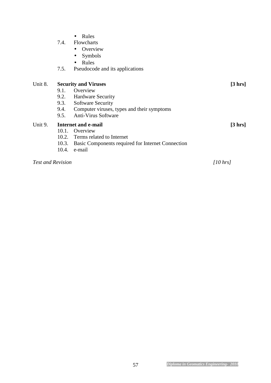|                          | 7.4.<br>7.5. | Rules<br>$\bullet$<br>Flowcharts<br>Overview<br>Symbols<br>Rules<br>$\bullet$<br>Pseudocode and its applications |                   |
|--------------------------|--------------|------------------------------------------------------------------------------------------------------------------|-------------------|
| Unit 8.                  |              | <b>Security and Viruses</b>                                                                                      | $[3 \, hrs]$      |
|                          | 9.1.         | Overview                                                                                                         |                   |
|                          |              | 9.2. Hardware Security                                                                                           |                   |
|                          | 9.3.         | <b>Software Security</b>                                                                                         |                   |
|                          |              | 9.4. Computer viruses, types and their symptoms                                                                  |                   |
|                          | 9.5.         | <b>Anti-Virus Software</b>                                                                                       |                   |
| Unit 9.                  |              | Internet and e-mail                                                                                              | $[3 \text{ hrs}]$ |
|                          |              | 10.1. Overview                                                                                                   |                   |
|                          |              | 10.2. Terms related to Internet                                                                                  |                   |
|                          | 10.3.        | Basic Components required for Internet Connection                                                                |                   |
|                          | 10.4.        | e-mail                                                                                                           |                   |
| <b>Test and Revision</b> |              |                                                                                                                  | [10 hrs]          |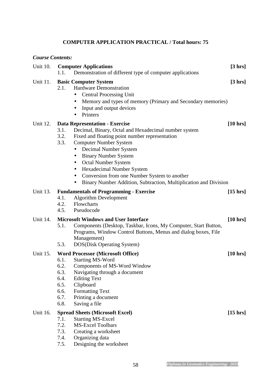## **COMPUTER APPLICATION PRACTICAL / Total hours: 75**

| <b>Course Contents:</b> |                                                                                                                                                                                                                                                                                                                                                                                                                                                                                 |                    |
|-------------------------|---------------------------------------------------------------------------------------------------------------------------------------------------------------------------------------------------------------------------------------------------------------------------------------------------------------------------------------------------------------------------------------------------------------------------------------------------------------------------------|--------------------|
| <b>Unit 10.</b>         | <b>Computer Applications</b><br>Demonstration of different type of computer applications<br>1.1.                                                                                                                                                                                                                                                                                                                                                                                | $[3 \, hrs]$       |
| Unit 11.                | <b>Basic Computer System</b><br><b>Hardware Demonstration</b><br>2.1.<br><b>Central Processing Unit</b><br>$\bullet$<br>Memory and types of memory (Primary and Secondary memories)<br>Input and output devices<br>Printers                                                                                                                                                                                                                                                     | $[3 \, hrs]$       |
| Unit 12.                | <b>Data Representation - Exercise</b><br>3.1.<br>Decimal, Binary, Octal and Hexadecimal number system<br>Fixed and floating point number representation<br>3.2.<br><b>Computer Number System</b><br>3.3.<br>Decimal Number System<br>$\bullet$<br><b>Binary Number System</b><br>Octal Number System<br>$\bullet$<br>Hexadecimal Number System<br>Conversion from one Number System to another<br>$\bullet$<br>Binary Number Addition, Subtraction, Multiplication and Division | $[10 \text{ hrs}]$ |
| Unit 13.                | <b>Fundamentals of Programming - Exercise</b><br><b>Algorithm Development</b><br>4.1.<br>Flowcharts<br>4.2.<br>4.5.<br>Pseudocode                                                                                                                                                                                                                                                                                                                                               | $[15 \text{ hrs}]$ |
| <b>Unit 14.</b>         | <b>Microsoft Windows and User Interface</b><br>Components (Desktop, Taskbar, Icons, My Computer, Start Button,<br>5.1.<br>Programs, Window Control Buttons, Menus and dialog boxes, File<br>Management)<br><b>DOS(Disk Operating System)</b><br>5.3.                                                                                                                                                                                                                            | $[10 \text{ hrs}]$ |
| <b>Unit 15.</b>         | <b>Word Processor (Microsoft Office)</b><br>6.1.<br><b>Starting MS-Word</b><br>6.2.<br>Components of MS-Word Window<br>6.3.<br>Navigating through a document<br>6.4.<br><b>Editing Text</b><br>6.5.<br>Clipboard<br>6.6.<br>Formatting Text<br>6.7.<br>Printing a document<br>6.8.<br>Saving a file                                                                                                                                                                             | $[10 \text{ hrs}]$ |
| Unit 16.                | <b>Spread Sheets (Microsoft Excel)</b><br><b>Starting MS-Excel</b><br>7.1.<br>7.2.<br><b>MS-Excel Toolbars</b><br>7.3.<br>Creating a worksheet<br>7.4.<br>Organizing data<br>Designing the worksheet<br>7.5.                                                                                                                                                                                                                                                                    | $[15 \text{ hrs}]$ |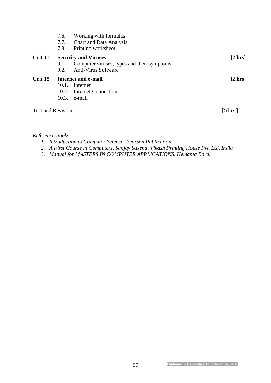|                          | 7.6.<br>7.7.<br>7.8. | Working with formulas<br><b>Chart and Data Analysis</b><br>Printing worksheet                           |              |
|--------------------------|----------------------|---------------------------------------------------------------------------------------------------------|--------------|
| Unit 17.                 | 9.1.<br>9.2.         | <b>Security and Viruses</b><br>Computer viruses, types and their symptoms<br><b>Anti-Virus Software</b> | $[2 \, hrs]$ |
| Unit 18.                 | $10.1$ .<br>10.3.    | Internet and e-mail<br>Internet<br>10.2. Internet Connection<br>e-mail                                  | $[2 \, hrs]$ |
| <b>Test and Revision</b> |                      |                                                                                                         | [5hrs]       |

#### *Reference Books*

- *1. Introduction to Computer Science, Pearson Publication*
- *2. A First Course in Computers, Sanjay Saxena, Vikash Printing House Pvt. Ltd, India*
- *3. Manual for MASTERS IN COMPUTER APPLICATIONS, Hemanta Baral*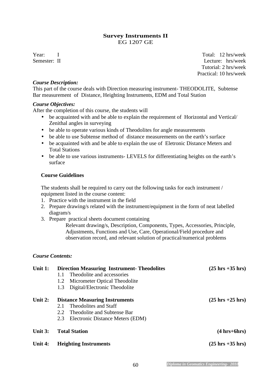#### **Survey Instruments II**  EG 1207 GE

Year: I Total: 12 hrs/week Semester: II Lecture: hrs/week Tutorial: 2 hrs/week Practical: 10 hrs/week

#### *Course Description:*

This part of the course deals with Direction measuring instrument- THEODOLITE, Subtense Bar measurement of Distance, Heighting Instruments, EDM and Total Station

#### *Course Objectives:*

After the completion of this course, the students will

- be acquainted with and be able to explain the requirement of Horizontal and Vertical/ Zenithal angles in surveying
- be able to operate various kinds of Theodolites for angle measurements
- be able to use Subtense method of distance measurements on the earth's surface
- be acquainted with and be able to explain the use of Eletronic Distance Meters and Total Stations
- be able to use various instruments- LEVELS for differentiating heights on the earth's surface

#### **Course Guidelines**

The students shall be required to carry out the following tasks for each instrument / equipment listed in the course content:

- 1. Practice with the instrument in the field
- 2. Prepare drawing/s related with the instrument/equipment in the form of neat labelled diagram/s
- 3. Prepare practical sheets document containing

Relevant drawing/s, Description, Components, Types, Accessories, Principle, Adjustments, Functions and Use, Care, Operational/Field procedure and observation record, and relevant solution of practical/numerical problems

#### *Course Contents:*

| Unit $1:$ | <b>Direction Measuring Instrument-Theodolites</b> | $(25 \text{ hrs} + 35 \text{ hrs})$ |
|-----------|---------------------------------------------------|-------------------------------------|
|           | Theodolite and accessories<br>1.1                 |                                     |
|           | Micrometer Optical Theodolite<br>1.2              |                                     |
|           | Digital/Electronic Theodolite<br>1.3              |                                     |
| Unit $2:$ | <b>Distance Measuring Instruments</b>             | $(25 \text{ hrs} + 25 \text{ hrs})$ |
|           | Theodolites and Staff<br>2.1                      |                                     |
|           | Theodolite and Subtense Bar<br>2.2                |                                     |
|           | 2.3<br>Electronic Distance Meters (EDM)           |                                     |
| Unit $3:$ | <b>Total Station</b>                              | $(4 hrs+6 hrs)$                     |
| Unit 4:   | <b>Heighting Instruments</b>                      | $(25 \text{ hrs} + 35 \text{ hrs})$ |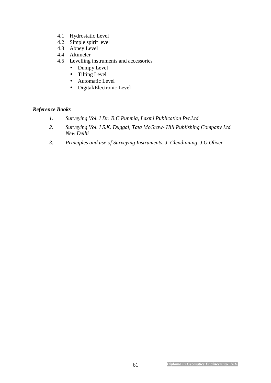- 4.1 Hydrostatic Level
- 4.2 Simple spirit level
- 4.3 Abney Level
- 4.4 Altimeter
- 4.5 Levelling instruments and accessories
	- Dumpy Level
	- Tilting Level
	- Automatic Level
	- Digital/Electronic Level

### *Reference Books*

- *1. Surveying Vol. I Dr. B.C Punmia, Laxmi Publication Pvt.Ltd*
- *2. Surveying Vol. I S.K. Duggal, Tata McGraw- Hill Publishing Company Ltd. New Delhi*
- *3. Principles and use of Surveying Instruments, J. Clendinning, J.G Oliver*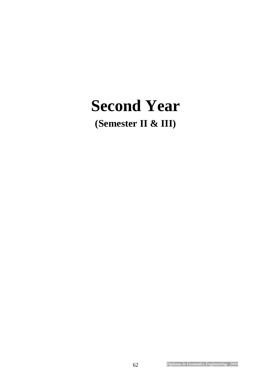# **Second Year**

**(Semester II & III)**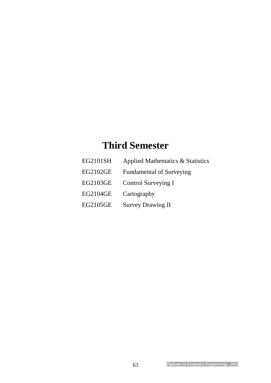# **Third Semester**

EG2101SH Applied Mathematics & Statistics EG2102GE Fundamental of Surveying EG2103GE Control Surveying I EG2104GE Cartography EG2105GE Survey Drawing II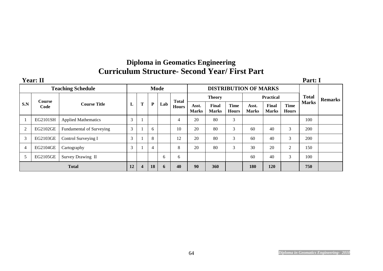# **Diploma in Geomatics Engineering Curriculum Structure- Second Year/ First Part**

|                | <b>Year: II</b>       |                            |                                             |                         |    |     |              |                       |                       |                             |                       |                       |                             | Part: I      |                |
|----------------|-----------------------|----------------------------|---------------------------------------------|-------------------------|----|-----|--------------|-----------------------|-----------------------|-----------------------------|-----------------------|-----------------------|-----------------------------|--------------|----------------|
|                |                       | <b>Teaching Schedule</b>   | <b>DISTRIBUTION OF MARKS</b><br><b>Mode</b> |                         |    |     |              |                       |                       |                             |                       |                       |                             |              |                |
|                |                       |                            |                                             |                         |    |     | <b>Total</b> | <b>Theory</b>         |                       |                             | <b>Practical</b>      |                       |                             | <b>Total</b> | <b>Remarks</b> |
| S.N            | <b>Course</b><br>Code | <b>Course Title</b>        | L                                           | T                       | P  | Lab | <b>Hours</b> | Asst.<br><b>Marks</b> | Final<br><b>Marks</b> | <b>Time</b><br><b>Hours</b> | Asst.<br><b>Marks</b> | Final<br><b>Marks</b> | <b>Time</b><br><b>Hours</b> | <b>Marks</b> |                |
|                | EG2101SH              | <b>Applied Mathematics</b> | 3                                           |                         |    |     | 4            | 20                    | 80                    | 3                           |                       |                       |                             | 100          |                |
| $\overline{c}$ | EG2102GE              | Fundamental of Surveying   | 3                                           |                         | 6  |     | 10           | 20                    | 80                    | 3                           | 60                    | 40                    | 3                           | 200          |                |
| 3              | EG2103GE              | Control Surveying I        | 3                                           |                         | 8  |     | 12           | 20                    | 80                    | 3                           | 60                    | 40                    | 3                           | 200          |                |
| 4              | EG2104GE              | Cartography                | 3                                           |                         | 4  |     | 8            | 20                    | 80                    | 3                           | 30                    | 20                    | $\overline{2}$              | 150          |                |
|                | EG2105GE              | Survey Drawing II          |                                             |                         |    | 6   | 6            |                       |                       |                             | 60                    | 40                    | 3                           | 100          |                |
| <b>Total</b>   |                       |                            |                                             | $\overline{\mathbf{4}}$ | 18 | 6   | 40           | 90                    | 360                   |                             | 180                   | 120                   |                             | 750          |                |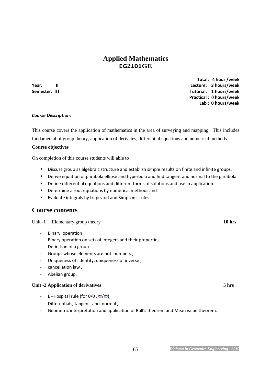## **Applied Mathematics EG2101GE**

 **Total: 4 hour /week Year: II Lecture: 3 hours/week Semester: III Tutorial: 1 hours/week Practical : 0 hours/week Lab : 0 hours/week** 

#### *Course Description:*

This course covers the application of mathematics in the area of surveying and mapping. This includes fundamental of group theory, application of derivates, differential equations and numerical methods.

#### **Course objectives**

On completion of this course students will able to

- Discuss group as algebraic structure and establish simple results on finite and infinite groups.
- Derive equation of parabola ellipse and hyperbola and find tangent and normal to the parabola.
- Define differential equations and different forms of solutions and use in application.
- Determine a root equations by numerical methods and
- Evaluate integrals by trapezoid and Simpson's rules.

#### **Course contents**

Unit -1 Elementary group theory **10 hrs** 

- *–* Binary operation ,
- *–* Binary operation on sets of integers and their properties,
- *–* Definition of a group
- *–* Groups whose elements are not numbers ,
- *–* Uniqueness of identity, uniqueness of inverse ,
- *–* cancellation law ,
- *–* Abelian group.

#### Unit -2 Application of derivatives 5 hrs

- *–* L-Hospital rule (for 0/0, ∞/∞),
- *–* Differentials, tangent and normal ,
- *–* Geometric interpretation and application of Roll's theorem and Mean value theorem.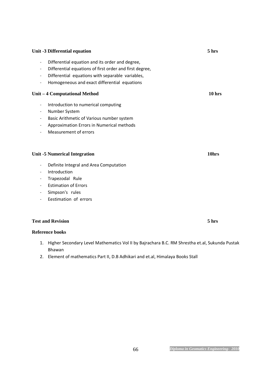### **Unit -3 Differential equation** 5 hrs

#### *–* Differential equation and its order and degree,

- *–* Differential equations of first order and first degree,
- *–* Differential equations with separable variables,
- *–* Homogeneous and exact differential equations

#### **Unit – 4 Computational Method 10 hrs**

- *–* Introduction to numerical computing
- *–* Number System
- *–* Basic Arithmetic of Various number system
- *–* Approximation Errors in Numerical methods
- *–* Measurement of errors

#### Unit -5 Numerical Integration **10hrs 10hrs**

- *–* Definite Integral and Area Computation
- *–* Introduction
- *–* Trapezodal Rule
- *–* Estimation of Errors
- *–* Simpson's rules
- *–* Eestimation of errors

#### **Test and Revision 5 hrs**

#### **Reference books**

- 1. Higher Secondary Level Mathematics Vol II by Bajrachara B.C. RM Shrestha et.al, Sukunda Pustak Bhawan
- 2. Element of mathematics Part II, D.B Adhikari and et.al, Himalaya Books Stall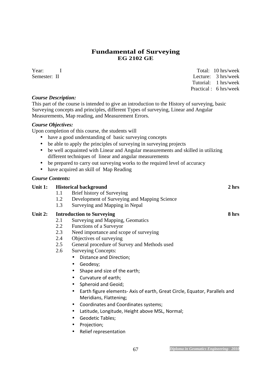## **Fundamental of Surveying EG 2102 GE**

Year: I Total: 10 hrs/week Semester: II Lecture: 3 hrs/week

Tutorial: 1 hrs/week

Practical : 6 hrs/week

#### *Course Description:*

This part of the course is intended to give an introduction to the History of surveying, basic Surveying concepts and principles, different Types of surveying, Linear and Angular Measurements, Map reading, and Measurement Errors.

#### *Course Objectives:*

Upon completion of this course, the students will

- have a good understanding of basic surveying concepts
- be able to apply the principles of surveying in surveying projects
- be well acquainted with Linear and Angular measurements and skilled in utilizing different techniques of linear and angular measurements
- be prepared to carry out surveying works to the required level of accuracy
- have acquired an skill of Map Reading

#### *Course Contents:*

| Unit 1: |     | <b>Historical background</b>                                               | 2 <sub>hrs</sub> |
|---------|-----|----------------------------------------------------------------------------|------------------|
|         | 1.1 | Brief history of Surveying                                                 |                  |
|         | 1.2 | Development of Surveying and Mapping Science                               |                  |
|         | 1.3 | Surveying and Mapping in Nepal                                             |                  |
| Unit 2: |     | <b>Introduction to Surveying</b>                                           | 8 hrs            |
|         | 2.1 | Surveying and Mapping, Geomatics                                           |                  |
|         | 2.2 | Functions of a Surveyor                                                    |                  |
|         | 2.3 | Need importance and scope of surveying                                     |                  |
|         | 2.4 | Objectives of surveying                                                    |                  |
|         | 2.5 | General procedure of Survey and Methods used                               |                  |
|         | 2.6 | <b>Surveying Concepts:</b>                                                 |                  |
|         |     | Distance and Direction;                                                    |                  |
|         |     | Geodesy;<br>$\bullet$                                                      |                  |
|         |     | Shape and size of the earth;                                               |                  |
|         |     | Curvature of earth;<br>$\bullet$                                           |                  |
|         |     | Spheroid and Geoid;                                                        |                  |
|         |     | Earth figure elements- Axis of earth, Great Circle, Equator, Parallels and |                  |

- Meridians, Flattening; • Coordinates and Coordinates systems;
- Latitude, Longitude, Height above MSL, Normal;
- Geodetic Tables;
- Projection;
- Relief representation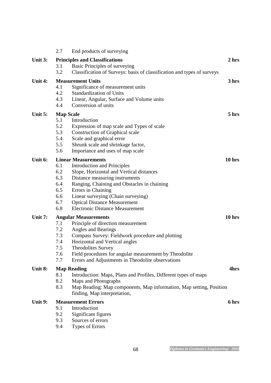|           | 2.7              | End products of surveying                                                                           |          |
|-----------|------------------|-----------------------------------------------------------------------------------------------------|----------|
| Unit 3:   |                  | <b>Principles and Classifications</b>                                                               | 2 hrs    |
|           | 3.1              | Basic Principles of surveying                                                                       |          |
|           | 3.2              | Classification of Surveys: basis of classification and types of surveys                             |          |
| Unit 4:   |                  | <b>Measurement Units</b>                                                                            | 3 hrs    |
|           | 4.1              | Significance of measurement units                                                                   |          |
|           | 4.2              | <b>Standardization of Units</b>                                                                     |          |
|           | 4.3              | Linear, Angular, Surface and Volume units                                                           |          |
|           | 4.4              | Conversion of units                                                                                 |          |
| Unit $5:$ | <b>Map Scale</b> |                                                                                                     | 5 hrs    |
|           | 5.1              | Introduction                                                                                        |          |
|           | 5.2              | Expression of map scale and Types of scale                                                          |          |
|           | 5.3              | <b>Construction of Graphical scale</b>                                                              |          |
|           | 5.4              | Scale and graphical error                                                                           |          |
|           | 5.5              | Shrunk scale and shrinkage factor,                                                                  |          |
|           | 5.6              | Importance and uses of map scale                                                                    |          |
| Unit 6:   |                  | <b>Linear Measurements</b>                                                                          | $10$ hrs |
|           | 6.1              | <b>Introduction and Principles</b>                                                                  |          |
|           | 6.2              | Slope, Horizontal and Vertical distances                                                            |          |
|           | 6.3              | Distance measuring instruments                                                                      |          |
|           | 6.4              | Ranging, Chaining and Obstacles in chaining                                                         |          |
|           | 6.5              | Errors in Chaining                                                                                  |          |
|           | 6.6              | Linear surveying (Chain surveying)                                                                  |          |
|           | 6.7              | <b>Optical Distance Measurement</b>                                                                 |          |
|           | 6.8              | <b>Electronic Distance Measurement</b>                                                              |          |
| Unit 7:   |                  | <b>Angular Measurements</b>                                                                         | $10$ hrs |
|           | 7.1              | Principle of direction measurement                                                                  |          |
|           | 7.2              | Angles and Bearings                                                                                 |          |
|           | 7.3              | Compass Survey: Fieldwork procedure and plotting                                                    |          |
|           | 7.4              | Horizontal and Vertical angles                                                                      |          |
|           | 7.5              | Theodolites Survey                                                                                  |          |
|           | 7.6              | Field procedures for angular measurement by Theodolite                                              |          |
|           | 7.7              | Errors and Adjustments in Theodolite observations                                                   |          |
| Unit 8:   |                  | <b>Map Reading</b>                                                                                  | 4hrs     |
|           | 8.1              | Introduction: Maps, Plans and Profiles, Different types of maps                                     |          |
|           | 8.2              | Maps and Photographs                                                                                |          |
|           | 8.3              | Map Reading: Map components, Map information, Map setting, Position<br>finding, Map interpretation, |          |
| Unit 9:   |                  | <b>Measurement Errors</b>                                                                           | 6 hrs    |
|           | 9.1              | Introduction                                                                                        |          |
|           | 9.2              | Significant figures                                                                                 |          |
|           | 9.3              | Sources of errors                                                                                   |          |
|           | 9.4              | <b>Types of Errors</b>                                                                              |          |
|           |                  |                                                                                                     |          |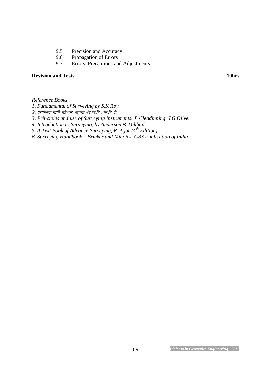- 9.5 Precision and Accuracy
- 9.6 Propagation of Errors<br>9.7 Errors: Precautions an
- 9.7 Errors: Precautions and Adjustments

#### **Revision and Tests** 10hrs **10hrs 10hrs**

*Reference Books* 

- *1. Fundamental of Surveying by S.K Roy*
- 2. प्रराम्भिक नापी महेश्वर भट्टराई (त्रि.बि.बि. /पा.बि.के)
- *3. Principles and use of Surveying Instruments, J. Clendinning, J.G Oliver*
- *4. Introduction to Surveying, by Anderson & Mikhail*
- *5. A Text Book of Advance Surveying, R. Agor (4th Edition)*
- *6. Surveying Handbook Brinker and Minnick. CBS Publication of India*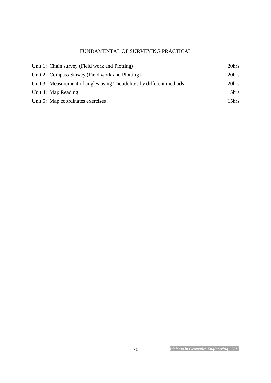## FUNDAMENTAL OF SURVEYING PRACTICAL

| Unit 1: Chain survey (Field work and Plotting)                       | 20hrs             |
|----------------------------------------------------------------------|-------------------|
| Unit 2: Compass Survey (Field work and Plotting)                     | 20hrs             |
| Unit 3: Measurement of angles using Theodolites by different methods | 20hrs             |
| Unit 4: Map Reading                                                  | 15hrs             |
| Unit 5: Map coordinates exercises                                    | 15 <sub>hrs</sub> |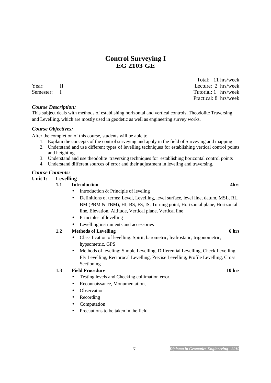# **Control Surveying I EG 2103 GE**

#### *Course Description:*

This subject deals with methods of establishing horizontal and vertical controls, Theodolite Traversing and Levelling, which are mostly used in geodetic as well as engineering survey works.

#### *Course Objectives:*

After the completion of this course, students will be able to

- 1. Explain the concepts of the control surveying and apply in the field of Surveying and mapping
- 2. Understand and use different types of levelling techniques for establishing vertical control points and heighting
- 3. Understand and use theodolite traversing techniques for establishing horizontal control points
- 4. Understand different sources of error and their adjustment in leveling and traversing.

#### *Course Contents:*

#### **Unit 1: Levelling**

- **1.1** Introduction **4hrs** 
	- Introduction & Principle of leveling
	- Definitions of terms: Level, Levelling, level surface, level line, datum, MSL, RL, BM (PBM & TBM), HI, BS, FS, IS, Turning point, Horizontal plane, Horizontal line, Elevation, Altitude, Vertical plane, Vertical line
	- Principles of levelling
	- Levelling instruments and accessories

#### **1.2** Methods of Levelling 6 hrs **6 hrs 6 hrs**

- Classification of levelling: Spirit, barometric, hydrostatic, trigonometric, hypsometric, GPS
- Methods of leveling: Simple Levelling, Differential Levelling, Check Levelling, Fly Levelling, Reciprocal Levelling, Precise Levelling, Profile Levelling, Cross Sectioning

#### **1.3** Field Procedure 10 hrs **10 hrs 10 hrs**

- Testing levels and Checking collimation error,
- Reconnaissance, Monumentation,
- **Observation**
- **Recording**
- Computation
- Precautions to be taken in the field

71 *Diploma in Geomatics Engineering- 2010*

 Total: 11 hrs/week Year: II Lecture: 2 hrs/week Semester: I Tutorial: 1 hrs/week Practical: 8 hrs/week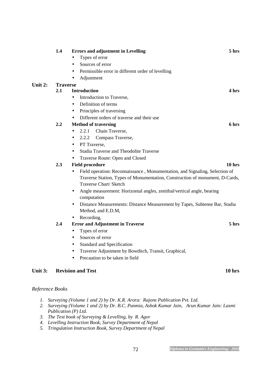|         | 1.4             | <b>Errors and adjustment in Levelling</b>                                                                                                                                             | 5 hrs             |
|---------|-----------------|---------------------------------------------------------------------------------------------------------------------------------------------------------------------------------------|-------------------|
|         |                 | Types of error                                                                                                                                                                        |                   |
|         |                 | Sources of error<br>$\bullet$                                                                                                                                                         |                   |
|         |                 | Permissible error in different order of levelling                                                                                                                                     |                   |
|         |                 | Adjustment                                                                                                                                                                            |                   |
| Unit 2: | <b>Traverse</b> |                                                                                                                                                                                       |                   |
|         | 2.1             | <b>Introduction</b>                                                                                                                                                                   | 4 hrs             |
|         |                 | Introduction to Traverse,<br>$\bullet$                                                                                                                                                |                   |
|         |                 | Definition of terms<br>$\bullet$                                                                                                                                                      |                   |
|         |                 | Principles of traversing                                                                                                                                                              |                   |
|         |                 | Different orders of traverse and their use                                                                                                                                            |                   |
|         | 2.2             | <b>Method of traversing</b>                                                                                                                                                           | 6 hrs             |
|         |                 | 2.2.1<br>Chain Traverse,<br>$\bullet$                                                                                                                                                 |                   |
|         |                 | 2.2.2<br>Compass Traverse,                                                                                                                                                            |                   |
|         |                 | PT Traverse,<br>$\bullet$                                                                                                                                                             |                   |
|         |                 | Stadia Traverse and Theodolite Traverse<br>$\bullet$                                                                                                                                  |                   |
|         |                 | Traverse Route: Open and Closed<br>$\bullet$                                                                                                                                          |                   |
|         | 2.3             | <b>Field procedure</b>                                                                                                                                                                | 10 <sub>hrs</sub> |
|         |                 | Field operation: Reconnaissance, Monumentation, and Signaling, Selection of<br>Traverse Station, Types of Monumentation, Construction of monument, D-Cards,<br>Traverse Chart/ Sketch |                   |
|         |                 | Angle measurement: Horizontal angles, zenithal/vertical angle, bearing<br>٠<br>computation                                                                                            |                   |
|         |                 | Distance Measurements: Distance Measurement by Tapes, Subtense Bar, Stadia<br>$\bullet$<br>Method, and E.D.M,                                                                         |                   |
|         |                 | Recording,                                                                                                                                                                            |                   |
|         | 2.4             | <b>Error and Adjustment in Traverse</b>                                                                                                                                               | 5 hrs             |
|         |                 | Types of error<br>$\bullet$                                                                                                                                                           |                   |
|         |                 | Sources of error<br>$\bullet$                                                                                                                                                         |                   |
|         |                 | Standard and Specification<br>$\bullet$                                                                                                                                               |                   |
|         |                 | Traverse Adjustment by Bowditch, Transit, Graphical,                                                                                                                                  |                   |
|         |                 | Precaution to be taken in field<br>$\bullet$                                                                                                                                          |                   |
| Unit 3: |                 | <b>Revision and Test</b><br>10 <sub>hrs</sub>                                                                                                                                         |                   |
|         |                 |                                                                                                                                                                                       |                   |

#### *Reference Books*

- *1. Surveying (Volume 1 and 2) by Dr. K.R. Arora: Rajons Publication Pvt. Ltd.*
- *2. Surveying (Volume 1 and 2) by Dr. B.C. Punmia, Ashok Kumar Jain, Arun Kumar Jain: Laxmi Publication (P) Ltd.*
- *3. The Text book of Surveying & Levelling, by R. Agor*
- *4. Levelling Instruction Book, Survey Department of Nepal*
- *5. Tringulation Instruction Book, Survey Department of Nepal*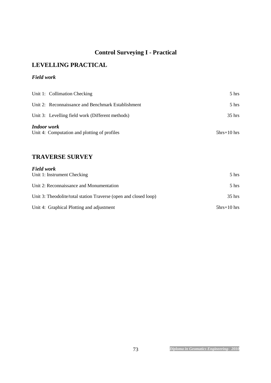# **Control Surveying I - Practical**

## **LEVELLING PRACTICAL**

#### *Field work*

|             | Unit 1: Collimation Checking                       | $5 \text{ hrs}$   |
|-------------|----------------------------------------------------|-------------------|
|             | Unit 2: Reconnaissance and Benchmark Establishment | $5 \text{ hrs}$   |
|             | Unit 3: Levelling field work (Different methods)   | $35$ hrs          |
| Indoor work | Unit 4: Computation and plotting of profiles       | $5$ hrs $+10$ hrs |

#### **TRAVERSE SURVEY**

| <b>Field work</b>                                                |                   |
|------------------------------------------------------------------|-------------------|
| Unit 1: Instrument Checking                                      | 5 hrs             |
| Unit 2: Reconnaissance and Monumentation                         | $5 \text{ hrs}$   |
| Unit 3: Theodolite/total station Traverse (open and closed loop) | $35$ hrs          |
| Unit 4: Graphical Plotting and adjustment                        | $5$ hrs $+10$ hrs |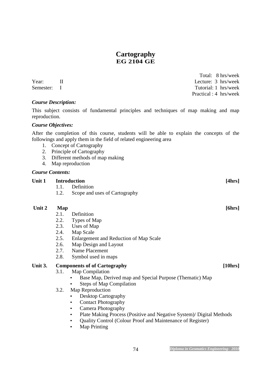#### **Cartography EG 2104 GE**

 Total: 8 hrs/week Year: II Lecture: 3 hrs/week Semester: I Tutorial: 1 hrs/week Practical : 4 hrs/week

#### *Course Description:*

This subject consists of fundamental principles and techniques of map making and map reproduction.

#### *Course Objectives:*

After the completion of this course, students will be able to explain the concepts of the followings and apply them in the field of related engineering area

- 1. Concept of Cartography
- 2. Principle of Cartography
- 3. Different methods of map making
- 4. Map reproduction

#### *Course Contents:*

#### Unit 1 Introduction [4hrs] 1.1. Definition

1.2. Scope and uses of Cartography

#### Unit 2 Map [6hrs]

- 2.1. Definition
- 2.2. Types of Map
- 2.3. Uses of Map
- 2.4. Map Scale
- 2.5. Enlargement and Reduction of Map Scale
- 2.6. Map Design and Layout
- 2.7. Name Placement
- 2.8. Symbol used in maps

#### Unit 3. Components of of Cartography **[10hrs]**

- 3.1. Map Compilation
	- Base Map, Derived map and Special Purpose (Thematic) Map
	- Steps of Map Compilation
- 3.2. Map Reproduction
	- Desktop Cartography
	- Contact Photography
	- Camera Photography
	- Plate Making Process (Positive and Negative System)/ Digital Methods
	- Quality Control (Colour Proof and Maintenance of Register)
	- **Map Printing**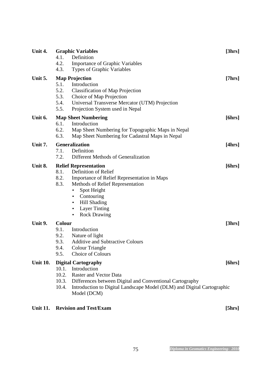| Unit 4.         |        | <b>Graphic Variables</b>                                               | [3hrs] |
|-----------------|--------|------------------------------------------------------------------------|--------|
|                 | 4.1.   | Definition                                                             |        |
|                 | 4.2.   | <b>Importance of Graphic Variables</b>                                 |        |
|                 | 4.3.   | Types of Graphic Variables                                             |        |
| Unit 5.         |        | <b>Map Projection</b>                                                  | [7hrs] |
|                 | 5.1.   | Introduction                                                           |        |
|                 | 5.2.   | <b>Classification of Map Projection</b>                                |        |
|                 | 5.3.   | Choice of Map Projection                                               |        |
|                 | 5.4.   | Universal Transverse Mercator (UTM) Projection                         |        |
|                 | 5.5.   | Projection System used in Nepal                                        |        |
| Unit 6.         |        | <b>Map Sheet Numbering</b>                                             | [6hrs] |
|                 | 6.1.   | Introduction                                                           |        |
|                 | 6.2.   | Map Sheet Numbering for Topographic Maps in Nepal                      |        |
|                 | 6.3.   | Map Sheet Numbering for Cadastral Maps in Nepal                        |        |
| Unit 7.         |        | Generalization                                                         | [4hrs] |
|                 | 7.1.   | Definition                                                             |        |
|                 | 7.2.   | Different Methods of Generalization                                    |        |
| Unit 8.         |        | <b>Relief Representation</b>                                           | [6hrs] |
|                 | 8.1.   | Definition of Relief                                                   |        |
|                 | 8.2.   | Importance of Relief Representation in Maps                            |        |
|                 | 8.3.   | Methods of Relief Representation                                       |        |
|                 |        | Spot Height<br>$\bullet$                                               |        |
|                 |        | Contouring<br>$\bullet$                                                |        |
|                 |        | Hill Shading<br>$\bullet$                                              |        |
|                 |        | <b>Layer Tinting</b><br>٠                                              |        |
|                 |        | <b>Rock Drawing</b><br>$\bullet$                                       |        |
| Unit 9.         | Colour |                                                                        | [3hrs] |
|                 | 9.1.   | Introduction                                                           |        |
|                 | 9.2.   | Nature of light                                                        |        |
|                 | 9.3.   | <b>Additive and Subtractive Colours</b>                                |        |
|                 | 9.4.   | Colour Triangle                                                        |        |
|                 | 9.5.   | Choice of Colours                                                      |        |
| <b>Unit 10.</b> |        | <b>Digital Cartography</b>                                             | [6hrs] |
|                 | 10.1.  | Introduction                                                           |        |
|                 | 10.2.  | <b>Raster and Vector Data</b>                                          |        |
|                 | 10.3.  | Differences between Digital and Conventional Cartography               |        |
|                 | 10.4.  | Introduction to Digital Landscape Model (DLM) and Digital Cartographic |        |
|                 |        | Model (DCM)                                                            |        |
|                 |        |                                                                        |        |

# Unit 11. **Revision and Test/Exam** [5hrs]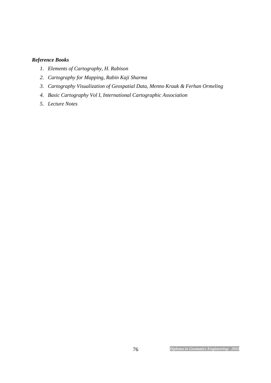#### *Reference Books*

- *1. Elements of Cartography, H. Rabison*
- *2. Cartography for Mapping, Rabin Kaji Sharma*
- *3. Cartography Visualization of Geospatial Data, Menno Kraak & Ferhan Ormeling*
- *4. Basic Cartography Vol I, International Cartographic Association*
- *5. Lecture Notes*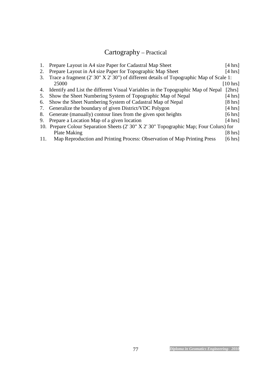# Cartography – Practical

| 1.  | Prepare Layout in A4 size Paper for Cadastral Map Sheet                                 | $[4 \text{ hrs}]$  |
|-----|-----------------------------------------------------------------------------------------|--------------------|
| 2.  | Prepare Layout in A4 size Paper for Topographic Map Sheet                               | $[4 \text{ hrs}]$  |
| 3.  | Trace a fragment (2'30" X 2'30") of different details of Topographic Map of Scale 1:    |                    |
|     | 25000                                                                                   | $[10 \text{ hrs}]$ |
| 4.  | Identify and List the different Visual Variables in the Topographic Map of Nepal        | [2hrs]             |
| 5.  | Show the Sheet Numbering System of Topographic Map of Nepal                             | $[4 \text{ hrs}]$  |
| 6.  | Show the Sheet Numbering System of Cadastral Map of Nepal                               | $[8 \text{ hrs}]$  |
| 7.  | Generalize the boundary of given District/VDC Polygon                                   | $[4 \text{ hrs}]$  |
| 8.  | Generate (manually) contour lines from the given spot heights                           | $[6 \text{ hrs}]$  |
| 9.  | Prepare a Location Map of a given location                                              | $[4 \text{ hrs}]$  |
|     | 10. Prepare Colour Separation Sheets (2' 30" X 2' 30" Topographic Map; Four Colurs) for |                    |
|     | Plate Making                                                                            | $[8 \text{ hrs}]$  |
| 11. | Map Reproduction and Printing Process: Observation of Map Printing Press                | $[6 \text{ hrs}]$  |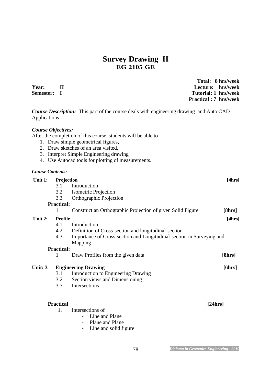## **Survey Drawing II EG 2105 GE**

| Year:<br>Semester:        | $\mathbf H$<br>$\bf{I}$                                   | Lecture:                                                                                                                                                                                                                                      | Total: 8 hrs/week<br>hrs/week<br>Tutorial: 1 hrs/week<br><b>Practical : 7 hrs/week</b> |
|---------------------------|-----------------------------------------------------------|-----------------------------------------------------------------------------------------------------------------------------------------------------------------------------------------------------------------------------------------------|----------------------------------------------------------------------------------------|
| Applications.             |                                                           | <b>Course Description:</b> This part of the course deals with engineering drawing and Auto CAD                                                                                                                                                |                                                                                        |
| <b>Course Objectives:</b> |                                                           | After the completion of this course, students will be able to<br>1. Draw simple geometrical figures,<br>2. Draw sketches of an area visited,<br>3. Interpret Simple Engineering drawing<br>4. Use Autocad tools for plotting of measurements. |                                                                                        |
| <b>Course Contents:</b>   |                                                           |                                                                                                                                                                                                                                               |                                                                                        |
| Unit 1:                   | Projection<br>3.1<br>3.2<br>3.3<br><b>Practical:</b><br>1 | Introduction<br><b>Isometric Projection</b><br>Orthographic Projection<br>Construct an Orthographic Projection of given Solid Figure                                                                                                          | [4hrs]<br>[8hrs]                                                                       |
| Unit 2:                   | <b>Profile</b><br>4.1<br>4.2<br>4.3                       | Introduction<br>Definition of Cross-section and longitudinal-section<br>Importance of Cross-section and Longitudinal-section in Surveying and<br>Mapping                                                                                      | [4hrs]                                                                                 |
|                           | <b>Practical:</b>                                         |                                                                                                                                                                                                                                               |                                                                                        |
|                           | 1                                                         | Draw Profiles from the given data                                                                                                                                                                                                             | [8hrs]                                                                                 |
| Unit: 3                   | 3.1<br>3.2<br>3.3                                         | <b>Engineering Drawing</b><br>Introduction to Engineering Drawing<br>Section views and Dimensioning<br>Intersections                                                                                                                          | [6hrs]                                                                                 |
|                           | <b>Practical</b><br>1.                                    | Intersections of<br>Line and Plane<br>Plane and Plane<br>Line and solid figure                                                                                                                                                                | [24hrs]                                                                                |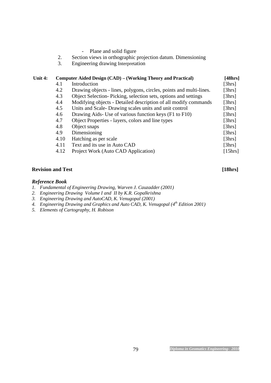|  |  |  |  | Plane and solid figure |
|--|--|--|--|------------------------|
|--|--|--|--|------------------------|

- 2. Section views in orthographic projection datum. Dimensioning<br>3. Engineering drawing Interpretation
- 3. Engineering drawing Interpretation

| Unit 4: | Computer Aided Design (CAD) – (Working Theory and Practical) |                                                                     |         |  |  |  |  |  |  |
|---------|--------------------------------------------------------------|---------------------------------------------------------------------|---------|--|--|--|--|--|--|
|         | 4.1                                                          | Introduction                                                        | [3hrs]  |  |  |  |  |  |  |
|         | 4.2                                                          | Drawing objects - lines, polygons, circles, points and multi-lines. | [3hrs]  |  |  |  |  |  |  |
|         | 4.3                                                          | Object Selection-Picking, selection sets, options and settings      | [3hrs]  |  |  |  |  |  |  |
|         | 4.4                                                          | Modifying objects - Detailed description of all modify commands     | [3hrs]  |  |  |  |  |  |  |
|         | 4.5                                                          | Units and Scale- Drawing scales units and unit control              | [3hrs]  |  |  |  |  |  |  |
|         | 4.6                                                          | Drawing Aids- Use of various function keys (F1 to F10)              | [3hrs]  |  |  |  |  |  |  |
|         | 4.7                                                          | Object Properties - layers, colors and line types                   | [3hrs]  |  |  |  |  |  |  |
|         | 4.8                                                          | Object snaps                                                        | [3hrs]  |  |  |  |  |  |  |
|         | 4.9                                                          | Dimensioning                                                        | [3hrs]  |  |  |  |  |  |  |
|         | 4.10                                                         | Hatching as per scale                                               | [3hrs]  |  |  |  |  |  |  |
|         | 4.11                                                         | Text and its use in Auto CAD                                        | [3hrs]  |  |  |  |  |  |  |
|         | 4.12                                                         | Project Work (Auto CAD Application)                                 | [15hrs] |  |  |  |  |  |  |
|         |                                                              |                                                                     |         |  |  |  |  |  |  |

#### **Revision and Test** [18hrs]

#### *Reference Book*

- *1. Fundamental of Engineering Drawing, Warven J. Cauzadder (2001)*
- *2. Engineering Drawing Volume I and II by K.R. Gopalkrishna*
- *3. Engineering Drawing and AutoCAD, K. Venugopal (2001)*
- *4. Engineering Drawing and Graphics and Auto CAD, K. Venugopal (4th Edition 2001)*
- *5. Elements of Cartography, H. Robison*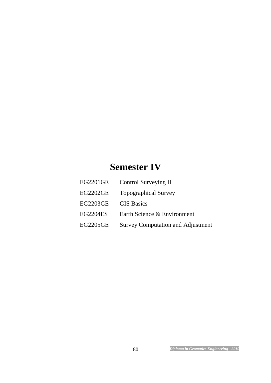# **Semester IV**

| EG2201GE        | Control Surveying II                     |
|-----------------|------------------------------------------|
| <b>EG2202GE</b> | <b>Topographical Survey</b>              |
| <b>EG2203GE</b> | <b>GIS Basics</b>                        |
| <b>EG2204ES</b> | Earth Science & Environment              |
| <b>EG2205GE</b> | <b>Survey Computation and Adjustment</b> |
|                 |                                          |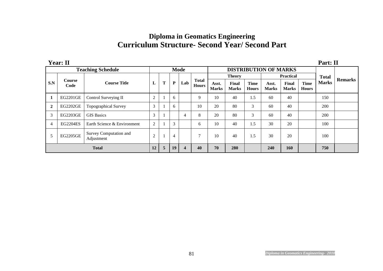# **Diploma in Geomatics Engineering Curriculum Structure- Second Year/ Second Part**

| <b>Year: II</b>          |                 |                                      |                |                |                |     |                              |                       |                              |                             | Part: II              |                       |                             |              |                |
|--------------------------|-----------------|--------------------------------------|----------------|----------------|----------------|-----|------------------------------|-----------------------|------------------------------|-----------------------------|-----------------------|-----------------------|-----------------------------|--------------|----------------|
| <b>Teaching Schedule</b> |                 |                                      |                | <b>Mode</b>    |                |     |                              |                       | <b>DISTRIBUTION OF MARKS</b> |                             |                       |                       |                             |              |                |
|                          |                 |                                      |                |                |                |     | <b>Total</b><br><b>Hours</b> | <b>Theory</b>         |                              |                             | <b>Practical</b>      |                       |                             | <b>Total</b> |                |
| S.N                      | Course<br>Code  | <b>Course Title</b>                  | L              | T              | P              | Lab |                              | Asst.<br><b>Marks</b> | Final<br><b>Marks</b>        | <b>Time</b><br><b>Hours</b> | Asst.<br><b>Marks</b> | Final<br><b>Marks</b> | <b>Time</b><br><b>Hours</b> | <b>Marks</b> | <b>Remarks</b> |
| 1                        | EG2201GE        | Control Surveying II                 | $\overline{c}$ |                | 6              |     | 9                            | 10                    | 40                           | 1.5                         | 60                    | 40                    |                             | 150          |                |
| $\overline{2}$           | <b>EG2202GE</b> | <b>Topographical Survey</b>          | 3              |                | 6              |     | 10                           | 20                    | 80                           | 3                           | 60                    | 40                    |                             | 200          |                |
| 3                        | <b>EG2203GE</b> | <b>GIS Basics</b>                    | 3              |                |                | 4   | 8                            | 20                    | 80                           | 3                           | 60                    | 40                    |                             | 200          |                |
| $\overline{4}$           | <b>EG2204ES</b> | Earth Science & Environment          | 2              |                | 3              |     | 6                            | 10                    | 40                           | 1.5                         | 30                    | 20                    |                             | 100          |                |
| 5                        | <b>EG2205GE</b> | Survey Computation and<br>Adjustment | $\overline{2}$ |                | $\overline{4}$ |     |                              | 10                    | 40                           | 1.5                         | 30                    | 20                    |                             | 100          |                |
| <b>Total</b>             |                 |                                      |                | $\overline{5}$ | 19             | 4   | 40                           | 70                    | 280                          |                             | 240                   | 160                   |                             | 750          |                |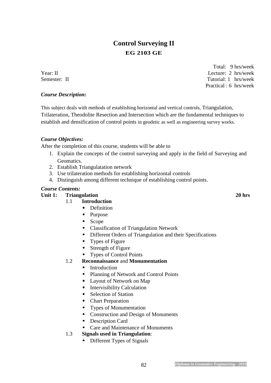# **Control Surveying II EG 2103 GE**

 Total: 9 hrs/week Year: II Lecture: 2 hrs/week Semester: II Tutorial: 1 hrs/week Practical : 6 hrs/week

#### *Course Description:*

This subject deals with methods of establishing horizontal and vertical controls, Triangulation, Trilateration, Theodolite Resection and Intersection which are the fundamental techniques to establish and densification of control points in geodetic as well as engineering survey works.

#### *Course Objectives:*

After the completion of this course, students will be able to

- 1. Explain the concepts of the control surveying and apply in the field of Surveying and Geomatics.
- 2. Establish Triangulatation network
- 3. Use trilateration methods for establishing horizontal controls
- 4. Distinguish among different technique of establishing control points.

#### *Course Contents:*

#### Unit 1: Triangulation 20 hrs

#### 1.1 **Introduction**

- Definition
- Purpose
- Scope
- Classification of Triangulation Network
- Different Orders of Triangulation and their Specifications
- Types of Figure
- Strength of Figure
- Types of Control Points
- 1.2 **Reconnaissance** and **Monumentation**
	- Introduction
	- Planning of Network and Control Points
	- Layout of Network on Map
	- Intervisibility Calculation
	- Selection of Station
	- Chart Preparation
	- Types of Monumentation
	- Construction and Design of Monuments
	- Description Card
	- Care and Maintenance of Monuments

#### 1.3 **Signals used in Triangulation**:

• Different Types of Signals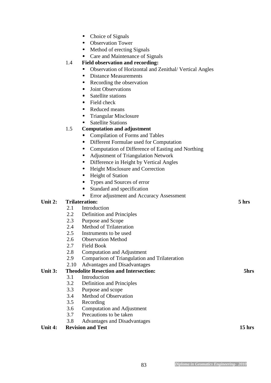- Choice of Signals
- Observation Tower
- Method of erecting Signals
- Care and Maintenance of Signals

#### 1.4 **Field observation and recording:**

- Observation of Horizontal and Zenithal/ Vertical Angles
- Distance Measurements
- Recording the observation
- Joint Observations
- Satellite stations
- Field check
- Reduced means
- Triangular Misclosure
- **Satellite Stations**

#### 1.5 **Computation and adjustment**

- Compilation of Forms and Tables
- Different Formulae used for Computation
- Computation of Difference of Easting and Northing
- Adjustment of Triangulation Network
- Difference in Height by Vertical Angles
- Height Misclosure and Correction
- Height of Station
- Types and Sources of error
- Standard and specification
- Error adjustment and Accuracy Assessment

#### **Unit 2: Trilateration: 5 hrs**

- 2.1 Introduction
- 2.2 Definition and Principles
- 2.3 Purpose and Scope
- 2.4 Method of Trilateration
- 2.5 Instruments to be used
- 2.6 Observation Method
- 2.7 Field Book
- 2.8 Computation and Adjustment
- 2.9 Comparison of Triangulation and Trilateration
- 2.10 Advantages and Disadvantages

#### **Unit 3: Theodolite Resection and Intersection: 5hrs**

- 3.1 Introduction
- 3.2 Definition and Principles
- 3.3 Purpose and scope
- 3.4 Method of Observation
- 3.5 Recording
- 3.6 Computation and Adjustment
- 3.7 Precautions to be taken
- 3.8 Advantages and Disadvantages

#### Unit 4: Revision and Test 15 hrs **15 hrs**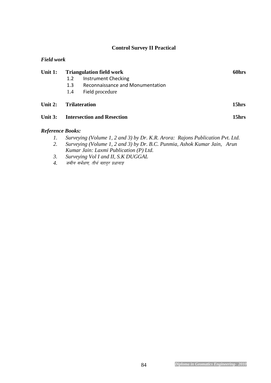#### **Control Survey II Practical**

| Unit 1:                 |     |                                                                               | 60hrs |
|-------------------------|-----|-------------------------------------------------------------------------------|-------|
|                         | 1.2 | <b>Triangulation field work</b><br><b>Instrument Checking</b>                 |       |
|                         | 1.3 | Reconnaissance and Monumentation                                              |       |
|                         | 1.4 | Field procedure                                                               |       |
| Unit $2:$               |     | <b>Trilateration</b>                                                          | 15hrs |
| Unit $3:$               |     | <b>Intersection and Resection</b>                                             | 15hrs |
| <b>Reference Books:</b> |     |                                                                               |       |
| 1.                      |     | Surveying (Volume 1, 2 and 3) by Dr. K.R. Arora: Rajons Publication Pvt. Ltd. |       |

- *2. Surveying (Volume 1, 2 and 3) by Dr. B.C. Punmia, Ashok Kumar Jain, Arun Kumar Jain: Laxmi Publication (P) Ltd.*
- *3. Surveying Vol I and II, S.K DUGGAL*
- *जमीन सर्भेक्षण, तीर्थ बहादुर प्रधानाङ्ग*

*Field work*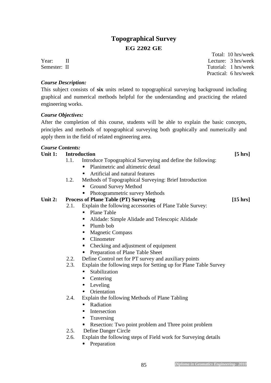## **Topographical Survey EG 2202 GE**

#### *Course Description:*

This subject consists of **six** units related to topographical surveying background including graphical and numerical methods helpful for the understanding and practicing the related engineering works.

#### *Course Objectives:*

After the completion of this course, students will be able to explain the basic concepts, principles and methods of topographical surveying both graphically and numerically and apply them in the field of related engineering area.

#### *Course Contents:*

#### Unit 1: Introduction **[5 hrs]**

- 1.1. Introduce Topographical Surveying and define the following:
	- Planimetric and altimetric detail
	- Artificial and natural features
- 1.2. Methods of Topographical Surveying: Brief Introduction
	- Ground Survey Method
	- Photogrammetric survey Methods

#### Unit 2: Process of Plane Table (PT) Surveying [15 hrs]

- 2.1. Explain the following accessories of Plane Table Survey:
	- Plane Table
	- Alidade: Simple Alidade and Telescopic Alidade
	- Plumb bob
	- Magnetic Compass
	- Clinometer
	- Checking and adjustment of equipment
	- Preparation of Plane Table Sheet
- 2.2. Define Control net for PT survey and auxiliary points
- 2.3. Explain the following steps for Setting up for Plane Table Survey
	- Stabilization
	- Centering
	- Leveling
	- Orientation
- 2.4. Explain the following Methods of Plane Tabling
	- Radiation
	- Intersection
	- Traversing
	- Resection: Two point problem and Three point problem
- 2.5. Define Danger Circle
- 2.6. Explain the following steps of Field work for Surveying details
	- Preparation

 Total: 10 hrs/week Year: II Lecture: 3 hrs/week Semester: II Tutorial: 1 hrs/week Practical: 6 hrs/week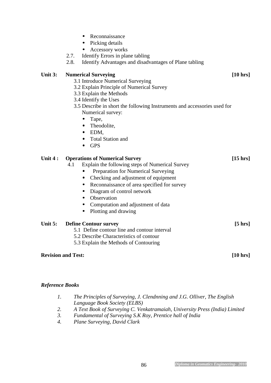- Reconnaissance
- Picking details
- Accessory works
- 2.7. Identify Errors in plane tabling
- 2.8. Identify Advantages and disadvantages of Plane tabling

#### Unit 3: Numerical Surveying [10 hrs]

- 3.1 Introduce Numerical Surveying
- 3.2 Explain Principle of Numerical Survey
- 3.3 Explain the Methods
- 3.4 Identify the Uses
- 3.5 Describe in short the following Instruments and accessories used for Numerical survey:
	- Tape,
	- Theodolite,
	- EDM,
	- Total Station and
	- GPS

#### Unit 4 : Operations of Numerical Survey [15 hrs]

- 4.1 Explain the following steps of Numerical Survey
	- Preparation for Numerical Surveying
	- Checking and adjustment of equipment
	- Reconnaissance of area specified for survey
	- Diagram of control network
	- Observation
	- Computation and adjustment of data
	- Plotting and drawing

#### Unit 5: Define Contour survey [5 hrs]

- 5.1 Define contour line and contour interval
- 5.2 Describe Characteristics of contour
- 5.3 Explain the Methods of Contouring

#### **Revision and Test: [10 hrs]**

#### *Reference Books*

- *1. The Principles of Surveying, J. Clendnning and J.G. Olliver, The English Language Book Society (ELBS)*
- *2. A Text Book of Surveying C. Venkatramaiah, University Press (India) Limited*
- *3. Fundamental of Surveying S.K Roy, Prentice hall of India*
- *4. Plane Surveying, David Clark*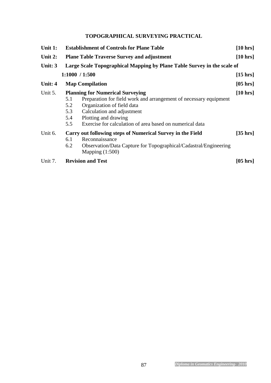### **TOPOGRAPHICAL SURVEYING PRACTICAL**

| Unit 1:   | <b>Establishment of Controls for Plane Table</b><br>$[10 \text{ hrs}]$  |                                                                                                                                                                                                                                                              |                    |  |  |  |  |
|-----------|-------------------------------------------------------------------------|--------------------------------------------------------------------------------------------------------------------------------------------------------------------------------------------------------------------------------------------------------------|--------------------|--|--|--|--|
| Unit $2:$ |                                                                         | $[10 \text{ hrs}]$<br><b>Plane Table Traverse Survey and adjustment</b>                                                                                                                                                                                      |                    |  |  |  |  |
| Unit: 3   | Large Scale Topographical Mapping by Plane Table Survey in the scale of |                                                                                                                                                                                                                                                              |                    |  |  |  |  |
|           |                                                                         | 1:1000 / 1:500                                                                                                                                                                                                                                               | $[15 \text{ hrs}]$ |  |  |  |  |
| Unit: 4   |                                                                         | <b>Map Compilation</b>                                                                                                                                                                                                                                       | $[05 \text{ hrs}]$ |  |  |  |  |
| Unit 5.   | 5.1<br>5.2<br>5.3<br>5.4<br>5.5                                         | <b>Planning for Numerical Surveying</b><br>Preparation for field work and arrangement of necessary equipment<br>Organization of field data<br>Calculation and adjustment<br>Plotting and drawing<br>Exercise for calculation of area based on numerical data | [10 hrs]           |  |  |  |  |
| Unit 6.   | 6.1<br>6.2                                                              | Carry out following steps of Numerical Survey in the Field<br>Reconnaissance<br>Observation/Data Capture for Topographical/Cadastral/Engineering<br>Mapping $(1:500)$                                                                                        | $[35 \text{ hrs}]$ |  |  |  |  |
| Unit 7.   |                                                                         | <b>Revision and Test</b>                                                                                                                                                                                                                                     | $[05 \text{ hrs}]$ |  |  |  |  |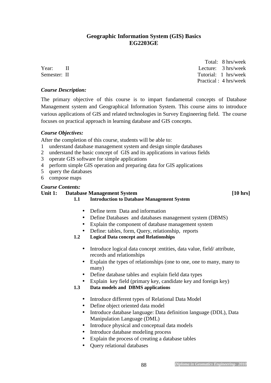#### **Geographic Information System (GIS) Basics EG2203GE**

 Total: 8 hrs/week Year: II Lecture: 3 hrs/week Semester: II Tutorial: 1 hrs/week Practical : 4 hrs/week

#### *Course Description:*

The primary objective of this course is to impart fundamental concepts of Database Management system and Geographical Information System. This course aims to introduce various applications of GIS and related technologies in Survey Engineering field. The course focuses on practical approach in learning database and GIS concepts.

#### *Course Objectives:*

After the completion of this course, students will be able to:

- 1 understand database management system and design simple databases
- 2 understand the basic concept of GIS and its applications in various fields
- 3 operate GIS software for simple applications
- 4 perform simple GIS operation and preparing data for GIS applications
- 5 query the databases
- 6 compose maps

#### *Course Contents:*

#### Unit 1: Database Management System **and System** *If the system If the system is a system of the system is a system of the system in the system in the system is a system in the system in the system in the system in the*

**1.1 Introduction to Database Management System** 

- Define term Data and information
- Define Databases and databases management system (DBMS)
- Explain the component of database management system
- Define: tables, form, Query, relationship, reports
- **1.2 Logical Data concept and Relationships** 
	- Introduce logical data concept : entities, data value, field/ attribute, records and relationships
	- Explain the types of relationships (one to one, one to many, many to many)
	- Define database tables and explain field data types
	- Explain key field (primary key, candidate key and foreign key)

#### **1.3 Data models and DBMS applications**

- Introduce different types of Relational Data Model
- Define object oriented data model
- Introduce database language: Data definition language (DDL), Data Manipulation Language (DML)
- Introduce physical and conceptual data models
- Introduce database modeling process
- Explain the process of creating a database tables
- Query relational databases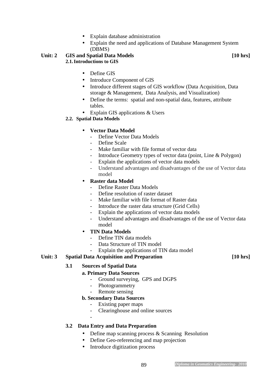- Explain database administration
- Explain the need and applications of Database Management System (DBMS)

#### Unit: 2 GIS and Spatial Data Models **[10 hrs] 2.1.Introductions to GIS**

- Define GIS
- Introduce Component of GIS
- Introduce different stages of GIS workflow (Data Acquisition, Data storage & Management, Data Analysis, and Visualization)
- Define the terms: spatial and non-spatial data, features, attribute tables.
- Explain GIS applications & Users

#### **2.2. Spatial Data Models**

#### • **Vector Data Model**

- Define Vector Data Models
- Define Scale
- Make familiar with file format of vector data
- Introduce Geometry types of vector data (point, Line & Polygon)
- Explain the applications of vector data models
- Understand advantages and disadvantages of the use of Vector data model

#### • **Raster data Model**

- Define Raster Data Models
- Define resolution of raster dataset
- Make familiar with file format of Raster data
- Introduce the raster data structure (Grid Cells)
- Explain the applications of vector data models
- Understand advantages and disadvantages of the use of Vector data model

#### • **TIN Data Models**

- Define TIN data models
- Data Structure of TIN model
- Explain the applications of TIN data model

#### Unit: 3 Spatial Data Acquisition and Preparation **[10 hrs]**

#### **3.1 Sources of Spatial Data**

#### **a. Primary Data Sources**

- Ground surveying, GPS and DGPS
- Photogrammetry
- Remote sensing

#### **b. Secondary Data Sources**

- Existing paper maps
- Clearinghouse and online sources
- -

#### **3.2 Data Entry and Data Preparation**

- Define map scanning process & Scanning Resolution
- Define Geo-referencing and map projection
- Introduce digitization process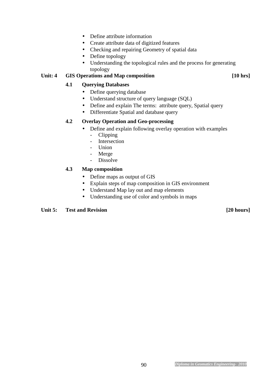- Define attribute information
- Create attribute data of digitized features
- Checking and repairing Geometry of spatial data
- Define topology
- Understanding the topological rules and the process for generating topology

#### Unit: 4 GIS Operations and Map composition [10 hrs]

#### **4.1 Querying Databases**

- Define querying database
- Understand structure of query language (SQL)
- Define and explain The terms: attribute query, Spatial query
- Differentiate Spatial and database query

#### **4.2 Overlay Operation and Geo-processing**

- Define and explain following overlay operation with examples
	- Clipping
	- Intersection
	- Union
	- Merge
	- Dissolve

#### **4.3 Map composition**

- Define maps as output of GIS
- Explain steps of map composition in GIS environment
- Understand Map lay out and map elements
- Understanding use of color and symbols in maps

#### Unit 5: Test and Revision **and 20 hours [20 hours]**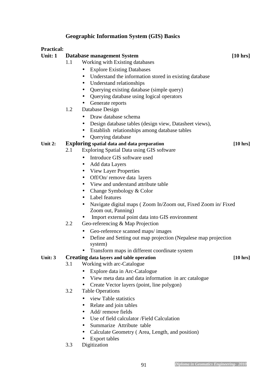#### **Geographic Information System (GIS) Basics**

#### **Practical:**

Unit: 1 **Database management System** [10 hrs]

- 1.1 Working with Existing databases
	- Explore Existing Databases
	- Understand the information stored in existing database
	- Understand relationships
	- Querying existing database (simple query)
	- Querying database using logical operators
	- Generate reports
- 1.2 Database Design
	- Draw database schema
	- Design database tables (design view, Datasheet views),
	- Establish relationships among database tables
	- Querying database

#### Unit 2: **Exploring** spatial data and data preparation [10 hrs]

- 2.1 Exploring Spatial Data using GIS software
	- Introduce GIS software used
		- Add data Layers
		- View Layer Properties
		- Off/On/ remove data layers
		- View and understand attribute table
		- Change Symbology & Color
		- Label features
		- Navigate digital maps (Zoom In/Zoom out, Fixed Zoom in/Fixed Zoom out, Panning)
		- Import external point data into GIS environment
- 2.2 Geo-referencing & Map Projection
	- Geo-reference scanned maps/ images
	- Define and Setting out map projection (Nepalese map projection) system)
	- Transform maps in different coordinate system

#### **Unit: 3 Creating data layers and table operation [10 hrs]**

- 3.1 Working with arc-Catalogue
	- Explore data in Arc-Catalogue
	- View meta data and data information in arc catalogue
	- Create Vector layers (point, line polygon)
- 3.2 Table Operations
	- view Table statistics
	- Relate and join tables
	- Add/ remove fields
	- Use of field calculator /Field Calculation
	- Summarize Attribute table
	- Calculate Geometry (Area, Length, and position)
	- Export tables
- 3.3 Digitization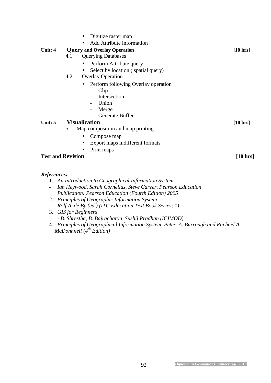| Digitize raster map                           |                    |
|-----------------------------------------------|--------------------|
| Add Attribute information                     |                    |
| Unit: 4<br><b>Query and Overlay Operation</b> | $[10 \text{ hrs}]$ |
| <b>Querying Databases</b><br>4.1              |                    |
| Perform Attribute query                       |                    |
| Select by location (spatial query)            |                    |
| <b>Overlay Operation</b><br>4.2               |                    |
| Perform following Overlay operation           |                    |
| Clip<br>$\qquad \qquad -$                     |                    |
| Intersection                                  |                    |
| Union                                         |                    |
| Merge                                         |                    |
| <b>Generate Buffer</b>                        |                    |
| <b>Visualization</b><br>Unit: 5               | $[10 \text{ hrs}]$ |
| 5.1 Map composition and map printing          |                    |
| Compose map                                   |                    |
| Export maps indifferent formats               |                    |
| Print maps                                    |                    |
| <b>Test and Revision</b>                      | $[10 \text{ hrs}]$ |

#### *References:*

- 1. *An Introduction to Geographical Information System*
- *Ian Heywood, Sarah Cornelius, Steve Carver, Pearson Education Publication: Pearson Education (Fourth Edition) 2005*
- 2. *Principles of Geographic Information System*
- *Rolf A. de By (ed.) (ITC Education Text Book Series; 1)*
- 3. *GIS for Beginners - B. Shrestha, B. Bajracharya, Sushil Pradhan (ICIMOD)*
- 4. *Principles of Geographical Information System, Peter. A. Burrough and Rachael A. McDonnnell (4th Edition)*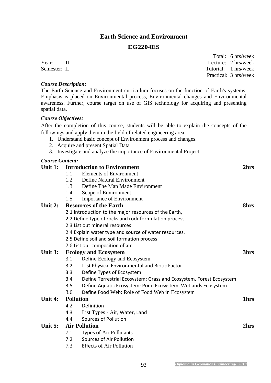#### **Earth Science and Environment**

#### **EG2204ES**

*Course Description:* 

The Earth Science and Environment curriculum focuses on the function of Earth's systems. Emphasis is placed on Environmental process, Environmental changes and Environmental awareness. Further, course target on use of GIS technology for acquiring and presenting spatial data.

#### *Course Objectives:*

After the completion of this course, students will be able to explain the concepts of the followings and apply them in the field of related engineering area

- 1. Understand basic concept of Environment process and changes.
- 2. Acquire and present Spatial Data
- 3. Investigate and analyze the importance of Environmental Project

#### *Course Content:*

#### **Unit 1: Introduction to Environment 2hrs**  1.1 Elements of Environment 1.2 Define Natural Environment 1.3 Define The Man Made Environment 1.4 Scope of Environment 1.5 Importance of Environment **Unit 2:** Resources of the Earth 8hrs **8hrs** 2.1 Introduction to the major resources of the Earth, 2.2 Define type of rocks and rock formulation process 2.3 List out mineral resources 2.4 Explain water type and source of water resources. 2.5 Define soil and soil formation process 2.6 List out composition of air Unit 3: Ecology and Ecosystem 3hrs 3hrs 3.1 Define Ecology and Ecosystem 3.2 List Physical Environmental and Biotic Factor 3.3 Define Types of Ecosystem 3.4 Define Terrestrial Ecosystem: Grassland Ecosystem, Forest Ecosystem 3.5 Define Aquatic Ecosystem: Pond Ecosystem, Wetlands Ecosystem 3.6 Define Food Web: Role of Food Web in Ecosystem **Unit 4:** Pollution 1hrs 4.2 Definition 4.3 List Types - Air, Water, Land 4.4 Sources of Pollution **Unit 5: Air Pollution 2hrs**  7.1 Types of Air Pollutants 7.2 Sources of Air Pollution 7.3 Effects of Air Pollution

 Total: 6 hrs/week Year: II Lecture: 2 hrs/week Semester: II Tutorial: 1 hrs/week Practical: 3 hrs/week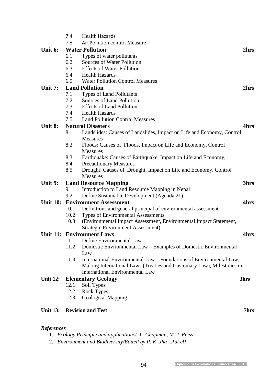|                   | 7.4  | <b>Health Hazards</b>                                                                    |      |
|-------------------|------|------------------------------------------------------------------------------------------|------|
|                   | 7.5  | Air Pollution control Measure                                                            |      |
| Unit 6:           |      | <b>Water Pollution</b>                                                                   | 2hrs |
|                   | 6.1  | Types of water pollutants                                                                |      |
|                   | 6.2  | Sources of Water Pollution                                                               |      |
|                   | 6.3  | <b>Effects of Water Pollution</b>                                                        |      |
|                   | 6.4  | <b>Health Hazards</b>                                                                    |      |
|                   | 6.5  | <b>Water Pollution Control Measures</b>                                                  |      |
| Unit 7:           |      | <b>Land Pollution</b>                                                                    | 2hrs |
|                   | 7.1  | <b>Types of Land Pollutants</b>                                                          |      |
|                   | 7.2  | Sources of Land Pollution                                                                |      |
|                   | 7.3  | <b>Effects of Land Pollution</b>                                                         |      |
|                   | 7.4  | <b>Health Hazards</b>                                                                    |      |
|                   | 7.5  | <b>Land Pollution Control Measures</b>                                                   |      |
| Unit 8:           |      | <b>Natural Disasters</b>                                                                 | 4hrs |
|                   | 8.1  | Landslides: Causes of Landslides, Impact on Life and Economy, Control<br><b>Measures</b> |      |
|                   | 8.2  | Floods: Causes of Floods, Impact on Life and Economy, Control<br><b>Measures</b>         |      |
|                   | 8.3  | Earthquake: Causes of Earthquake, Impact on Life and Economy,                            |      |
|                   | 8.4  | <b>Precautionary Measures</b>                                                            |      |
|                   | 8.5  | Drought: Causes of Drought, Impact on Life and Economy, Control                          |      |
|                   |      | <b>Measures</b>                                                                          |      |
| Unit 9:           |      | <b>Land Resource Mapping</b>                                                             | 3hrs |
|                   | 9.1  | Introduction to Land Resource Mapping in Nepal                                           |      |
|                   | 9.2  | Define Sustainable Development (Agenda 21)                                               |      |
| <b>Unit 10:</b>   |      | <b>Environment Assessment</b>                                                            | 4hrs |
|                   | 10.1 | Definitions and general principal of environmental assessment                            |      |
|                   | 10.2 | Types of Environmental Assessments                                                       |      |
|                   | 10.3 | (Environmental Impact Assessment, Environmental Impact Statement,                        |      |
|                   |      | <b>Strategic Environment Assessment)</b>                                                 |      |
|                   |      | <b>Unit 11: Environment Laws</b>                                                         | 4hrs |
|                   | 11.1 | Define Environmental Law                                                                 |      |
|                   | 11.2 | Domestic Environmental Law – Examples of Domestic Environmental<br>Law                   |      |
|                   | 11.3 | International Environmental Law – Foundations of Environmental Law,                      |      |
|                   |      | Making International Laws (Treaties and Customary Law), Milestones in                    |      |
|                   |      | <b>International Environmental Law</b>                                                   |      |
| <b>Unit 12:</b>   |      | <b>Elementary Geology</b>                                                                | 3hrs |
|                   | 12.1 | Soil Types                                                                               |      |
|                   | 12.2 | <b>Rock Types</b>                                                                        |      |
|                   | 12.3 | <b>Geological Mapping</b>                                                                |      |
| <b>Unit 13:</b>   |      | <b>Revision and Test</b>                                                                 | 7hrs |
| <b>References</b> |      |                                                                                          |      |

- 1. *Ecology Principle and application/J. L. Chapman, M. J. Reiss*
- 2. *Environment and Biodiversity/Edited by P. K. Jha ...[at el]*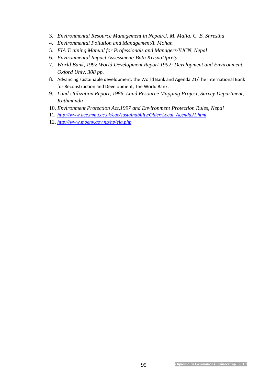- 3. *Environmental Resource Management in Nepal/U. M. Malla, C. B. Shrestha*
- 4. *Environmental Pollution and Management/I. Mohan*
- 5. *EIA Training Manual for Professionals and Managers/IUCN, Nepal*
- 6. *Environmental Impact Assessment/ Batu KrisnaUprety*
- 7. *World Bank, 1992 World Development Report 1992; Development and Environment. Oxford Univ. 308 pp.*
- 8. Advancing sustainable development: the World Bank and Agenda 21/The International Bank for Reconstruction and Development, The World Bank.
- 9. *Land Utilization Report, 1986. Land Resource Mapping Project, Survey Department, Kathmandu*
- 10. *Environment Protection Act,1997 and Environment Protection Rules, Nepal*
- 11. *http://www.ace.mmu.ac.uk/eae/sustainability/Older/Local\_Agenda21.html*
- 12. *http://www.moenv.gov.np/np/eia.php*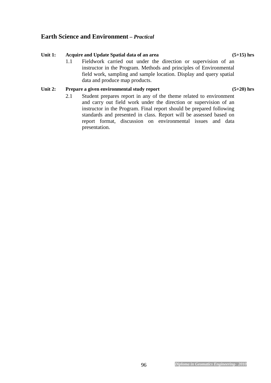#### 96 *Diploma in Geomatics Engineering- 2010*

### **Earth Science and Environment** *– Practical*

#### Unit 1: Acquire and Update Spatial data of an area (5+15) hrs

1.1 Fieldwork carried out under the direction or supervision of an instructor in the Program. Methods and principles of Environmental field work, sampling and sample location. Display and query spatial data and produce map products.

#### Unit 2: Prepare a given environmental study report (5+20) hrs

2.1 Student prepares report in any of the theme related to environment and carry out field work under the direction or supervision of an instructor in the Program. Final report should be prepared following standards and presented in class. Report will be assessed based on report format, discussion on environmental issues and data presentation.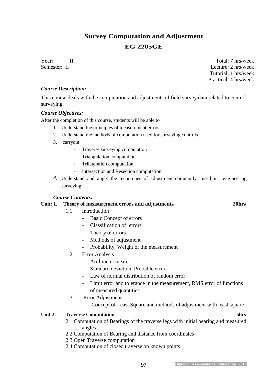# **Survey Computation and Adjustment EG 2205GE**

Year: II Total: 7 hrs/week Semester: II Lecture: 2 hrs/week Tutorial: 1 hrs/week Practical: 4 hrs/week

#### *Course Description:*

This course deals with the computation and adjustments of field survey data related to control surveying.

#### *Course Objectives:*

After the completion of this course, students will be able to

- 1. Understand the principles of measurement errors
- 2. Understand the methods of computation used for surveying controls
- 3. carryout
	- Traverse surveying computation
	- Triangulation computation
	- Trilateration computation
	- Intersection and Resection computation
- *4.* Understand and apply the techniques of adjustment commonly used in engineering surveying

#### *Course Contents:*

#### **Unit: 1. Theory of measurement errors and adjustments 20hrs**

- 1.1 Introduction
	- Basic Concept of errors
	- Classification of errors
	- Theory of errors
	- Methods of adjustment
	- Probability, Weight of the measurement

#### 1.2 Error Analysis

- Arithmetic mean,
	- Standard deviation, Probable error
- Law of normal distribution of random error
- Limit error and tolerance in the measurement, RMS error of functions of measured quantities
- 1.3 Error Adjustment
	- Concept of Least Square and methods of adjustment with least square

#### **Unit 2 Traverse Computation 5hrs**

- 2.1 Computation of Bearings of the traverse legs with initial bearing and measured angles
- 2.2 Computation of Bearing and distance from coordinates
- 2.3 Open Traverse computation
- 2.4 Computation of closed traverse on known points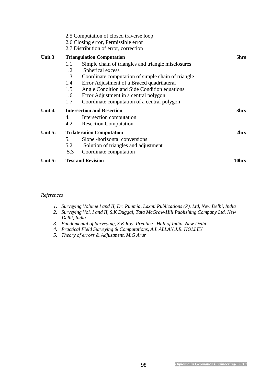| Unit 5: |                                         | <b>Test and Revision</b>                                                                                                                                                                                                                                     | 10hrs |
|---------|-----------------------------------------|--------------------------------------------------------------------------------------------------------------------------------------------------------------------------------------------------------------------------------------------------------------|-------|
|         | 5.1<br>5.2<br>5.3                       | Slope - horizontal conversions<br>Solution of triangles and adjustment<br>Coordinate computation                                                                                                                                                             |       |
| Unit 5: | <b>Trilateration Computation</b>        | 2hrs                                                                                                                                                                                                                                                         |       |
| Unit 4. | 4.1<br>4.2                              | <b>Intersection and Resection</b><br>Intersection computation<br><b>Resection Computation</b>                                                                                                                                                                | 3hrs  |
|         | 1.2<br>1.3<br>1.4<br>1.5<br>1.6<br>1.7  | Spherical excess<br>Coordinate computation of simple chain of triangle<br>Error Adjustment of a Braced quadrilateral<br>Angle Condition and Side Condition equations<br>Error Adjustment in a central polygon<br>Coordinate computation of a central polygon |       |
| Unit 3  | <b>Triangulation Computation</b><br>1.1 | 5hrs                                                                                                                                                                                                                                                         |       |
|         |                                         | 2.5 Computation of closed traverse loop<br>2.6 Closing error, Permissible error<br>2.7 Distribution of error, correction                                                                                                                                     |       |

#### *References*

- *1. Surveying Volume I and II, Dr. Punmia, Laxmi Publications (P). Ltd, New Delhi, India*
- *2. Surveying Vol. I and II, S.K Duggal, Tata McGraw-Hill Publishing Company Ltd. New Delhi, India*
- *3. Fundamental of Surveying, S.K Roy, Prentice –Hall of India, New Delhi*
- *4. Practical Field Surveying & Computations, A.L ALLAN,J.R. HOLLEY*
- *5. Theory of errors & Adjustment, M.G Arur*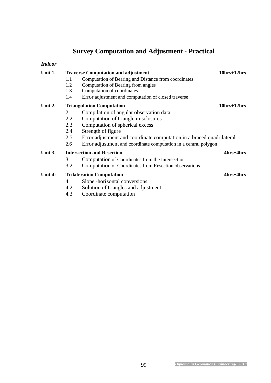# **Survey Computation and Adjustment - Practical**

#### *Indoor*

| Unit 1. | <b>Traverse Computation and adjustment</b> | $10hrs+12hrs$                                                         |           |  |  |  |  |  |  |  |
|---------|--------------------------------------------|-----------------------------------------------------------------------|-----------|--|--|--|--|--|--|--|
|         | 1.1                                        | Computation of Bearing and Distance from coordinates                  |           |  |  |  |  |  |  |  |
|         | 1.2                                        | Computation of Bearing from angles                                    |           |  |  |  |  |  |  |  |
|         | 1.3                                        | Computation of coordinates                                            |           |  |  |  |  |  |  |  |
|         | 1.4                                        | Error adjustment and computation of closed traverse                   |           |  |  |  |  |  |  |  |
| Unit 2. | <b>Triangulation Computation</b>           | $10hrs+12hrs$                                                         |           |  |  |  |  |  |  |  |
|         | 2.1                                        | Compilation of angular observation data                               |           |  |  |  |  |  |  |  |
|         | 2.2                                        | Computation of triangle misclosures                                   |           |  |  |  |  |  |  |  |
|         | 2.3                                        | Computation of spherical excess                                       |           |  |  |  |  |  |  |  |
|         | 2.4                                        | Strength of figure                                                    |           |  |  |  |  |  |  |  |
|         | 2.5                                        | Error adjustment and coordinate computation in a braced quadrilateral |           |  |  |  |  |  |  |  |
|         | 2.6                                        | Error adjustment and coordinate computation in a central polygon      |           |  |  |  |  |  |  |  |
| Unit 3. |                                            | <b>Intersection and Resection</b>                                     | 4hrs+4hrs |  |  |  |  |  |  |  |
|         | 3.1                                        | Computation of Coordinates from the Intersection                      |           |  |  |  |  |  |  |  |
|         | 3.2                                        | Computation of Coordinates from Resection observations                |           |  |  |  |  |  |  |  |
| Unit 4: | <b>Trilateration Computation</b>           | 4hrs+4hrs                                                             |           |  |  |  |  |  |  |  |
|         | 4.1                                        | Slope - horizontal conversions                                        |           |  |  |  |  |  |  |  |
|         | 4.2                                        | Solution of triangles and adjustment                                  |           |  |  |  |  |  |  |  |
|         | 4.3                                        | Coordinate computation                                                |           |  |  |  |  |  |  |  |
|         |                                            |                                                                       |           |  |  |  |  |  |  |  |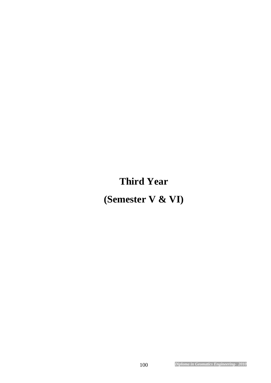# **Third Year**

**(Semester V & VI)**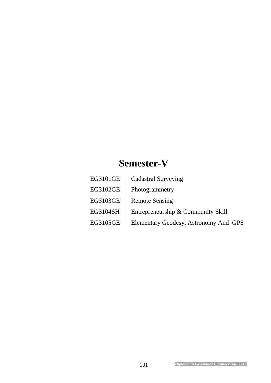# **Semester-V**

| EG3101GE | <b>Cadastral Surveying</b>            |
|----------|---------------------------------------|
| EG3102GE | Photogrammetry                        |
| EG3103GE | <b>Remote Sensing</b>                 |
| EG3104SH | Entrepreneurship & Community Skill    |
| EG3105GE | Elementary Geodesy, Astronomy And GPS |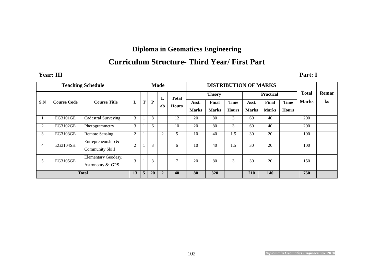# **Diploma in Geomaticss Engineering**

# **Curriculum Structure- Third Year/ First Part**

#### **Year: III Part: I**

| <b>Teaching Schedule</b> |                    |                                              |                | <b>Mode</b> |              |                |                | <b>DISTRIBUTION OF MARKS</b> |              |              |                  |              |              |              |                |
|--------------------------|--------------------|----------------------------------------------|----------------|-------------|--------------|----------------|----------------|------------------------------|--------------|--------------|------------------|--------------|--------------|--------------|----------------|
|                          |                    |                                              |                |             |              | L              | <b>Total</b>   | <b>Theory</b>                |              |              | <b>Practical</b> |              |              | <b>Total</b> | Remar          |
| S.N                      | <b>Course Code</b> | <b>Course Title</b>                          | L              | T           | $\mathbf{P}$ | ab             | <b>Hours</b>   | Asst.                        | <b>Final</b> | <b>Time</b>  | Asst.            | Final        | <b>Time</b>  | <b>Marks</b> | $\mathbf{k}$ s |
|                          |                    |                                              |                |             |              |                |                | <b>Marks</b>                 | <b>Marks</b> | <b>Hours</b> | <b>Marks</b>     | <b>Marks</b> | <b>Hours</b> |              |                |
|                          | EG3101GE           | Cadastral Surveying                          | 3              |             | 8            |                | 12             | 20                           | 80           | 3            | 60               | 40           |              | 200          |                |
| 2                        | EG3102GE           | Photogrammetry                               | 3              |             | 6            |                | 10             | 20                           | 80           | 3            | 60               | 40           |              | 200          |                |
| 3                        | EG3103GE           | <b>Remote Sensing</b>                        | $\overline{2}$ |             |              | $\overline{2}$ |                | 10                           | 40           | 1.5          | 30               | 20           |              | 100          |                |
| 4                        | EG3104SH           | Entrepreneurship &<br><b>Community Skill</b> | $\overline{2}$ |             | 3            |                | 6              | 10                           | 40           | 1.5          | 30               | 20           |              | 100          |                |
| 5                        | EG3105GE           | Elementary Geodesy,<br>Astronomy & GPS       | 3              |             | 3            |                | $\overline{ }$ | 20                           | 80           | 3            | 30               | 20           |              | 150          |                |
| <b>Total</b>             |                    |                                              | 13             | 5           | 20           | $\overline{2}$ | 40             | 80                           | 320          |              | <b>210</b>       | 140          |              | 750          |                |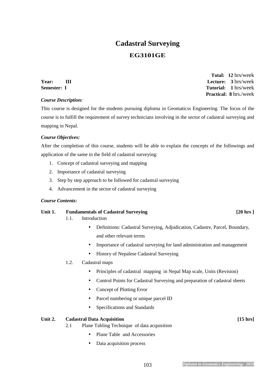# **Cadastral Surveying**

### **EG3101GE**

 **Total: 12** hrs/week **Year: III Lecture: 3** hrs/week **Semester:** I Tutorial: 1 hrs/week  **Practical: 8** hrs./week

#### *Course Description:*

This course is designed for the students pursuing diploma in Geomaticss Engineering. The focus of the course is to fulfill the requirement of survey technicians involving in the sector of cadastral surveying and mapping in Nepal.

#### *Course Objectives:*

After the completion of this course, students will be able to explain the concepts of the followings and application of the same in the field of cadastral surveying:

- 1. Concept of cadastral surveying and mapping
- 2. Importance of cadastral surveying
- 3. Step by step approach to be followed for cadastral surveying
- 4. Advancement in the sector of cadastral surveying

#### *Course Contents:*

#### Unit 1. **Fundamentals of Cadastral Surveying Fig. 20 hrs 120 hrs** 1

- 1.1. Introduction
	- Definitions: Cadastral Surveying, Adjudication, Cadastre, Parcel, Boundary, and other relevant terms
	- Importance of cadastral surveying for land administration and management
	- History of Nepalese Cadastral Surveying

#### 1.2. Cadastral maps

- Principles of cadastral mapping in Nepal Map scale, Units (Revision)
- Control Points for Cadastral Surveying and preparation of cadastral sheets
- Concept of Plotting Error
- Parcel numbering or unique parcel ID
- Specifications and Standards

#### Unit 2. Cadastral Data Acquisition *Lease Contract Contract Contract Contract Contract Contract Contract Contract Contract Contract Contract Contract Contract Contract Contract Contract Contract Contract Contract Contract*

- 2.1 Plane Tabling Technique of data acquisition
	- Plane Table and Accessories
	- Data acquisition process

#### 103 *Diploma in Geomatics Engineering- 2010*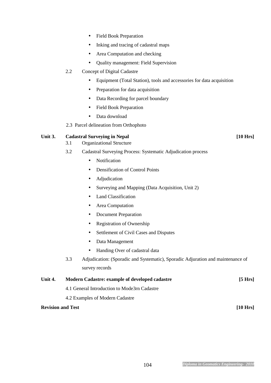- Field Book Preparation
- Inking and tracing of cadastral maps
- Area Computation and checking
- Quality management: Field Supervision

#### 2.2 Concept of Digital Cadastre

- Equipment (Total Station), tools and accessories for data acquisition
- Preparation for data acquisition
- Data Recording for parcel boundary
- Field Book Preparation
- Data download
- 2.3 Parcel delineation from Orthophoto

#### Unit 3. Cadastral Surveying in Nepal [10 Hrs] **[10 Hrs]**

- 3.1 Organizational Structure
- 3.2 Cadastral Surveying Process: Systematic Adjudication process
	- Notification
	- Densification of Control Points
	- Adjudication
	- Surveying and Mapping (Data Acquisition, Unit 2)
	- Land Classification
	- Area Computation
	- Document Preparation
	- Registration of Ownership
	- Settlement of Civil Cases and Disputes
	- Data Management
	- Handing Over of cadastral data
- 3.3 Adjudication: (Sporadic and Systematic), Sporadic Adjuration and maintenance of survey records

| Unit 4.                  | Modern Cadastre: example of developed cadastre | [5 Hrs]  |
|--------------------------|------------------------------------------------|----------|
|                          | 4.1 General Introduction to Mode3rn Cadastre   |          |
|                          | 4.2 Examples of Modern Cadastre                |          |
| <b>Revision and Test</b> |                                                | [10 Hrs] |

#### 104 *Diploma in Geomatics Engineering- 2010*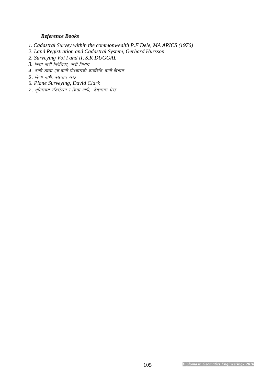#### *Reference Books*

- *1. Cadastral Survey within the commonwealth P.F Dele, MA ARICS (1976)*
- *2. Land Registration and Cadastral System, Gerhard Hursson*
- *2. Surveying Vol I and II, S.K DUGGAL*
- *3. कित्ता नापी निर्देशिका, नापी विभाग*
- *4. नापी शाखा एवं नापी गोश्वाराको कार्यविधि, नापी विभाग*
- *5. कित्ता नापी, बेखलाल श्रेष्ठ*
- *6. Plane Surveying, David Clark*
- *7. भूमिलगत रजिष्ट्रेशन र कित्ता नापी, बेखालाल श्रेष्ठ*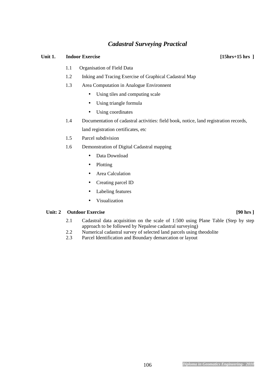### *Cadastral Surveying Practical*

#### Unit 1. **Indoor Exercise** [15hrs+15 hrs ]

- 1.1 Organisation of Field Data
- 1.2 Inking and Tracing Exercise of Graphical Cadastral Map
- 1.3 Area Computation in Analogue Environnent
	- Using tiles and computing scale
	- Using triangle formula
	- Using coordinates
- 1.4 Documentation of cadastral activities: field book, notice, land registration records, land registration certificates, etc
- 1.5 Parcel subdivision
- 1.6 Demonstration of Digital Cadastral mapping
	- Data Download
	- Plotting
	- Area Calculation
	- Creating parcel ID
	- Labeling features
	- Visualization

#### Unit: 2 **Outdoor Exercise** [90 hrs ]

- 2.1 Cadastral data acquisition on the scale of 1:500 using Plane Table (Step by step approach to be followed by Nepalese cadastral surveying)
- 2.2 Numerical cadastral survey of selected land parcels using theodolite
- 2.3 Parcel Identification and Boundary demarcation or layout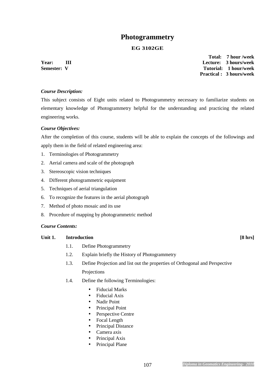### **Photogrammetry**

#### **EG 3102GE**

 **Total: 7 hour /week Year: III Lecture: 3 hours/week Semester: V** Tutorial: 1 hour/week  **Practical : 3 hours/week** 

#### *Course Description:*

This subject consists of Eight units related to Photogrammetry necessary to familiarize students on elementary knowledge of Photogrammetry helpful for the understanding and practicing the related engineering works.

#### *Course Objectives:*

After the completion of this course, students will be able to explain the concepts of the followings and apply them in the field of related engineering area:

- 1. Terminologies of Photogrammetry
- 2. Aerial camera and scale of the photograph
- 3. Stereoscopic vision techniques
- 4. Different photogrammetric equipment
- 5. Techniques of aerial triangulation
- 6. To recognize the features in the aerial photograph
- 7. Method of photo mosaic and its use
- 8. Procedure of mapping by photogrammetric method

#### *Course Contents:*

#### Unit 1. **Introduction 1. Introduction 1. Intervention 1. IS** hrs]

- 1.1. Define Photogrammetry
- 1.2. Explain briefly the History of Photogrammetry
- 1.3. Define Projection and list out the properties of Orthogonal and Perspective Projections
- 1.4. Define the following Terminologies:
	- Fiducial Marks
	- Fiducial Axis
	- Nadir Point
	- Principal Point
	- Perspective Centre
	- Focal Length
	- Principal Distance
	- Camera axis
	- Principal Axis
	- Principal Plane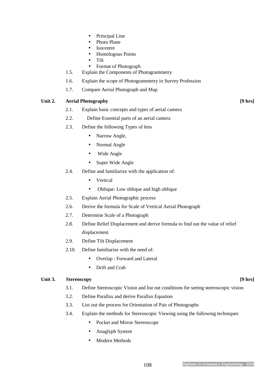- Principal Line
- Photo Plane
- **Isocentre**
- Homologous Points
- Tilt
- Format of Photograph
- 1.5. Explain the Components of Photogrammetry
- 1.6. Explain the scope of Photogrammetry in Survey Profession
- 1.7. Compare Aerial Photograph and Map

# Unit 2. **Aerial Photography 19 hrs 19 hrs 19 hrs 19 hrs 19 hrs 19 hrs 19 hrs 19 hrs 19 hrs 19 hrs 19 hrs 19 hrs 10 hrs 10 hrs 10 hrs 10 hrs 10 hrs 10 hrs 10 hrs 10 hrs 10 hrs 10**

- 2.1. Explain basic concepts and types of aerial camera
- 2.2. Define Essential parts of an aerial camera
- 2.3. Define the following Types of lens
	- Narrow Angle,
	- Normal Angle
	- Wide Angle
	- Super Wide Angle
- 2.4. Define and familiarize with the application of:
	- Vertical
	- Oblique: Low oblique and high oblique
- 2.5. Explain Aerial Photographic process
- 2.6. Derive the formula for Scale of Vertical Aerial Photograph
- 2.7. Determine Scale of a Photograph
- 2.8. Define Relief Displacement and derive formula to find out the value of relief displacement
- 2.9. Define Tilt Displacement
- 2.10. Define familiarize with the need of:
	- Overlap : Forward and Lateral
	- Drift and Crab

# Unit 3. Stereoscopy **19 hrs 19 hrs 19 hrs 19 hrs 19 hrs 19 hrs 19 hrs 19 hrs 19 hrs 19 hrs 19 hrs 1**

- 3.1. Define Stereoscopic Vision and list out conditions for seeing stereoscopic vision
- 3.2. Define Parallax and derive Parallax Equation
- 3.3. List out the process for Orientation of Pair of Photographs
- 3.4. Explain the methods for Stereoscopic Viewing using the following techniques
	- Pocket and Mirror Stereoscope
	- Anaglyph System
	- Modern Methods

# 108 *Diploma in Geomatics Engineering- 2010*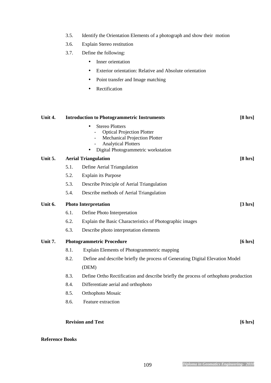- 3.5. Identify the Orientation Elements of a photograph and show their motion
- 3.6. Explain Stereo restitution
- 3.7. Define the following:
	- Inner orientation
	- Exterior orientation: Relative and Absolute orientation
	- Point transfer and Image matching
	- Rectification

| <b>Stereo Plotters</b><br><b>Optical Projection Plotter</b><br><b>Mechanical Projection Plotter</b><br><b>Analytical Plotters</b> | $[8 \text{ hrs}]$ |
|-----------------------------------------------------------------------------------------------------------------------------------|-------------------|
| Digital Photogrammetric workstation                                                                                               |                   |
| Unit 5.<br><b>Aerial Triangulation</b>                                                                                            |                   |
| 5.1.<br>Define Aerial Triangulation                                                                                               |                   |
| 5.2.<br><b>Explain its Purpose</b>                                                                                                |                   |
| 5.3.<br>Describe Principle of Aerial Triangulation                                                                                |                   |
| 5.4.<br>Describe methods of Aerial Triangulation                                                                                  |                   |
| Unit 6.<br><b>Photo Interpretation</b>                                                                                            | $[3 \, hrs]$      |
| 6.1.<br>Define Photo Interpretation                                                                                               |                   |
| 6.2.<br>Explain the Basic Characteristics of Photographic images                                                                  |                   |
| 6.3.<br>Describe photo interpretation elements                                                                                    |                   |
| Unit 7.<br><b>Photogrammetric Procedure</b>                                                                                       | $[6 \text{ hrs}]$ |
| 8.1.<br>Explain Elements of Photogrammetric mapping                                                                               |                   |
| 8.2.<br>Define and describe briefly the process of Generating Digital Elevation Model                                             |                   |
| (DEM)                                                                                                                             |                   |
| 8.3.<br>Define Ortho Rectification and describe briefly the process of orthophoto production                                      |                   |
| 8.4.<br>Differentiate aerial and orthophoto                                                                                       |                   |
| 8.5.<br>Orthophoto Mosaic                                                                                                         |                   |
| 8.6.<br>Feature extraction                                                                                                        |                   |
|                                                                                                                                   |                   |

# **Reference Books**

**Revision and Test** [6 hrs]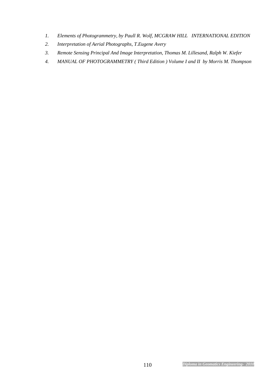- *1. Elements of Photogrammetry, by Paull R. Wolf, MCGRAW HILL INTERNATIONAL EDITION*
- *2. Interpretation of Aerial Photographs, T.Eugene Avery*
- *3. Remote Sensing Principal And Image Interpretation, Thomas M. Lillesand, Ralph W. Kiefer*
- *4. MANUAL OF PHOTOGRAMMETRY ( Third Edition ) Volume I and II by Morris M. Thompson*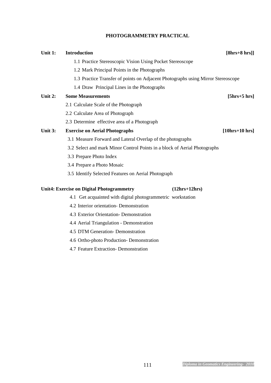# **PHOTOGRAMMETRY PRACTICAL**

| Unit 1:        | <b>Introduction</b>                                                              |                 | $[8hrs+8 hrs]]$  |
|----------------|----------------------------------------------------------------------------------|-----------------|------------------|
|                | 1.1 Practice Stereoscopic Vision Using Pocket Stereoscope                        |                 |                  |
|                | 1.2 Mark Principal Points in the Photographs                                     |                 |                  |
|                | 1.3 Practice Transfer of points on Adjacent Photographs using Mirror Stereoscope |                 |                  |
|                | 1.4 Draw Principal Lines in the Photographs                                      |                 |                  |
| <b>Unit 2:</b> | <b>Some Measurements</b>                                                         |                 | $[5hrs+5 hrs]$   |
|                | 2.1 Calculate Scale of the Photograph                                            |                 |                  |
|                | 2.2 Calculate Area of Photograph                                                 |                 |                  |
|                | 2.3 Determine effective area of a Photograph                                     |                 |                  |
| <b>Unit 3:</b> | <b>Exercise on Aerial Photographs</b>                                            |                 | $[10hrs+10 hrs]$ |
|                | 3.1 Measure Forward and Lateral Overlap of the photographs                       |                 |                  |
|                | 3.2 Select and mark Minor Control Points in a block of Aerial Photographs        |                 |                  |
|                | 3.3 Prepare Photo Index                                                          |                 |                  |
|                | 3.4 Prepare a Photo Mosaic                                                       |                 |                  |
|                | 3.5 Identify Selected Features on Aerial Photograph                              |                 |                  |
|                | <b>Unit4: Exercise on Digital Photogrammetry</b>                                 | $(12hrs+12hrs)$ |                  |
|                |                                                                                  |                 |                  |
|                | 4.1 Get acquainted with digital photogrammetric workstation                      |                 |                  |
|                | 4.2 Interior orientation- Demonstration                                          |                 |                  |

- 4.3 Exterior Orientation- Demonstration
- 4.4 Aerial Triangulation Demonstration
- 4.5 DTM Generation- Demonstration
- 4.6 Ortho-photo Production- Demonstration
- 4.7 Feature Extraction- Demonstration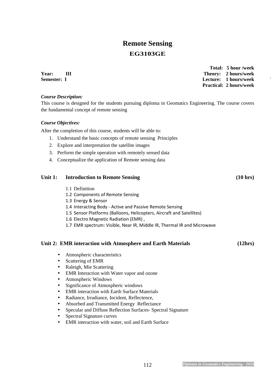# **Remote Sensing EG3103GE**

**Year:** III Theory: 2 hours/week **Semester: I** Lecture: 1 hours/week

 **Total: 5 hour /week Practical: 2 hours/week** 

# *Course Description:*

This course is designed for the students pursuing diploma in Geomatics Engineering. The course covers the fundamental concept of remote sensing

# *Course Objectives:*

After the completion of this course, students will be able to:

- 1. Understand the basic concepts of remote sensing Principles
- 2. Explore and interpretation the satellite images
- 3. Perform the simple operation with remotely sensed data
- 4. Conceptualize the application of Remote sensing data

# Unit 1: Introduction to Remote Sensing (10 hrs)

- 1.1 Definition
- 1.2 Components of Remote Sensing
- 1.3 Energy & Sensor
- 1.4 Interacting Body Active and Passive Remote Sensing
- 1.5 Sensor Platforms (Balloons, Helicopters, Aircraft and Satellites)
- 1.6 Electro Magnetic Radiation (EMR) ,
- 1.7 EMR spectrum: Visible, Near IR, Middle IR, Thermal IR and Microwave

# **Unit 2: EMR interaction with Atmosphere and Earth Materials (12hrs)**

- Atmospheric characteristics
- Scattering of EMR
- Raleigh, Mie Scattering
- EMR Interaction with Water vapor and ozone
- Atmospheric Windows
- Significance of Atmospheric windows
- EMR interaction with Earth Surface Materials
- Radiance, Irradiance, Incident, Reflectence,
- Absorbed and Transmitted Energy Reflectance
- Specular and Diffuse Reflection Surfaces- Spectral Signature
- Spectral Signature curves
- EMR interaction with water, soil and Earth Surface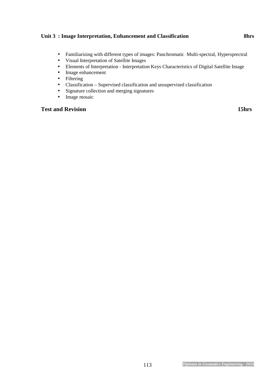# Unit 3 : Image Interpretation, Enhancement and Classification 8hrs

- Familiarizing with different types of images: Panchromatic Multi-spectral, Hypersprectral
- Visual Interpretation of Satellite Images
- Elements of Interpretation Interpretation Keys Characteristics of Digital Satellite Image
- Image enhancement
- Filtering
- Classification Supervised classification and unsupervised classification
- Signature collection and merging signatures
- Image mosaic

# **Test and Revision** 15hrs **15hrs**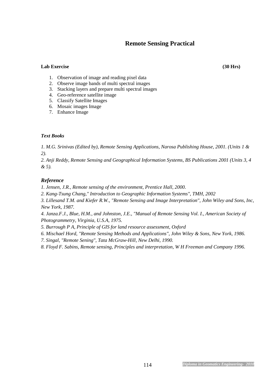# **Remote Sensing Practical**

# **Lab Exercise (30 Hrs)**

- 1. Observation of image and reading pixel data
- 2. Observe image bands of multi spectral images
- 3. Stacking layers and prepare multi spectral images
- 4. Geo-reference satellite image
- 5. Classify Satellite Images
- 6. Mosaic images Image
- 7. Enhance Image

# *Text Books*

*1. M.G. Srinivas (Edited by), Remote Sensing Applications, Narosa Publishing House, 2001. (Units 1 & 2).* 

*2. Anji Reddy, Remote Sensing and Geographical Information Systems, BS Publications 2001 (Units 3, 4 & 5).* 

# *Reference*

*1. Jensen, J.R., Remote sensing of the environment, Prentice Hall, 2000.* 

*2. Kang-Tsung Chang," Introduction to Geographic Information Systems", TMH, 2002* 

*3. Lillesand T.M. and Kiefer R.W., "Remote Sensing and Image Interpretation", John Wiley and Sons, Inc, New York, 1987.* 

*4. Janza.F.J., Blue, H.M., and Johnston, J.E., "Manual of Remote Sensing Vol. I., American Society of Photogrammetry, Virginia, U.S.A, 1975.* 

- *5. Burrough P A, Principle of GIS for land resource assessment, Oxford*
- *6. Mischael Hord, "Remote Sensing Methods and Applications", John Wiley & Sons, New York, 1986.*
- *7. Singal, "Remote Sening", Tata McGraw-Hill, New Delhi, 1990.*

*8. Floyd F. Sabins, Remote sensing, Principles and interpretation, W H Freeman and Company 1996.*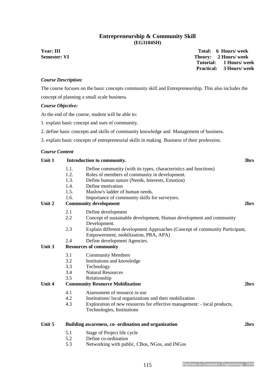# **Entrepreneurship & Community Skill (EG3104SH)**

**Year: III** Total: 6 Hours/ week **Semester: VI** Theory: 2 Hours/ week  **Tutorial: 1 Hours/ week Practical: 3 Hours/ week** 

# *Course Description:*

The course focuses on the basic concepts community skill and Entrepreneurship. This also includes the concept of planning a small scale business.

# *Course Objective:*

At the end of the course, student will be able to:

- 1. explain basic concept and uses of community.
- 2. define basic concepts and skills of community knowledge and Management of business.
- 3. explain basic concepts of entrepreneurial skills in making Business of their profession.

# *Course Content*

# Unit 1 Introduction to community. 3hrs **3hrs**

- 1.1. Define community (with its types, characteristics and functions)
- 1.2. Roles of members of community in development.
- 1.3. Define human nature (Needs, Interests, Emotion)
- 1.4. Define motivation
- 1.5. Maslow's ladder of human needs.
- 1.6. Importance of community skills for surveyors.

# Unit 2 Community development 2hrs <sup>2</sup>

- 2.1 Define development
- 2.2 Concept of sustainable development, Human development and community Development.
- 2.3 Explain different development Approaches (Concept of community Participant, Empowerment, mobilization, PRA, APA)
- 2.4 Define development Agencies.

# **Unit 3 Resources of community**

- 3.1 Community Members
- 3.2 Institutions and knowledge
- 3.3 Technology
- 3.4 Natural Resources
- 3.5 Relationship

# **Unit 4 Community Resource Mobilization 2hrs**

- 4.1 Assessment of resource in use
- 4.2 Institutions/ local organizations and their mobilization
- 4.3 Exploration of new resources for effective management: local products, Technologies, Institutions

### **Unit 5 Building awareness, co- ordination and organization 2hrs**

- 5.1 Stage of Project life cycle
- 5.2 Define co-ordination
- 5.3 Networking with public, CBos, NGos, and INGos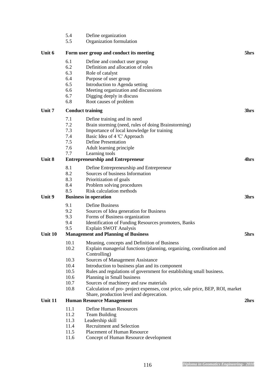|         | 5.4  | Define organization                                                                  |      |
|---------|------|--------------------------------------------------------------------------------------|------|
|         | 5.5  | Organization formulation                                                             |      |
| Unit 6  |      | Form user group and conduct its meeting                                              | 5hrs |
|         | 6.1  | Define and conduct user group                                                        |      |
|         | 6.2  | Definition and allocation of roles                                                   |      |
|         | 6.3  | Role of catalyst                                                                     |      |
|         | 6.4  | Purpose of user group                                                                |      |
|         | 6.5  | Introduction to Agenda setting                                                       |      |
|         | 6.6  | Meeting organization and discussions                                                 |      |
|         | 6.7  | Digging deeply in discuss                                                            |      |
|         | 6.8  | Root causes of problem                                                               |      |
| Unit 7  |      | <b>Conduct training</b>                                                              | 3hrs |
|         | 7.1  | Define training and its need                                                         |      |
|         | 7.2  | Brain storming (need, rules of doing Brainstorming)                                  |      |
|         | 7.3  | Importance of local knowledge for training                                           |      |
|         | 7.4  | Basic Idea of 4 'C' Approach                                                         |      |
|         | 7.5  | Define Presentation                                                                  |      |
|         | 7.6  | Adult learning principle                                                             |      |
|         | 7.7  | Learning tools                                                                       |      |
| Unit 8  |      | <b>Entrepreneurship and Entrepreneur</b>                                             | 4hrs |
|         | 8.1  | Define Entrepreneurship and Entrepreneur                                             |      |
|         | 8.2  | Sources of business Information                                                      |      |
|         | 8.3  | Prioritization of goals                                                              |      |
|         | 8.4  | Problem solving procedures                                                           |      |
| Unit 9  | 8.5  | Risk calculation methods                                                             | 3hrs |
|         |      | <b>Business in operation</b>                                                         |      |
|         | 9.1  | Define Business                                                                      |      |
|         | 9.2  | Sources of Idea generation for Business                                              |      |
|         | 9.3  | Forms of Business organization                                                       |      |
|         | 9.4  | Identification of Funding Resources promoters, Banks                                 |      |
| Unit 10 | 9.5  | Explain SWOT Analysis<br><b>Management and Planning of Business</b>                  | 5hrs |
|         |      |                                                                                      |      |
|         | 10.1 | Meaning, concepts and Definition of Business                                         |      |
|         | 10.2 | Explain managerial functions (planning, organizing, coordination and<br>Controlling) |      |
|         | 10.3 | Sources of Management Assistance                                                     |      |
|         | 10.4 | Introduction to business plan and its component                                      |      |
|         | 10.5 | Rules and regulations of government for establishing small business.                 |      |
|         | 10.6 | Planning in Small business                                                           |      |
|         | 10.7 | Sources of machinery and raw materials                                               |      |
|         | 10.8 | Calculation of pro- project expenses, cost price, sale price, BEP, ROI, market       |      |
|         |      | Share, production level and deprecation.                                             |      |
| Unit 11 |      | <b>Human Resource Management</b>                                                     | 2hrs |
|         | 11.1 | <b>Define Human Resources</b>                                                        |      |
|         | 11.2 | <b>Team Building</b>                                                                 |      |
|         | 11.3 | Leadership skill                                                                     |      |
|         | 11.4 | <b>Recruitment and Selection</b>                                                     |      |
|         | 11.5 | <b>Placement of Human Resource</b>                                                   |      |
|         | 11.6 | Concept of Human Resource development                                                |      |
|         |      |                                                                                      |      |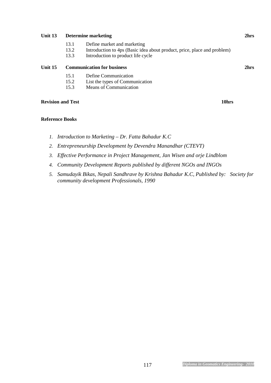# **Unit 13** Determine marketing 2hrs **2hrs**

- 13.1 Define market and marketing
- 13.2 Introduction to 4ps (Basic idea about product, price, place and problem)
- 13.3 Introduction to product life cycle

# **Unit 15 Communication for business 2hrs**

- 15.1 Define Communication
- 15.2 List the types of Communication
- 15.3 Means of Communication

# **Revision and Test** 10hrs **10hrs 10hrs**

# **Reference Books**

- *1. Introduction to Marketing Dr. Fatta Bahadur K.C*
- *2. Entrepreneurship Development by Devendra Manandhar (CTEVT)*
- *3. Effective Performance in Project Management, Jan Wisen and orje Lindblom*
- *4. Community Development Reports published by different NGOs and INGOs*
- *5. Samudayik Bikas, Nepali Sandhrave by Krishna Bahadur K.C, Published by: Society for community development Professionals, 1990*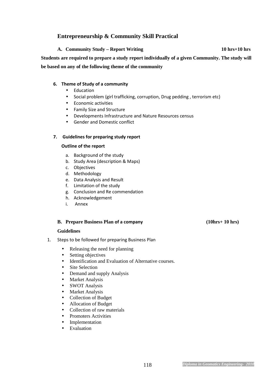# **Entrepreneurship & Community Skill Practical**

**A. Community Study – Report Writing 10 hrs+10 hrs Students are required to prepare a study report individually of a given Community. The study will be based on any of the following theme of the community** 

# **6. Theme of Study of a community**

- Education
- Social problem (girl trafficking, corruption, Drug pedding , terrorism etc)
- Economic activities
- Family Size and Structure
- Developments Infrastructure and Nature Resources census
- Gender and Domestic conflict

# **7. Guidelines for preparing study report**

# **Outline of the report**

- a. Background of the study
- b. Study Area (description & Maps)
- c. Objectives
- d. Methodology
- e. Data Analysis and Result
- f. Limitation of the study
- g. Conclusion and Re commendation
- h. Acknowledgement
- i. Annex

# **B. Prepare Business Plan of a company (10hrs+ 10 hrs)**

# **Guidelines**

- 1. Steps to be followed for preparing Business Plan
	- Releasing the need for planning
	- Setting objectives
	- Identification and Evaluation of Alternative courses.
	- Site Selection
	- Demand and supply Analysis
	- Market Analysis
	- SWOT Analysis
	- Market Analysis
	- Collection of Budget
	- Allocation of Budget
	- Collection of raw materials
	- Promoters Activities
	- Implementation
	- Evaluation

# 118 *Diploma in Geomatics Engineering- 2010*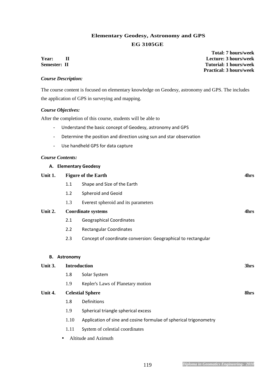# **Elementary Geodesy, Astronomy and GPS EG 3105GE**

 **Total: 7 hours/week Year: II Lecture: 3 hours/week Semester:** II Tutorial: 1 hours/week  **Practical: 3 hours/week** 

# *Course Description:*

The course content is focused on elementary knowledge on Geodesy, astronomy and GPS. The includes the application of GPS in surveying and mapping.

# *Course Objectives:*

After the completion of this course, students will be able to

- Understand the basic concept of Geodesy, astronomy and GPS
- Determine the position and direction using sun and star observation
- Use handheld GPS for data capture

# *Course Contents:*

|         |                  | A. Elementary Geodesy                                             |      |
|---------|------------------|-------------------------------------------------------------------|------|
| Unit 1. |                  | <b>Figure of the Earth</b>                                        | 4hrs |
|         | 1.1              | Shape and Size of the Earth                                       |      |
|         | 1.2              | Spheroid and Geoid                                                |      |
|         | 1.3              | Everest spheroid and its parameters                               |      |
| Unit 2. |                  | <b>Coordinate systems</b>                                         | 4hrs |
|         | 2.1              | <b>Geographical Coordinates</b>                                   |      |
|         | 2.2              | Rectangular Coordinates                                           |      |
|         | 2.3              | Concept of coordinate conversion: Geographical to rectangular     |      |
|         |                  |                                                                   |      |
| В.      | <b>Astronomy</b> |                                                                   |      |
| Unit 3. |                  | <b>Introduction</b>                                               | 3hrs |
|         | 1.8              | Solar System                                                      |      |
|         | 1.9              | Kepler's Laws of Planetary motion                                 |      |
| Unit 4. |                  | <b>Celestial Sphere</b>                                           | 8hrs |
|         | 1.8              | Definitions                                                       |      |
|         | 1.9              | Spherical triangle spherical excess                               |      |
|         | 1.10             | Application of sine and cosine formulae of spherical trigonometry |      |

- 1.11 System of celestial coordinates
- Altitude and Azimuth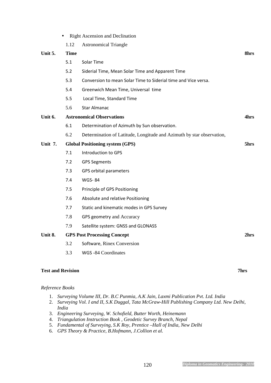5.2 Siderial Time, Mean Solar Time and Apparent Time 5.3 Conversion to mean Solar Time to Siderial time and Vice versa. 5.4 Greenwich Mean Time, Universal time 5.5 Local Time, Standard Time 5.6 Star Almanac Unit 6. Astronomical Observations **4hrs 4hrs** 6.1 Determination of Azimuth by Sun observation. 6.2 Determination of Latitude, Longitude and Azimuth by star observation, Unit 7. Global Positioning system (GPS) 5hrs **5hrs** 7.1 Introduction to GPS 7.2 GPS Segments 7.3 GPS orbital parameters 7.4 WGS- 84 7.5 Principle of GPS Positioning 7.6 Absolute and relative Positioning 7.7 Static and kinematic modes in GPS Survey 7.8 GPS geometry and Accuracy 7.9 Satellite system: GNSS and GLONASS Unit 8. GPS Post Processing Concept 2hrs 2hrs 3.2 Software, Rinex Conversion 3.3 WGS -84 Coordinates **Test and Revision 7hrs** 

**Unit 5.** Time 8hrs 8hrs

# *Reference Books*

- 1. *Surveying Volume III, Dr. B.C Punmia, A.K Jain, Laxmi Publication Pvt. Ltd. India*
- 2. *Surveying Vol. I and II, S.K Duggal, Tata McGraw-Hill Publishing Company Ltd. New Delhi, India*
- 3. *Engineering Surveying, W. Schofield, Butter Worth, Heinemann*
- 4. *Triangulation Instruction Book , Geodetic Survey Branch, Nepal*
- 5. *Fundamental of Surveying, S.K Roy, Prentice –Hall of India, New Delhi*
- 6. *GPS Theory & Practice, B.Hofmann, J.Collion et al.*

• Right Ascension and Declination

1.12 Astronomical Triangle

5.1 Solar Time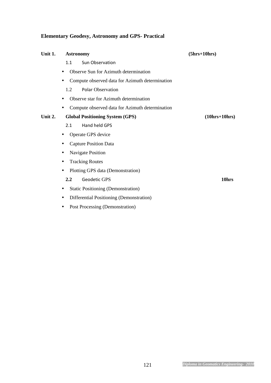# **Elementary Geodesy, Astronomy and GPS- Practical**

| Unit 1. | <b>Astronomy</b>                                | $(5hrs+10hrs)$  |
|---------|-------------------------------------------------|-----------------|
|         | Sun Observation<br>1.1                          |                 |
|         | Observe Sun for Azimuth determination           |                 |
|         | Compute observed data for Azimuth determination |                 |
|         | <b>Polar Observation</b><br>1.2                 |                 |
|         | Observe star for Azimuth determination          |                 |
|         | Compute observed data for Azimuth determination |                 |
| Unit 2. | <b>Global Positioning System (GPS)</b>          | $(10hrs+10hrs)$ |
|         | Hand held GPS<br>2.1                            |                 |
|         | Operate GPS device                              |                 |
|         | <b>Capture Position Data</b><br>٠               |                 |
|         | Navigate Position                               |                 |
|         | <b>Tracking Routes</b><br>٠                     |                 |
|         | Plotting GPS data (Demonstration)               |                 |
|         | <b>Geodetic GPS</b><br>$2.2\,$                  | 10hrs           |
|         | <b>Static Positioning (Demonstration)</b>       |                 |
|         | Differential Positioning (Demonstration)<br>٠   |                 |

• Post Processing (Demonstration)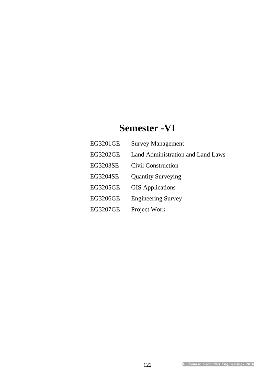# **Semester -VI**

| EG3201GE        | <b>Survey Management</b>                 |
|-----------------|------------------------------------------|
| <b>EG3202GE</b> | <b>Land Administration and Land Laws</b> |
| EG3203SE        | Civil Construction                       |
| <b>EG3204SE</b> | <b>Quantity Surveying</b>                |
| EG3205GE        | <b>GIS</b> Applications                  |
| EG3206GE        | <b>Engineering Survey</b>                |
| EG3207GE        | Project Work                             |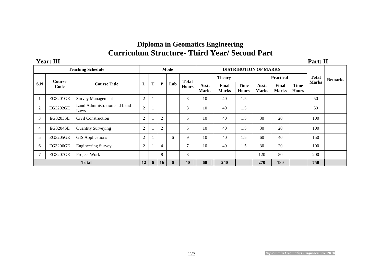# **Diploma in Geomatics Engineering Curriculum Structure- Third Year/ Second Part**

| Year: III |  | ъ.<br>1 al t. 11 |  |
|-----------|--|------------------|--|
|           |  |                  |  |

|                |                 | <b>Teaching Schedule</b><br>Mode<br><b>DISTRIBUTION OF MARKS</b> |                |   |                |     |                              |                       |                       |                             |                       |                       |                             |              |                |
|----------------|-----------------|------------------------------------------------------------------|----------------|---|----------------|-----|------------------------------|-----------------------|-----------------------|-----------------------------|-----------------------|-----------------------|-----------------------------|--------------|----------------|
|                | Course          | <b>Course Title</b>                                              | L              |   | ${\bf P}$      | Lab | <b>Total</b><br><b>Hours</b> | <b>Theory</b>         |                       |                             | <b>Practical</b>      |                       |                             | <b>Total</b> | <b>Remarks</b> |
| S.N            | Code            |                                                                  |                | T |                |     |                              | Asst.<br><b>Marks</b> | Final<br><b>Marks</b> | <b>Time</b><br><b>Hours</b> | Asst.<br><b>Marks</b> | Final<br><b>Marks</b> | <b>Time</b><br><b>Hours</b> | <b>Marks</b> |                |
|                | EG3201GE        | <b>Survey Management</b>                                         | $\overline{2}$ |   |                |     | 3                            | 10                    | 40                    | 1.5                         |                       |                       |                             | 50           |                |
| $\overline{2}$ | EG3202GE        | Land Administration and Land<br>Laws                             | $\overline{c}$ |   |                |     | 3                            | 10                    | 40                    | 1.5                         |                       |                       |                             | 50           |                |
| 3              | <b>EG3203SE</b> | Civil Construction                                               | $\overline{2}$ |   | $\overline{2}$ |     | 5                            | 10                    | 40                    | 1.5                         | 30                    | 20                    |                             | 100          |                |
| 4              | <b>EG3204SE</b> | <b>Quantity Surveying</b>                                        | $\overline{2}$ |   | $\overline{2}$ |     | 5                            | 10                    | 40                    | 1.5                         | 30                    | 20                    |                             | 100          |                |
| 5              | <b>EG3205GE</b> | <b>GIS Applications</b>                                          | $\overline{2}$ |   |                | 6   | 9                            | 10                    | 40                    | 1.5                         | 60                    | 40                    |                             | 150          |                |
| 6              | EG3206GE        | <b>Engineering Survey</b>                                        | $\overline{2}$ |   | $\overline{4}$ |     | $\tau$                       | 10                    | 40                    | 1.5                         | 30                    | 20                    |                             | 100          |                |
| $\overline{7}$ | <b>EG3207GE</b> | Project Work                                                     |                |   | 8              |     | 8                            |                       |                       |                             | 120                   | 80                    |                             | 200          |                |
|                |                 | <b>Total</b>                                                     | 12             | 6 | 16             | 6   | 40                           | 60                    | 240                   |                             | 270                   | 180                   |                             | 750          |                |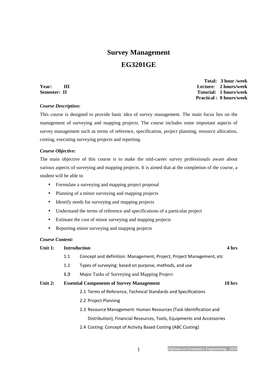# **Survey Management EG3201GE**

*Course Description:* 

 **Total: 3 hour /week Year:** III Lecture: 2 hours/week<br>
Semester: II Tutorial: 1 hours/week **Semester: II Tutorial: 1 hours/week Practical : 0 hours/week** 

This course is designed to provide basic idea of survey management. The main focus lies on the management of surveying and mapping projects. The course includes some important aspects of survey management such as terms of reference, specification, project planning, resource allocation, costing, executing surveying projects and reporting.

# *Course Objective:*

The main objective of this course is to make the mid-career survey professionals aware about various aspects of surveying and mapping projects. It is aimed that at the completion of the course, a student will be able to

- Formulate a surveying and mapping project proposal
- Planning of a minor surveying and mapping projects
- Identify needs for surveying and mapping projects
- Understand the terms of reference and specifications of a particular project
- Estimate the cost of minor surveying and mapping projects
- Reporting minor surveying and mapping projects

### *Course Content:*

# **Unit 1: Introduction 4 hrs**

- 1.1 Concept and definition: Management, Project, Project Management, etc
- 1.2 Types of surveying: based on purpose, methods, and use
- **1.3** Major Tasks of Surveying and Mapping Project

# **Unit 2: Essential Components of Survey Management 10 hrs**

- 2.1 Terms of Reference, Technical Standards and Specifications
- 2.2 Project Planning
- 2.3 Resource Management: Human Resources (Task Identification and

Distribution), Financial Resources, Tools, Equipments and Accessories

2.4 Costing: Concept of Activity Based Costing (ABC Costing)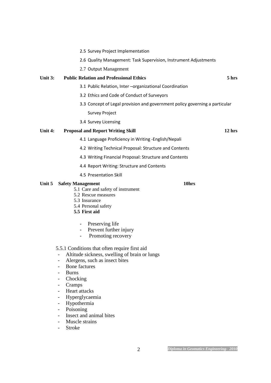|         | 2.5 Survey Project Implementation                                                                                                                                 |                  |
|---------|-------------------------------------------------------------------------------------------------------------------------------------------------------------------|------------------|
|         | 2.6 Quality Management: Task Supervision, Instrument Adjustments                                                                                                  |                  |
|         | 2.7 Output Management                                                                                                                                             |                  |
| Unit 3: | <b>Public Relation and Professional Ethics</b>                                                                                                                    | 5 <sub>hrs</sub> |
|         | 3.1 Public Relation, Inter-organizational Coordination                                                                                                            |                  |
|         | 3.2 Ethics and Code of Conduct of Surveyors                                                                                                                       |                  |
|         | 3.3 Concept of Legal provision and government policy governing a particular                                                                                       |                  |
|         | Survey Project                                                                                                                                                    |                  |
|         | 3.4 Survey Licensing                                                                                                                                              |                  |
| Unit 4: | <b>Proposal and Report Writing Skill</b>                                                                                                                          | $12$ hrs         |
|         | 4.1 Language Proficiency in Writing - English/Nepali                                                                                                              |                  |
|         | 4.2 Writing Technical Proposal: Structure and Contents                                                                                                            |                  |
|         | 4.3 Writing Financial Proposal: Structure and Contents                                                                                                            |                  |
|         | 4.4 Report Writing: Structure and Contents                                                                                                                        |                  |
|         | 4.5 Presentation Skill                                                                                                                                            |                  |
| Unit 5  | 10hrs<br><b>Safety Management</b><br>5.1 Care and safety of instrument<br>5.2 Rescue measures<br>5.3 Insurance<br>5.4 Personal safety<br>5.5 First aid            |                  |
|         | Preserving life<br>Prevent further injury<br>Promoting recovery<br>5.5.1 Conditions that often require first aid<br>Altitude sickness, swelling of brain or lungs |                  |
|         | Alergens, such as insect bites<br><b>Bone factures</b><br><b>Burns</b><br>Chocking<br>Ξ.<br>Cramps                                                                |                  |
|         | Heart attacks<br>Hyperglycaemia<br>Hypothermia<br>Poisoning<br>Insect and animal bites                                                                            |                  |
|         | Muscle strains<br><b>Stroke</b>                                                                                                                                   |                  |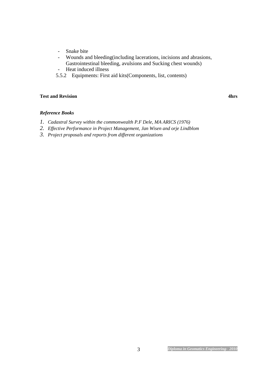- Snake bite
- Wounds and bleeding(including lacerations, incisions and abrasions,
	- Gastrointestinal bleeding, avulsions and Sucking chest wounds)
- Heat induced illness
- 5.5.2 Equipments: First aid kits(Components, list, contents)

# **Test and Revision** 4hrs **4hrs**

# *Reference Books*

- *1. Cadastral Survey within the commonwealth P.F Dele, MA ARICS (1976)*
- *2. Effective Performance in Project Management, Jan Wisen and orje Lindblom*
- *3. Project proposals and reports from different organizations*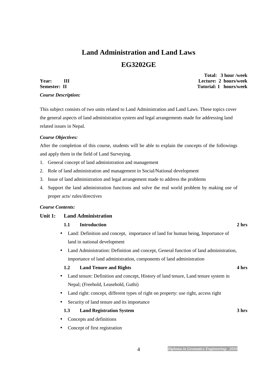# **Land Administration and Land Laws EG3202GE**

*Course Description:* 

 **Total: 3 hour /week Year: III Lecture: 2 hours/week Semester: II** Tutorial: 1 hours/week

This subject consists of two units related to Land Administration and Land Laws. These topics cover the general aspects of land administration system and legal arrangements made for addressing land related issues in Nepal.

# *Course Objectives:*

After the completion of this course, students will be able to explain the concepts of the followings and apply them in the field of Land Surveying.

- 1. General concept of land administration and management
- 2. Role of land administration and management in Social/National development
- 3. Issue of land administration and legal arrangement made to address the problems
- 4. Support the land administration functions and solve the real world problem by making use of proper acts/ rules/directives

# *Course Contents:*

# **Unit 1: Land Administration**

# **1.1 Introduction 2 hrs**

- Land: Definition and concept, importance of land for human being, Importance of land in national development
- Land Administration: Definition and concept, General function of land administration, importance of land administration, components of land administration

# **1.2 Land Tenure and Rights 4 hrs** 4 hrs

- Land tenure: Definition and concept, History of land tenure, Land tenure system in Nepal; (Freehold, Leasehold, Guthi)
- Land right: concept, different types of right on property: use right, access right
- Security of land tenure and its importance

# **1.3 Land Registration System 3 hrs**

- Concepts and definitions
- Concept of first registration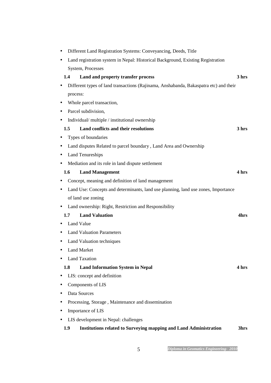| $\bullet$ | Different Land Registration Systems: Conveyancing, Deeds, Title                       |       |
|-----------|---------------------------------------------------------------------------------------|-------|
| $\bullet$ | Land registration system in Nepal: Historical Background, Existing Registration       |       |
|           | System, Processes                                                                     |       |
| 1.4       | Land and property transfer process                                                    | 3 hrs |
| ٠         | Different types of land transactions (Rajinama, Anshabanda, Bakaspatra etc) and their |       |
| process:  |                                                                                       |       |
| ٠         | Whole parcel transaction,                                                             |       |
| ٠         | Parcel subdivision,                                                                   |       |
|           | Individual/multiple/institutional ownership                                           |       |
| 1.5       | Land conflicts and their resolutions                                                  | 3 hrs |
|           | Types of boundaries                                                                   |       |
|           | Land disputes Related to parcel boundary, Land Area and Ownership                     |       |
| ٠         | <b>Land Tenureships</b>                                                               |       |
| $\bullet$ | Mediation and its role in land dispute settlement                                     |       |
| 1.6       | <b>Land Management</b>                                                                | 4 hrs |
|           | Concept, meaning and definition of land management                                    |       |
| ٠         | Land Use: Concepts and determinants, land use planning, land use zones, Importance    |       |
|           | of land use zoning                                                                    |       |
|           | Land ownership: Right, Restriction and Responsibility                                 |       |
| 1.7       | <b>Land Valuation</b>                                                                 | 4hrs  |
|           | Land Value                                                                            |       |
|           | <b>Land Valuation Parameters</b>                                                      |       |
|           | Land Valuation techniques                                                             |       |
| $\bullet$ | Land Market                                                                           |       |
|           | <b>Land Taxation</b>                                                                  |       |
| 1.8       | <b>Land Information System in Nepal</b>                                               | 4 hrs |
| ٠         | LIS: concept and definition                                                           |       |
|           | Components of LIS                                                                     |       |
|           | Data Sources                                                                          |       |
| $\bullet$ | Processing, Storage, Maintenance and dissemination                                    |       |
| $\bullet$ | Importance of LIS                                                                     |       |
|           | LIS development in Nepal: challenges                                                  |       |
| 1.9       | Institutions related to Surveying mapping and Land Administration                     | 3hrs  |

5 *Diploma in Geomatics Engineering- 2010*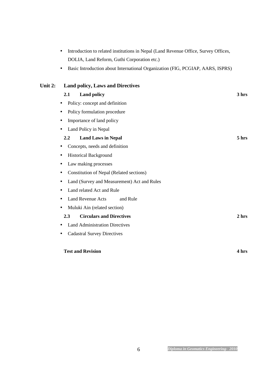|           | Basic Introduction about International Organization (FIG, PCGIAP, AARS, ISPRS) |       |
|-----------|--------------------------------------------------------------------------------|-------|
| Unit $2:$ | <b>Land policy, Laws and Directives</b>                                        |       |
|           | 2.1<br><b>Land policy</b>                                                      | 3 hrs |
|           | Policy: concept and definition                                                 |       |
|           | Policy formulation procedure<br>٠                                              |       |
|           | Importance of land policy                                                      |       |
|           | Land Policy in Nepal<br>$\bullet$                                              |       |
|           | <b>Land Laws in Nepal</b><br>2.2                                               | 5 hrs |
|           | Concepts, needs and definition                                                 |       |
|           | <b>Historical Background</b><br>$\bullet$                                      |       |
|           | Law making processes<br>٠                                                      |       |
|           | Constitution of Nepal (Related sections)                                       |       |
|           | Land (Survey and Measurement) Act and Rules<br>$\bullet$                       |       |
|           | Land related Act and Rule                                                      |       |
|           | <b>Land Revenue Acts</b><br>and Rule                                           |       |
|           | Muluki Ain (related section)                                                   |       |
|           | <b>Circulars and Directives</b><br>2.3                                         | 2 hrs |
|           | <b>Land Administration Directives</b>                                          |       |
|           | <b>Cadastral Survey Directives</b><br>$\bullet$                                |       |
|           |                                                                                |       |
|           | <b>Test and Revision</b>                                                       | 4 hrs |

• Introduction to related institutions in Nepal (Land Revenue Office, Survey Offices,

DOLIA, Land Reform, Guthi Corporation etc.)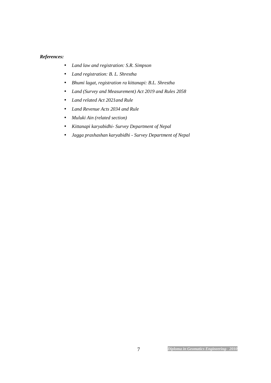# *References:*

- *Land law and registration: S.R. Simpson*
- *Land registration: B. L. Shrestha*
- *Bhumi lagat, registration ra kittanapi: B.L. Shrestha*
- *Land (Survey and Measurement) Act 2019 and Rules 2058*
- *Land related Act 2021and Rule*
- *Land Revenue Acts 2034 and Rule*
- *Muluki Ain (related section)*
- *Kittanapi karyabidhi- Survey Department of Nepal*
- *Jagga prashashan karyabidhi Survey Department of Nepal*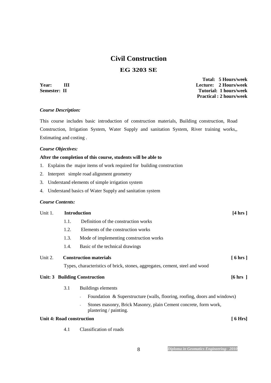# **Civil Construction**

# **EG 3203 SE**

 **Total: 5 Hours/week Year: III Lecture: 2 Hours/week Semester: II** Tutorial: 1 hours/week  **Practical : 2 hours/week** 

# *Course Description:*

This course includes basic introduction of construction materials, Building construction, Road Construction, Irrigation System, Water Supply and sanitation System, River training works,, Estimating and costing .

### *Course Objectives:*

# **After the completion of this course, students will be able to**

- 1. Explains the major items of work required for building construction
- 2. Interpret simple road alignment geometry
- 3. Understand elements of simple irrigation system
- 4. Understand basics of Water Supply and sanitation system

# *Course Contents:*

| Unit 1. | <b>Introduction</b> |                                         | $[4 \text{ hrs}]$ |
|---------|---------------------|-----------------------------------------|-------------------|
|         | 1.1.                | Definition of the construction works    |                   |
|         | 1.2.                | Elements of the construction works      |                   |
|         | 1.3.                | Mode of implementing construction works |                   |
|         | 1.4.                | Basic of the technical drawings         |                   |

| Unit 2. | <b>Construction materials</b> | [6 hrs] |
|---------|-------------------------------|---------|
|---------|-------------------------------|---------|

Types, characteristics of brick, stones, aggregates, cement, steel and wood

# Unit: 3 Building Construction [6 hrs ]

- 3.1 Buildings elements
	- Foundation & Superstructure (walls, flooring, roofing, doors and windows)
	- Stones masonry, Brick Masonry, plain Cement concrete, form work, plastering / painting.

# Unit 4: Road construction [ 6 Hrs]

4.1 Classification of roads

8 *Diploma in Geomatics Engineering- 2010*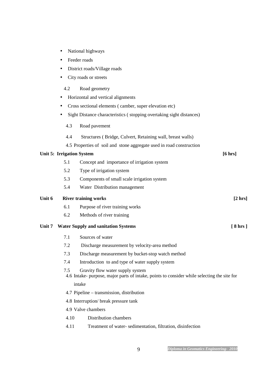- National highways
- Feeder roads
- District roads/Village roads
- City roads or streets

# 4.2 Road geometry

- Horizontal and vertical alignments
- Cross sectional elements ( camber, super elevation etc)
- Sight Distance characteristics ( stopping overtaking sight distances)
	- 4.3 Road pavement
	- 4.4 Structures ( Bridge, Culvert, Retaining wall, breast walls)
	- 4.5 Properties of soil and stone aggregate used in road construction

# Unit 5: Irrigation System [6 hrs]

- 5.1 Concept and importance of irrigation system
- 5.2 Type of irrigation system
- 5.3 Components of small scale irrigation system
- 5.4 Water Distribution management

# Unit 6 River training works [2 hrs]

- 6.1 Purpose of river training works
- 6.2 Methods of river training

# Unit 7 Water Supply and sanitation Systems **[8 hrs ]**

- 7.1 Sources of water
- 7.2 Discharge measurement by velocity-area method
- 7.3 Discharge measurement by bucket-stop watch method
- 7.4 Introduction to and type of water supply system
- 7.5 Gravity flow water supply system
- 4.6 Intake- purpose, major parts of intake, points to consider while selecting the site for intake
- 4.7 Pipeline transmission, distribution
- 4.8 Interruption/ break pressure tank
- 4.9 Valve chambers
- 4.10 Distribution chambers
- 4.11 Treatment of water- sedimentation, filtration, disinfection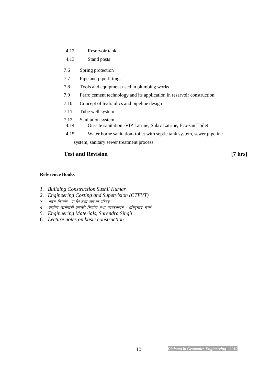- 4.12 Reservoir tank
- 4.13 Stand posts
- 7.6 Spring protection
- 7.7 Pipe and pipe fittings
- 7.8 Tools and equipment used in plumbing works
- 7.9 Ferro cement technology and its application in reservoir construction
- 7.10 Concept of hydraulics and pipeline design
- 7.11 Tube well system
- 7.12 Sanitation system
- 4.14 On-site sanitation -VIP Latrine, Sulav Latrine, Eco-san Toilet
- 4.15 Water borne sanitation- toilet with septic tank system, sewer pipeline

system, sanitary sewer treatment process

# **Test and Revision** [7 hrs]

# **Reference Books**

- *1. Building Construction Sushil Kumar*
- *2. Engineering Costing and Supervision (CTEVT)*
- 3. भवन निर्माण- प्रा.शि.तथा व्या.ता.परिषद्
- 4. ग्रामीण खानेपानी प्रणाली निर्माण तथा व्यवस्थापन हरिप्रसाद शर्मा
- *5. Engineering Materials, Surendra Singh*
- 6. *Lecture notes on basic construction*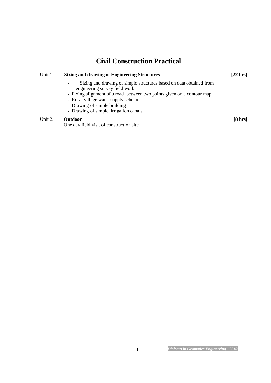# **Civil Construction Practical**

| Unit 1. | <b>Sizing and drawing of Engineering Structures</b><br>Sizing and drawing of simple structures based on data obtained from<br>engineering survey field work |              |
|---------|-------------------------------------------------------------------------------------------------------------------------------------------------------------|--------------|
|         |                                                                                                                                                             |              |
|         | - Fixing alignment of a road between two points given on a contour map                                                                                      |              |
|         | - Rural village water supply scheme                                                                                                                         |              |
|         | - Drawing of simple building                                                                                                                                |              |
|         | - Drawing of simple irrigation canals                                                                                                                       |              |
| Unit 2. | <b>Outdoor</b><br>One day field visit of construction site                                                                                                  | $[8 \, hrs]$ |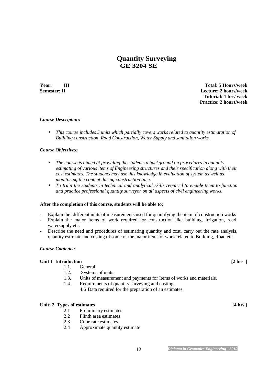# **Quantity Surveying GE 3204 SE**

**Year:** III Total: 5 Hours/week **Semester: II Lecture: 2 hours/week Tutorial: 1 hrs/ week Practice: 2 hours/week** 

# *Course Description:*

• *This course includes 5 units which partially covers works related to quantity estimatation of Building construction, Road Construction, Water Supply and sanitation works.* 

# *Course Objectives:*

- *The course is aimed at providing the students a background on procedures in quantity estimating of various items of Engineering structures and their specification along with their cost estimates. The students may use this knowledge in evaluation of system as well as monitoring the content during construction time.*
- *To train the students in technical and analytical skills required to enable them to function and practice professional quantity surveyor on all aspects of civil engineering works.*

### **After the completion of this course, students will be able to;**

- Explain the different units of measurements used for quantifying the item of construction works
- Explain the major items of work required for construction like building, irrigation, road, watersupply etc.
- Describe the need and procedures of estimating quantity and cost, carry out the rate analysis, quantity estimate and costing of some of the major items of work related to Building, Road etc.

### *Course Contents:*

### Unit 1 Introduction **12 hrs** 1

- 1.1. General
- 1.2. Systems of units
- 1.3. Units of measurement and payments for Items of works and materials.
- 1.4. Requirements of quantity surveying and costing.
	- 4.6 Data required for the preparation of an estimates.

### Unit: 2 Types of estimates **[4 hrs** ]

- 2.1 Preliminary estimates<br>2.2 Plinth area estimates
- Plinth area estimates
- 2.3 Cube rate estimates
- 2.4 Approximate quantity estimate

12 *Diploma in Geomatics Engineering- 2010*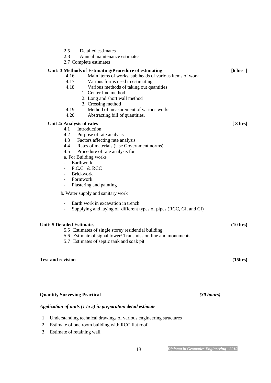| <b>Quantity Surveying Practical</b> |                                                                                                                                                      | $(30 \; hours)$   |
|-------------------------------------|------------------------------------------------------------------------------------------------------------------------------------------------------|-------------------|
|                                     |                                                                                                                                                      |                   |
| <b>Test and revision</b>            |                                                                                                                                                      | (15hrs)           |
|                                     | 5.7 Estimates of septic tank and soak pit.                                                                                                           |                   |
|                                     | 5.6 Estimate of signal tower/Transmission line and monuments                                                                                         |                   |
| <b>Unit: 5 Detailed Estimates</b>   | 5.5 Estimates of single storey residential building                                                                                                  | (10 hrs)          |
|                                     | Earth work in excavation in trench<br>Supplying and laying of different types of pipes (RCC, GI, and CI)                                             |                   |
|                                     | b. Water supply and sanitary work                                                                                                                    |                   |
| -                                   | Plastering and painting                                                                                                                              |                   |
|                                     | Formwork                                                                                                                                             |                   |
|                                     | P.C.C. & RCC<br><b>Brickwork</b>                                                                                                                     |                   |
|                                     | Earthwork                                                                                                                                            |                   |
| 4.5                                 | Procedure of rate analysis for<br>a. For Building works                                                                                              |                   |
| 4.4                                 | Rates of materials (Use Government norms)                                                                                                            |                   |
| 4.3                                 | Factors affecting rate analysis                                                                                                                      |                   |
| 4.1<br>4.2                          | Introduction<br>Purpose of rate analysis                                                                                                             |                   |
| Unit 4: Analysis of rates           |                                                                                                                                                      | $[8 \, hrs]$      |
| 4.19<br>4.20                        | 2. Long and short wall method<br>3. Crossing method<br>Method of measurement of various works.<br>Abstracting bill of quantities.                    |                   |
| 4.18                                | Various methods of taking out quantities<br>1. Center line method                                                                                    |                   |
| 4.16<br>4.17                        | Unit: 3 Methods of Estimating/Procedure of estimating<br>Main items of works, sub heads of various items of work<br>Various forms used in estimating | $[6 \text{ hrs}]$ |
|                                     | 2.7 Complete estimates                                                                                                                               |                   |
| 2.5<br>2.8                          | Detailed estimates<br>Annual maintenance estimates                                                                                                   |                   |

# *Application of units (1 to 5) in preparation detail estimate*

- 1. Understanding technical drawings of various engineering structures
- 2. Estimate of one room building with RCC flat roof
- 3. Estimate of retaining wall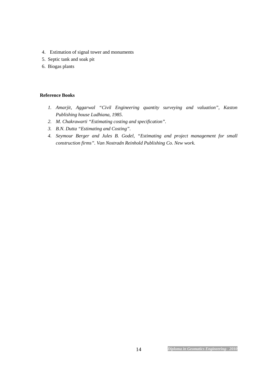- 4. Estimation of signal tower and monuments
- 5. Septic tank and soak pit
- 6. Biogas plants

# **Reference Books**

- *1. Amarjit, Aggarwal "Civil Engineering quantity surveying and valuation", Kaston Publishing house Ludhiana, 1985.*
- *2. M. Chakrawarti "Estimating costing and specification".*
- *3. B.N. Dutta "Estimating and Costing".*
- *4. Seymour Berger and Jules B. Godel, "Estimating and project management for small construction firms". Van Nostradn Reinhold Publishing Co. New work.*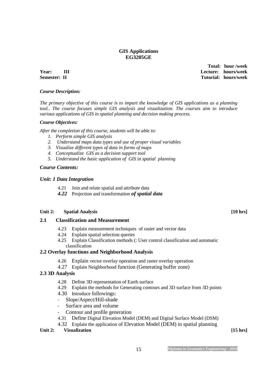# **GIS Applications EG3205GE**

 **Total: hour /week Year: III Lecture: hours/week Semester: II** Tutorial: hours/week

# *Course Description:*

*The primary objective of this course is to impart the knowledge of GIS applications as a planning tool.. The course focuses simple GIS analysis and visualization. The courses aim to introduce various applications of GIS in spatial planning and decision making process.* 

### *Course Objectives:*

*After the completion of this course, students will be able to:* 

- *1. Perform simple GIS analysis*
- *2. Understand maps data types and use of proper visual variables*
- *3. Visualize different types of data in forms of maps*
- *4. Conceptualize GIS as a decision support tool*
- *5. Understand the basic application of GIS in spatial planning*

# *Course Contents:*

# *Unit: 1 Data Integration*

- 4.21 Join and relate spatial and attribute data
- *4.22* Projection and transformation *of spatial data*

### Unit 2: Spatial Analysis **10 hrs 10 hrs 10 hrs 10 hrs 10 hrs 10 hrs 10 hrs 10 hrs 10 hrs 10 hrs 10 hrs 10 hrs 10 hrs 10 hrs 10 hrs 10 hrs 10 hrs 10 hrs 10 hrs 10 hrs 10 hrs 10 hrs**

# **2.1 Classification and Measurement**

- 4.23 Explain measurement techniques of raster and vector data
- 4.24 Explain spatial selection queries
- 4.25 Explain Classification methods (: User control classification and automatic classification

# **2.2 Overlay functions and Neighborhood Analysis**

- 4.26 Explain vector overlay operation and raster overlay operation
- 4.27 Explain Neighborhood function (Generating buffer zone)

# **2.3 3D Analysis**

- 4.28 Define 3D representation of Earth surface
- 4.29 Explain the methods for Generating contours and 3D surface from 3D points
- 4.30 Introduce followings:
- Slope/Aspect/Hill-shade
- Surface area and volume
- Contour and profile generation
- 4.31 Define Digital Elevation Model (DEM) and Digital Surface Model (DSM)
- 4.32 Explain the application of Elevation Model (DEM) in spatial planning

### Unit 2: Visualization [15 hrs]

<sup>15</sup> *Diploma in Geomatics Engineering- 2010*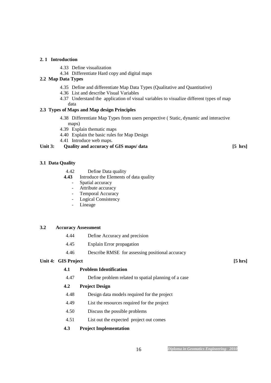### **2. 1 Introduction**

- 4.33 Define visualization
- 4.34 Differentiate Hard copy and digital maps

# **2.2 Map Data Types**

- 4.35 Define and differentiate Map Data Types (Qualitative and Quantitative)
- 4.36 List and describe Visual Variables
- 4.37 Understand the application of visual variables to visualize different types of map data

# **2.3 Types of Maps and Map design Principles**

- 4.38 Differentiate Map Types from users perspective ( Static, dynamic and interactive maps)
- 4.39 Explain thematic maps
- 4.40 Explain the basic rules for Map Design
- 4.41 Introduce web maps.

# Unit 3: Quality and accuracy of GIS maps/ data [5 hrs]

# **3.1 Data Quality**

- 4.42 Define Data quality<br>4.43 Introduce the Elements
- **4.43** Introduce the Elements of data quality
	- Spatial accuracy
	- Attribute accuracy
	- Temporal Accuracy
	- Logical Consistency
	- Lineage

# **3.2 Accuracy Assessment**

- 4.44 Define Accuracy and precision
- 4.45 Explain Error propagation
- 4.46 Describe RMSE for assessing positional accuracy

### Unit 4: GIS Project [5 hrs]

# **4.1 Problem Identification**

4.47 Define problem related to spatial planning of a case

# **4.2 Project Design**

- 4.48 Design data models required for the project
- 4.49 List the resources required for the project
- 4.50 Discuss the possible problems
- 4.51 List out the expected project out comes

# **4.3 Project Implementation**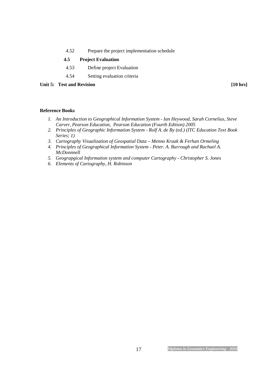4.52 Prepare the project implementation schedule

# **4.5 Project Evaluation**

- 4.53 Define project Evaluation
- 4.54 Setting evaluation criteria

# Unit 5: Test and Revision [10 hrs]

#### **Reference Books**

- *1. An Introduction to Geographical Information System Ian Heywood, Sarah Cornelius, Steve Carver, Pearson Education, Pearson Education (Fourth Edition) 2005*
- *2. Principles of Geographic Information System Rolf A. de By (ed.) (ITC Education Text Book Series; 1)*
- *3. Cartography Visualization of Geospatial Data Menno Kraak & Ferhan Ormeling*
- *4. Principles of Geographical Information System Peter. A. Burrough and Rachael A. McDonnnell*
- *5. Geograpgical Information system and computer Cartography Christopher S. Jones*
- *6. Elements of Cartography, H. Robinson*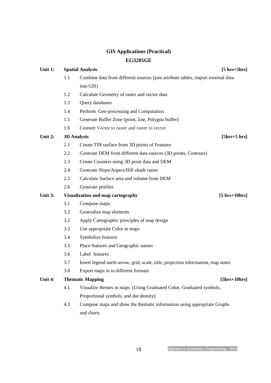# **GIS Applications (Practical) EG3205GE**

| Unit 1: |     | <b>Spatial Analysis</b>                                                          | $[5 hrs+5 hrs]$ |
|---------|-----|----------------------------------------------------------------------------------|-----------------|
|         | 1.1 | Combine data from different sources (join attribute tables, import external data |                 |
|         |     | into GIS)                                                                        |                 |
|         | 1.2 | Calculate Geometry of raster and vector data                                     |                 |
|         | 1.3 | Query databases                                                                  |                 |
|         | 1.4 | Perform Geo-processing and Computation                                           |                 |
|         | 1.5 | Generate Buffer Zone (point, line, Polygon buffer)                               |                 |
|         | 1.6 | Convert Vector to raster and raster to vector                                    |                 |
| Unit 2: |     | <b>3D Analysis</b>                                                               | $[5hrs+5 hrs]$  |
|         | 2.1 | Create TIN surface from 3D points of Features                                    |                 |
|         | 2.2 | Generate DEM from different data sources (3D points, Contours)                   |                 |
|         | 2.3 | Create Counters using 3D point data and DEM                                      |                 |
|         | 2.4 | Generate Slope/Aspect/Hill shade raster                                          |                 |
|         | 2.5 | Calculate Surface area and volume from DEM                                       |                 |
|         | 2.6 | Generate profiles                                                                |                 |
| Unit 3: |     | Visualization and map cartography<br>$[5 hrs+10hrs]$                             |                 |
|         | 3.1 | Compose maps                                                                     |                 |
|         | 3.2 | Generalize map elements                                                          |                 |
|         | 3.2 | Apply Cartographic principles of map design                                      |                 |
|         | 3.3 | Use appropriate Color in maps                                                    |                 |
|         | 3.4 | Symbolize features                                                               |                 |
|         | 3.5 | Place features and Geographic names                                              |                 |
|         | 3.6 | Label features                                                                   |                 |
|         | 3.7 | Insert legend north arrow, grid, scale, title, projection information, map notes |                 |
|         | 3.8 | Export maps in to different formats                                              |                 |
| Unit 4: |     | <b>Thematic Mapping</b>                                                          | $[5hrs+10hrs]$  |
|         | 4.1 | Visualize themes in maps (Using Graduated Color, Graduated symbols,              |                 |
|         |     | Proportional symbols, and dot density)                                           |                 |
|         | 4.3 | Compose maps and show the thematic information using appropriate Graphs          |                 |
|         |     | and charts                                                                       |                 |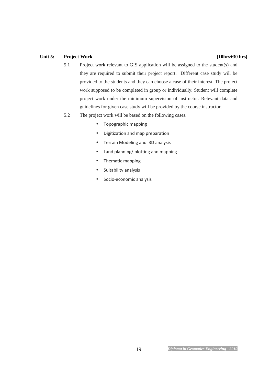# Unit 5: Project Work [10hrs+30 hrs]

- 5.1 Project work relevant to GIS application will be assigned to the student(s) and they are required to submit their project report. Different case study will be provided to the students and they can choose a case of their interest. The project work supposed to be completed in group or individually. Student will complete project work under the minimum supervision of instructor. Relevant data and guidelines for given case study will be provided by the course instructor.
- 5.2 The project work will be based on the following cases.
	- Topographic mapping
	- Digitization and map preparation
	- Terrain Modeling and 3D analysis
	- Land planning/ plotting and mapping
	- Thematic mapping
	- Suitability analysis
	- Socio-economic analysis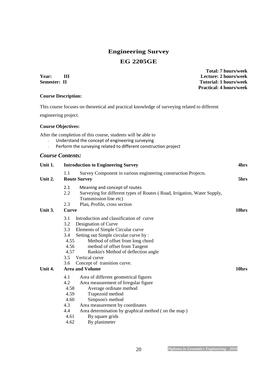# **Engineering Survey EG 2205GE**

**Year: III Lecture: 2 hours/week Semester: II** Tutorial: 1 hours/week  **Practical: 4 hours/week Course Description:** This course focuses on theoretical and practical knowledge of surveying related to different engineering project. **Course Objectives:**  After the completion of this course, students will be able to Understand the concept of engineering surveying - Perform the surveying related to different construction project *Course Contents:* **Unit 1. Introduction to Engineering Survey 4hrs**  1.1 Survey Component in various engineering construction Projects. **Unit 2.** Route Survey 5hrs **5hrs** 2.1 Meaning and concept of routes 2.2 Surveying for different types of Routes ( Road, Irrigation, Water Supply, Transmission line etc) 2.3 Plan, Profile, cross section Unit 3. Curve **10hrs 10hrs 10hrs** 3.1 Introduction and classification of curve 3.2 Designation of Curve 3.3 Elements of Simple Circular curve 3.4 Setting out Simple circular curve by : 4.55 Method of offset from long chord 4.56 method of offset from Tangent<br>4.57 Rankin's Method of deflection Rankin's Method of deflection angle 3.5 Vertical curve 3.6 Concept of transition curve. Unit 4. Area and Volume 10hrs **10hrs 10hrs** 4.1 Area of different geometrical figures 4.2 Area measurement of Irregular figure 4.58 Average ordinate method 4.59 Trapezoid method 4.60 Simpson's method 4.3 Area measurement by coordinates 4.4 Area determination by graphical method ( on the map ) 4.61 By square grids

4.62 By planimeter

 **Total: 7 hours/week**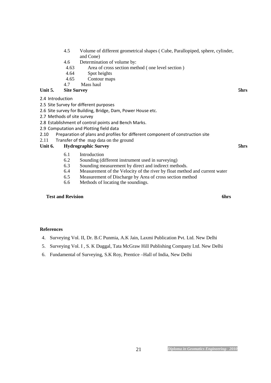- 4.5 Volume of different geometrical shapes ( Cube, Parallopiped, sphere, cylinder, and Cone)
- 4.6 Determination of volume by:
- 4.63 Area of cross section method ( one level section )
- 4.64 Spot heights
- 4.65 Contour maps

# 4.7 Mass haul

# Unit 5. Site Survey 5hrs **5hrs 5hrs 5hrs**

- 2.4 Introduction
- 2.5 Site Survey for different purposes
- 2.6 Site survey for Building, Bridge, Dam, Power House etc.
- 2.7 Methods of site survey
- 2.8 Establishment of control points and Bench Marks.
- 2.9 Computation and Plotting field data
- 2.10 Preparation of plans and profiles for different component of construction site
- 2.11 Transfer of the map data on the ground

## Unit 6. Hydrographic Survey **5hrs 5hrs 5hrs**

- 6.1 Introduction
- 6.2 Sounding (different instrument used in surveying)<br>6.3 Sounding measurement by direct and indirect meth
	- Sounding measurement by direct and indirect methods.
- 6.4 Measurement of the Velocity of the river by float method and current water
- 6.5 Measurement of Discharge by Area of cross section method
- 6.6 Methods of locating the soundings.

## **Test and Revision 6hrs 6hrs 6hrs 6hrs 6hrs**

## **References**

- 4. Surveying Vol. II, Dr. B.C Punmia, A.K Jain, Laxmi Publication Pvt. Ltd. New Delhi
- 5. Surveying Vol. I , S. K Duggal, Tata McGraw Hill Publishing Company Ltd. New Delhi
- 6. Fundamental of Surveying, S.K Roy, Prentice –Hall of India, New Delhi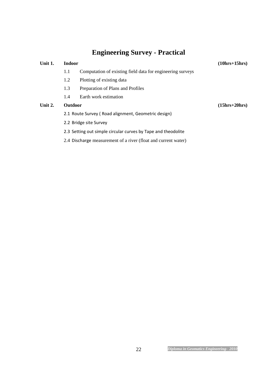# **Engineering Survey - Practical**

| Unit 1. | <b>Indoor</b>                                                 |                                                                | $(10hrs+15hrs)$ |
|---------|---------------------------------------------------------------|----------------------------------------------------------------|-----------------|
|         | 1.1                                                           | Computation of existing field data for engineering surveys     |                 |
|         | 1.2                                                           | Plotting of existing data                                      |                 |
|         | 1.3                                                           | Preparation of Plans and Profiles                              |                 |
|         | 1.4                                                           | Earth work estimation                                          |                 |
| Unit 2. | <b>Outdoor</b>                                                |                                                                | $(15hrs+20hrs)$ |
|         | 2.1 Route Survey (Road alignment, Geometric design)           |                                                                |                 |
|         | 2.2 Bridge site Survey                                        |                                                                |                 |
|         | 2.3 Setting out simple circular curves by Tape and theodolite |                                                                |                 |
|         |                                                               | 2.4 Discharge measurement of a river (float and current water) |                 |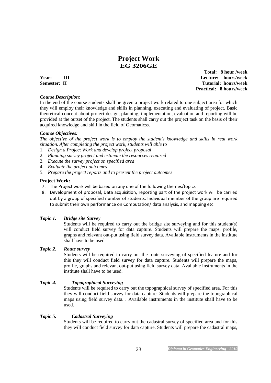# **Project Work EG 3206GE**

#### *Course Description:*

 **Total: 8 hour /week Year:** III **Lecture:** hours/week **Semester: II** Tutorial: hours/week  **Practical: 8 hours/week** 

In the end of the course students shall be given a project work related to one subject area for which they will employ their knowledge and skills in planning, executing and evaluating of project. Basic theoretical concept about project design, planning, implementation, evaluation and reporting will be provided at the outset of the project. The students shall carry out the project task on the basis of their acquired knowledge and skill in the field of Geomaticss.

#### *Course Objectives:*

*The objective of the project work is to employ the student's knowledge and skills in real work situation. After completing the project work, students will able to* 

- 1. *Design a Project Work and develop project proposal*
- 2. *Planning survey project and estimate the resources required*
- 3. *Execute the survey project on specified area*
- 4. *Evaluate the project outcomes*
- 5. *Prepare the project reports and to present the project outcomes*

#### **Project Work:**

- 7. The Project work will be based on any one of the following themes/topics
- 8. Development of proposal, Data acquisition, reporting part of the project work will be carried out by a group of specified number of students. Individual member of the group are required to submit their own performance on Computation/ data analysis, and mapping etc.

#### *Topic 1. Bridge site Survey*

Students will be required to carry out the bridge site surveying and for this student(s) will conduct field survey for data capture. Students will prepare the maps, profile, graphs and relevant out-put using field survey data. Available instruments in the institute shall have to be used.

#### *Topic 2. Route survey*

Students will be required to carry out the route surveying of specified feature and for this they will conduct field survey for data capture. Students will prepare the maps, profile, graphs and relevant out-put using field survey data. Available instruments in the institute shall have to be used.

#### *Topic 4. Topographical Surveying*

Students will be required to carry out the topographical survey of specified area. For this they will conduct field survey for data capture. Students will prepare the topographical maps using field survey data. . Available instruments in the institute shall have to be used.

#### *Topic 5. Cadastral Surveying*

Students will be required to carry out the cadastral survey of specified area and for this they will conduct field survey for data capture. Students will prepare the cadastral maps,